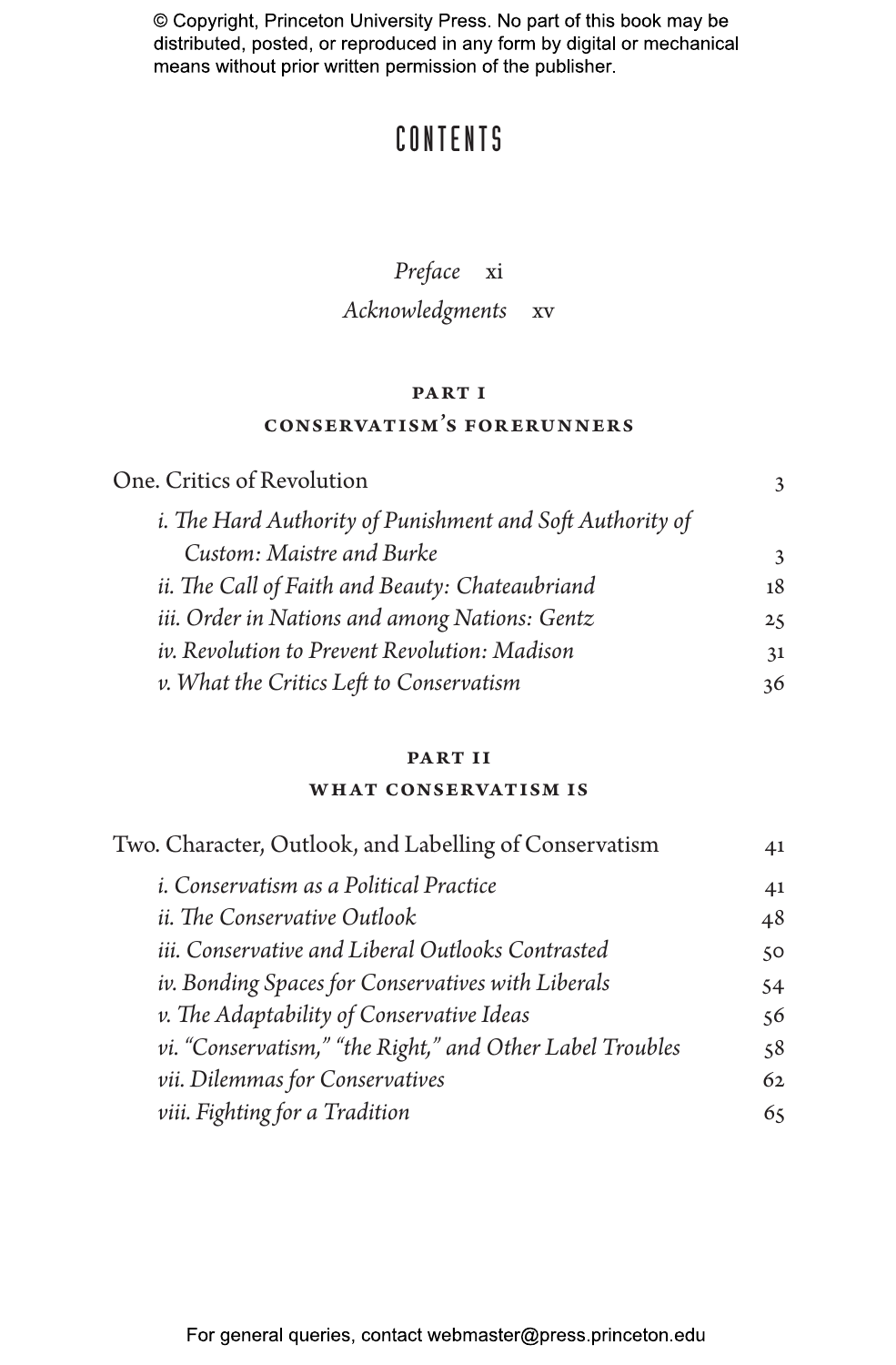# CONTENTS

## *Preface* xi

## *Acknowledgments* xv

#### part i

## conservatism's for erunners

| One. Critics of Revolution                                | 3  |
|-----------------------------------------------------------|----|
| i. The Hard Authority of Punishment and Soft Authority of |    |
| Custom: Maistre and Burke                                 | 3  |
| ii. The Call of Faith and Beauty: Chateaubriand           | 18 |
| iii. Order in Nations and among Nations: Gentz            | 25 |
| iv. Revolution to Prevent Revolution: Madison             | 31 |
| v. What the Critics Left to Conservatism                  | 36 |

#### part ii

#### WHAT CONSERVATISM IS

| Two. Character, Outlook, and Labelling of Conservatism    | 41 |
|-----------------------------------------------------------|----|
| i. Conservatism as a Political Practice                   | 41 |
| <i>ii. The Conservative Outlook</i>                       | 48 |
| iii. Conservative and Liberal Outlooks Contrasted         | 50 |
| iv. Bonding Spaces for Conservatives with Liberals        | 54 |
| v. The Adaptability of Conservative Ideas                 | 56 |
| vi. "Conservatism," "the Right," and Other Label Troubles | 58 |
| vii. Dilemmas for Conservatives                           | 62 |
| viii. Fighting for a Tradition                            | 65 |
|                                                           |    |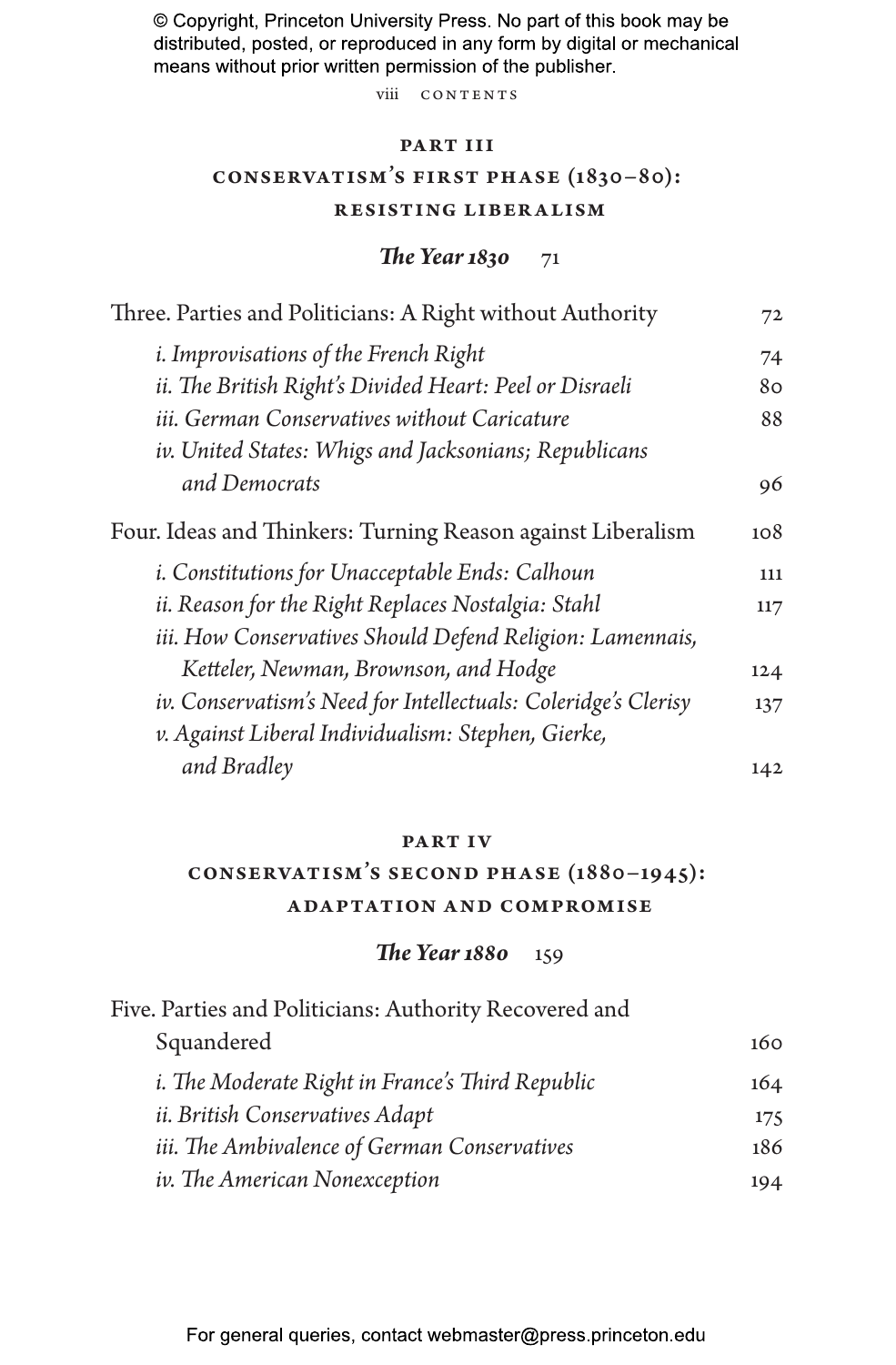viii CONTENTS

#### part iii

# conservatism's first phase (1830–80):

## resisting liberalism

## **The Year 1830** 71

| Three. Parties and Politicians: A Right without Authority      | 72  |
|----------------------------------------------------------------|-----|
| <i>i. Improvisations of the French Right</i>                   | 74  |
| ii. The British Right's Divided Heart: Peel or Disraeli        | 80  |
| iii. German Conservatives without Caricature                   | 88  |
| iv. United States: Whigs and Jacksonians; Republicans          |     |
| and Democrats                                                  | 96  |
| Four. Ideas and Thinkers: Turning Reason against Liberalism    | 108 |
| i. Constitutions for Unacceptable Ends: Calhoun                | 111 |
| ii. Reason for the Right Replaces Nostalgia: Stahl             | 117 |
| iii. How Conservatives Should Defend Religion: Lamennais,      |     |
| Ketteler, Newman, Brownson, and Hodge                          | 124 |
| iv. Conservatism's Need for Intellectuals: Coleridge's Clerisy | 137 |
| v. Against Liberal Individualism: Stephen, Gierke,             |     |
| and Bradley                                                    | 142 |

#### part iv

# conservatism's second phase (1880–1945): adaptation and compromise

## *The Year 1880* 159

| Five. Parties and Politicians: Authority Recovered and |     |
|--------------------------------------------------------|-----|
| Squandered                                             | 160 |
| i. The Moderate Right in France's Third Republic       | 164 |
| ii. British Conservatives Adapt                        | 175 |
| iii. The Ambivalence of German Conservatives           | 186 |
| iv. The American Nonexception                          | 194 |
|                                                        |     |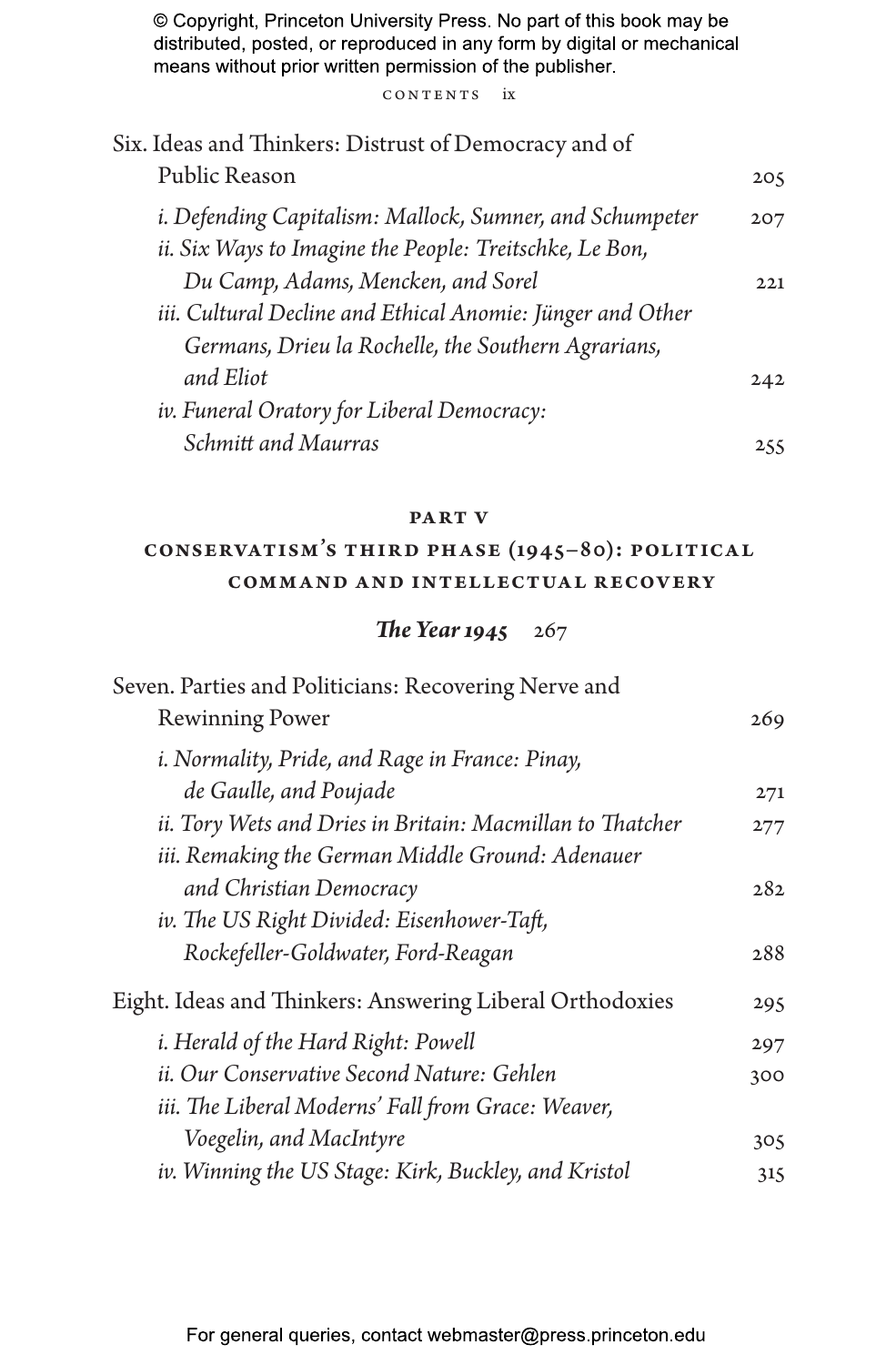CONTENTS ix

| Six. Ideas and Thinkers: Distrust of Democracy and of      |     |
|------------------------------------------------------------|-----|
| Public Reason                                              | 205 |
| i. Defending Capitalism: Mallock, Sumner, and Schumpeter   | 207 |
| ii. Six Ways to Imagine the People: Treitschke, Le Bon,    |     |
| Du Camp, Adams, Mencken, and Sorel                         | 221 |
| iii. Cultural Decline and Ethical Anomie: Jünger and Other |     |
| Germans, Drieu la Rochelle, the Southern Agrarians,        |     |
| and Eliot                                                  | 242 |
| iv. Funeral Oratory for Liberal Democracy:                 |     |
| Schmitt and Maurras                                        | 255 |
|                                                            |     |

#### part v

# $\overline{\text{conservation's thirD PhASE (1945-80)}}$ : political command and intellectual recovery

## *The Year 1945* 267

| Seven. Parties and Politicians: Recovering Nerve and      |     |
|-----------------------------------------------------------|-----|
| Rewinning Power                                           | 269 |
| i. Normality, Pride, and Rage in France: Pinay,           |     |
| de Gaulle, and Poujade                                    | 271 |
| ii. Tory Wets and Dries in Britain: Macmillan to Thatcher | 277 |
| iii. Remaking the German Middle Ground: Adenauer          |     |
| and Christian Democracy                                   | 282 |
| iv. The US Right Divided: Eisenhower-Taft,                |     |
| Rockefeller-Goldwater, Ford-Reagan                        | 288 |
| Eight. Ideas and Thinkers: Answering Liberal Orthodoxies  | 295 |
| i. Herald of the Hard Right: Powell                       | 297 |
| ii. Our Conservative Second Nature: Gehlen                | 300 |
| iii. The Liberal Moderns' Fall from Grace: Weaver,        |     |
| Voegelin, and MacIntyre                                   | 305 |
| iv. Winning the US Stage: Kirk, Buckley, and Kristol      | 315 |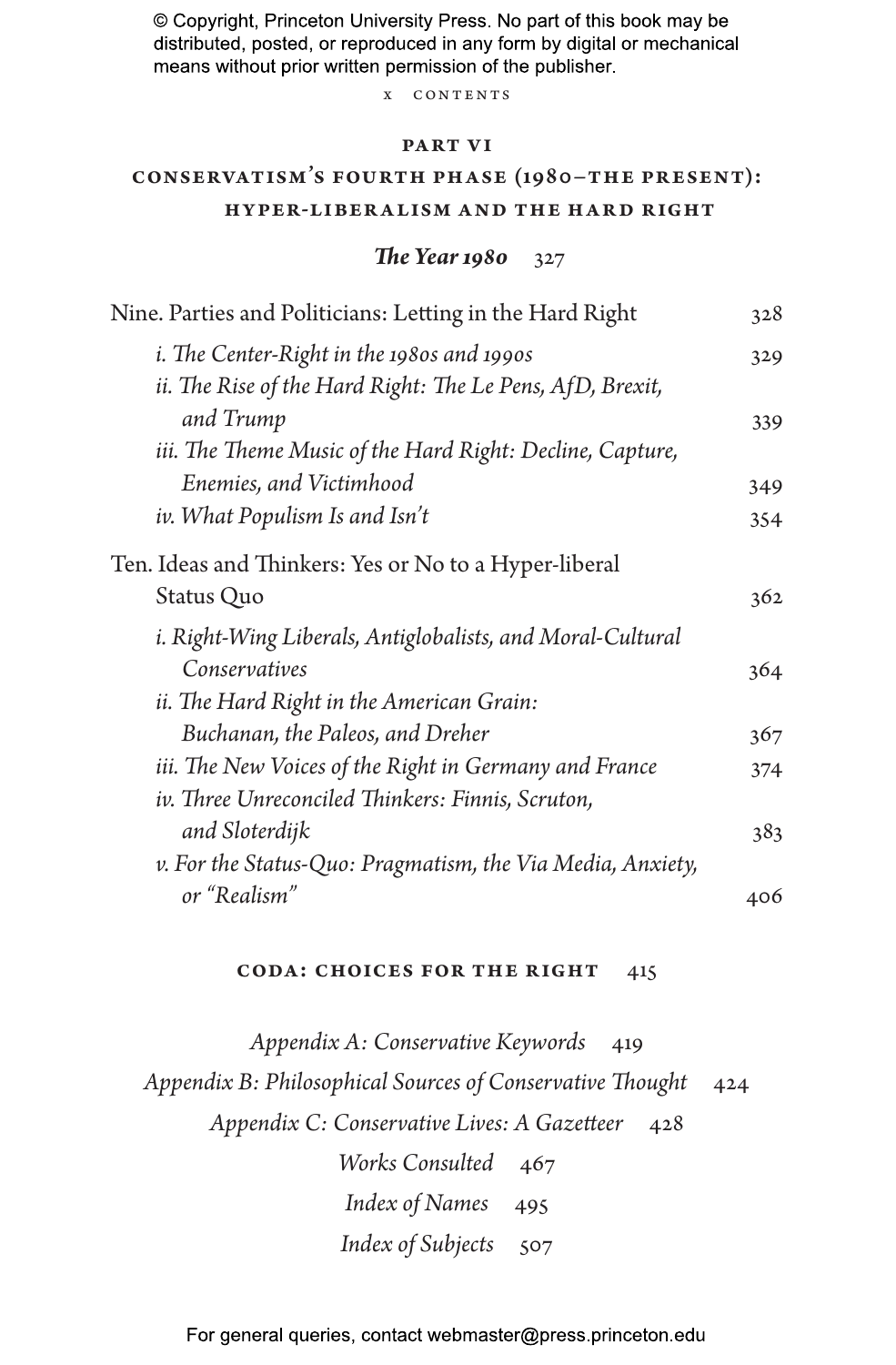x CONTENTS

#### part vi

## conservatism's fourth phase (1980–the present): hyper-liberalism and the hard right

#### **The Year 1980** 327

| Nine. Parties and Politicians: Letting in the Hard Right               | 328 |
|------------------------------------------------------------------------|-----|
| i. The Center-Right in the 1980s and 1990s                             | 329 |
| ii. The Rise of the Hard Right: The Le Pens, AfD, Brexit,<br>and Trump | 339 |
| iii. The Theme Music of the Hard Right: Decline, Capture,              |     |
| Enemies, and Victimhood                                                | 349 |
| iv. What Populism Is and Isn't                                         | 354 |
| Ten. Ideas and Thinkers: Yes or No to a Hyper-liberal                  |     |
| Status Quo                                                             | 362 |
| i. Right-Wing Liberals, Antiglobalists, and Moral-Cultural             |     |
| Conservatives                                                          | 364 |
| ii. The Hard Right in the American Grain:                              |     |
| Buchanan, the Paleos, and Dreher                                       | 367 |
| iii. The New Voices of the Right in Germany and France                 | 374 |
| iv. Three Unreconciled Thinkers: Finnis, Scruton,                      |     |
| and Sloterdijk                                                         | 383 |
| v. For the Status-Quo: Pragmatism, the Via Media, Anxiety,             |     |
| or "Realism"                                                           | 406 |

### coda: choices for the right 415

*Appendix A: Conservative Keywords* 419 *Appendix B: Philosophical Sources of Conservative Thought* 424 *Appendix C: Conservative Lives: A Gazetteer* 428 *Works Consulted* 467 *Index of Names* 495

*Index of Subjects* 507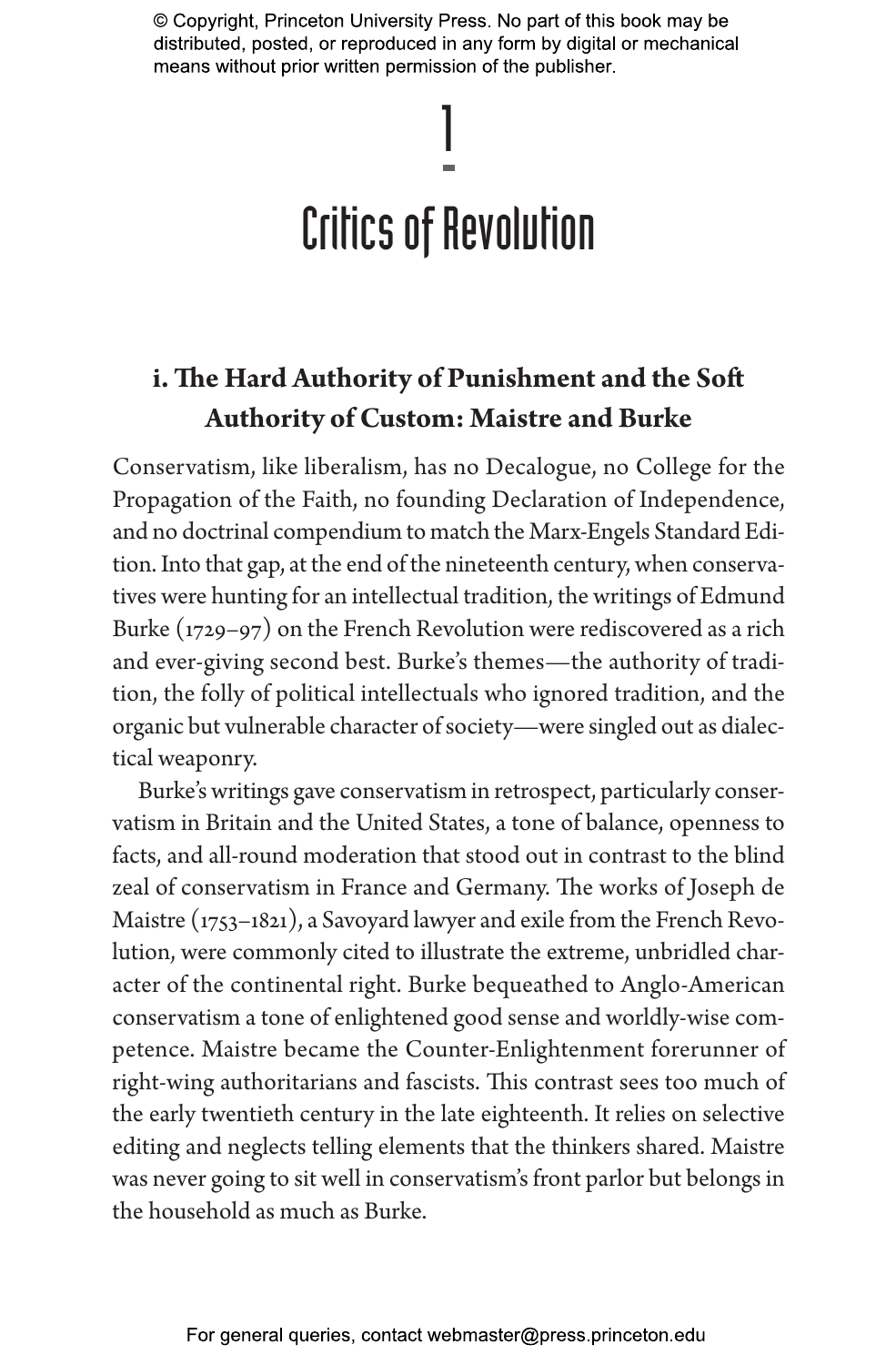# |<br>| Critics of Revolution

# **i. The Hard Authority of Punishment and the Soft Authority of Custom: Maistre and Burke**

Conservatism, like liberalism, has no Decalogue, no College for the Propagation of the Faith, no founding Declaration of Independence, and no doctrinal compendium to match the Marx-Engels Standard Edition. Into that gap, at the end of the nineteenth century, when conservatives were hunting for an intellectual tradition, the writings of Edmund Burke (1729–97) on the French Revolution were rediscovered as a rich and ever-giving second best. Burke's themes—the authority of tradition, the folly of political intellectuals who ignored tradition, and the organic but vulnerable character of society—were singled out as dialectical weaponry.

Burke's writings gave conservatism in retrospect, particularly conservatism in Britain and the United States, a tone of balance, openness to facts, and all-round moderation that stood out in contrast to the blind zeal of conservatism in France and Germany. The works of Joseph de Maistre (1753–1821), a Savoyard lawyer and exile from the French Revolution, were commonly cited to illustrate the extreme, unbridled character of the continental right. Burke bequeathed to Anglo-American conservatism a tone of enlightened good sense and worldly-wise competence. Maistre became the Counter-Enlightenment forerunner of right-wing authoritarians and fascists. This contrast sees too much of the early twentieth century in the late eighteenth. It relies on selective editing and neglects telling elements that the thinkers shared. Maistre was never going to sit well in conservatism's front parlor but belongs in the household as much as Burke.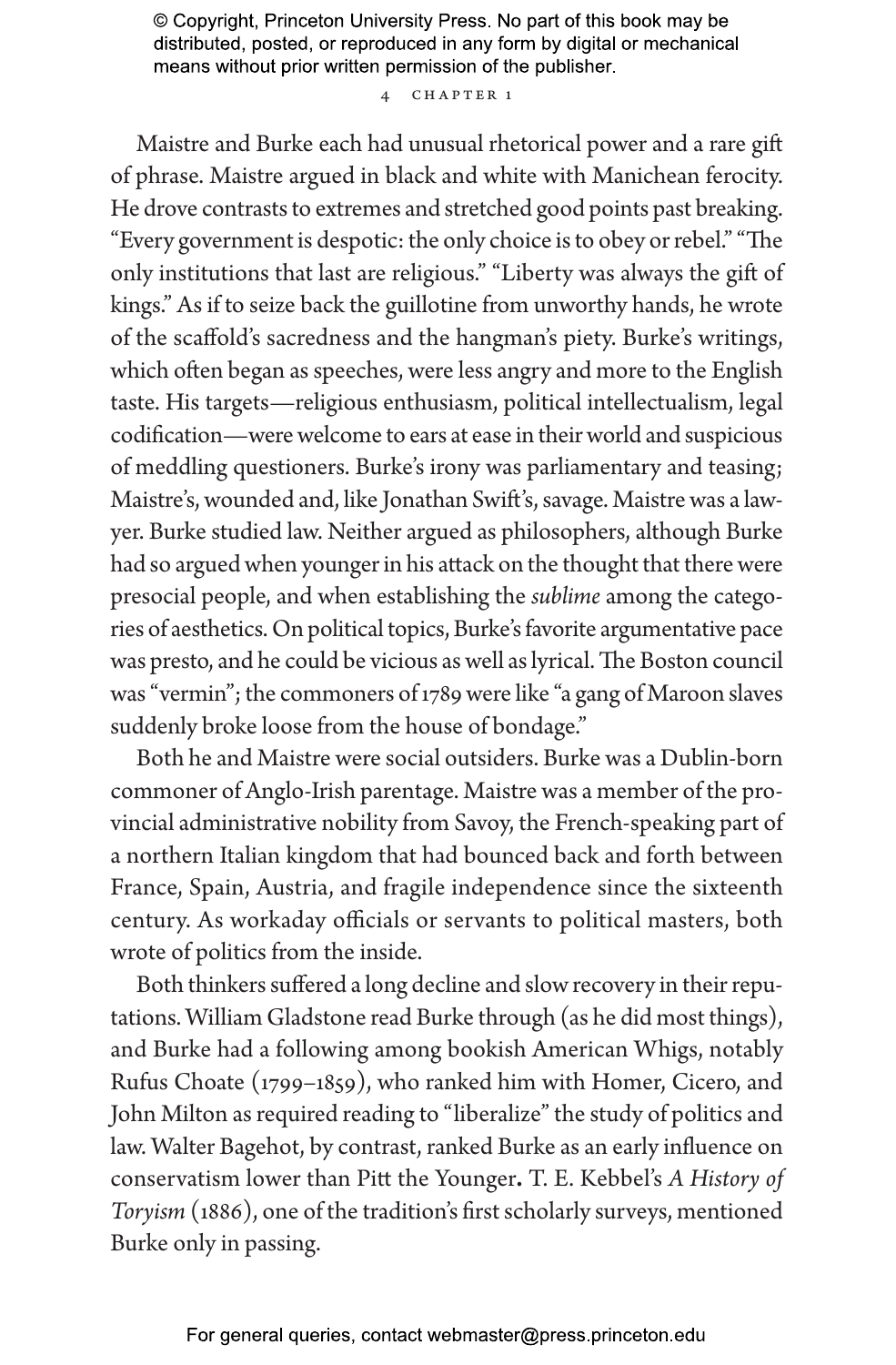#### 4 chapter 1

Maistre and Burke each had unusual rhetorical power and a rare gift of phrase. Maistre argued in black and white with Manichean ferocity. He drove contrasts to extremes and stretched good points past breaking. "Every government is despotic: the only choice is to obey or rebel." "The only institutions that last are religious." "Liberty was always the gift of kings." As if to seize back the guillotine from unworthy hands, he wrote of the scaffold's sacredness and the hangman's piety. Burke's writings, which often began as speeches, were less angry and more to the English taste. His targets—religious enthusiasm, political intellectualism, legal codification—were welcome to ears at ease in their world and suspicious of meddling questioners. Burke's irony was parliamentary and teasing; Maistre's, wounded and, like Jonathan Swift's, savage. Maistre was a lawyer. Burke studied law. Neither argued as philosophers, although Burke had so argued when younger in his attack on the thought that there were presocial people, and when establishing the *sublime* among the categories of aesthetics. On political topics, Burke's favorite argumentative pace was presto, and he could be vicious as well as lyrical. The Boston council was "vermin"; the commoners of 1789 were like "a gang of Maroon slaves suddenly broke loose from the house of bondage."

Both he and Maistre were social outsiders. Burke was a Dublin-born commoner of Anglo-Irish parentage. Maistre was a member of the provincial administrative nobility from Savoy, the French-speaking part of a northern Italian kingdom that had bounced back and forth between France, Spain, Austria, and fragile independence since the sixteenth century. As workaday officials or servants to political masters, both wrote of politics from the inside.

Both thinkers suffered a long decline and slow recovery in their reputations. William Gladstone read Burke through (as he did most things), and Burke had a following among bookish American Whigs, notably Rufus Choate (1799–1859), who ranked him with Homer, Cicero, and John Milton as required reading to "liberalize" the study of politics and law. Walter Bagehot, by contrast, ranked Burke as an early influence on conservatism lower than Pitt the Younger**.** T. E. Kebbel's *A History of Toryism* (1886), one of the tradition's first scholarly surveys, mentioned Burke only in passing.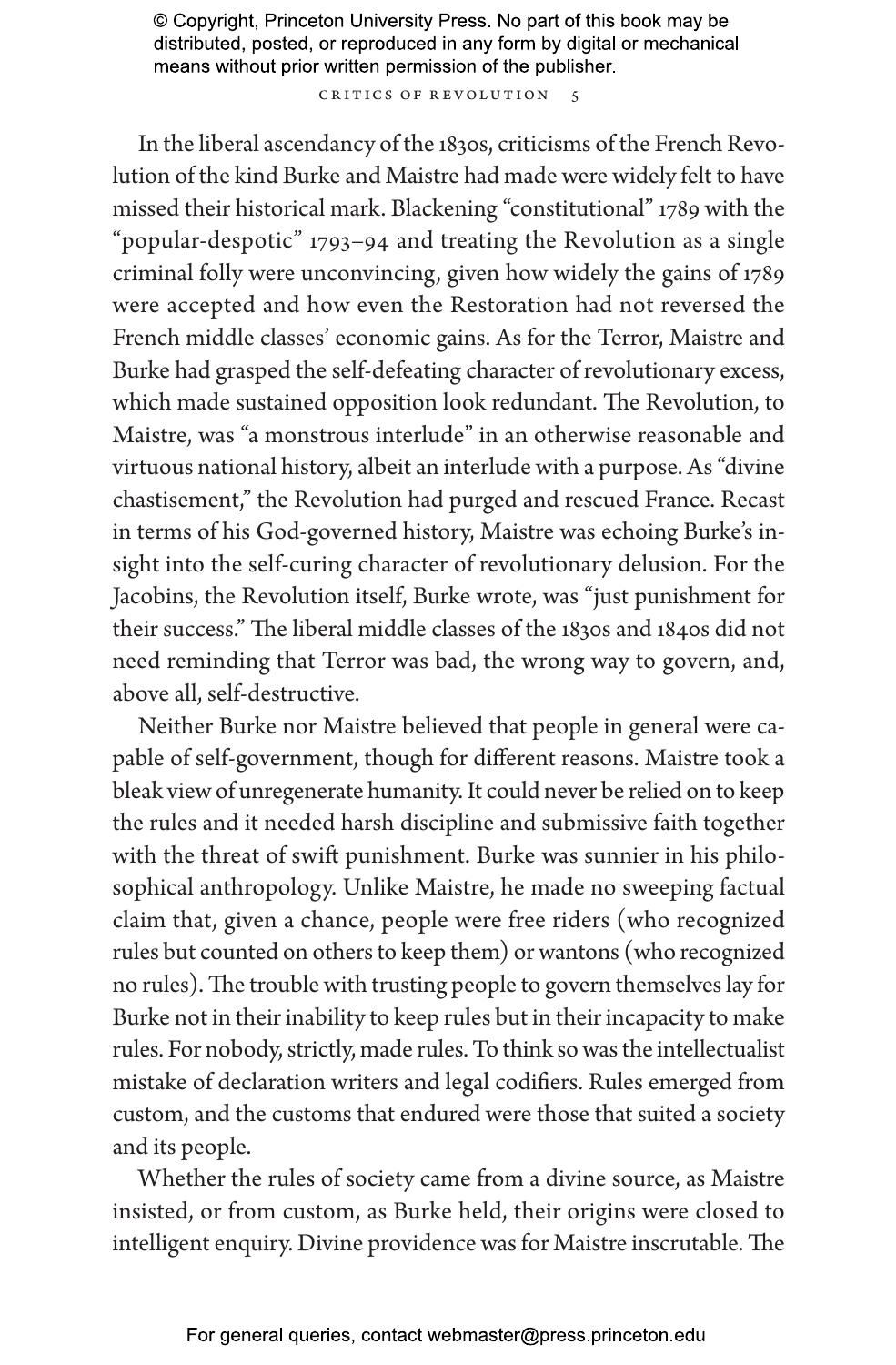CRITICS OF REVOLUTION

In the liberal ascendancy of the 1830s, criticisms of the French Revolution of the kind Burke and Maistre had made were widely felt to have missed their historical mark. Blackening "constitutional" 1789 with the "popular-despotic" 1793–94 and treating the Revolution as a single criminal folly were unconvincing, given how widely the gains of 1789 were accepted and how even the Restoration had not reversed the French middle classes' economic gains. As for the Terror, Maistre and Burke had grasped the self-defeating character of revolutionary excess, which made sustained opposition look redundant. The Revolution, to Maistre, was "a monstrous interlude" in an otherwise reasonable and virtuous national history, albeit an interlude with a purpose. As "divine chastisement," the Revolution had purged and rescued France. Recast in terms of his God-governed history, Maistre was echoing Burke's insight into the self-curing character of revolutionary delusion. For the Jacobins, the Revolution itself, Burke wrote, was "just punishment for their success." The liberal middle classes of the 1830s and 1840s did not need reminding that Terror was bad, the wrong way to govern, and, above all, self-destructive.

Neither Burke nor Maistre believed that people in general were capable of self-government, though for different reasons. Maistre took a bleak view of unregenerate humanity. It could never be relied on to keep the rules and it needed harsh discipline and submissive faith together with the threat of swift punishment. Burke was sunnier in his philosophical anthropology. Unlike Maistre, he made no sweeping factual claim that, given a chance, people were free riders (who recognized rules but counted on others to keep them) or wantons (who recognized no rules). The trouble with trusting people to govern themselves lay for Burke not in their inability to keep rules but in their incapacity to make rules. For nobody, strictly, made rules. To think so was the intellectualist mistake of declaration writers and legal codifiers. Rules emerged from custom, and the customs that endured were those that suited a society and its people.

Whether the rules of society came from a divine source, as Maistre insisted, or from custom, as Burke held, their origins were closed to intelligent enquiry. Divine providence was for Maistre inscrutable. The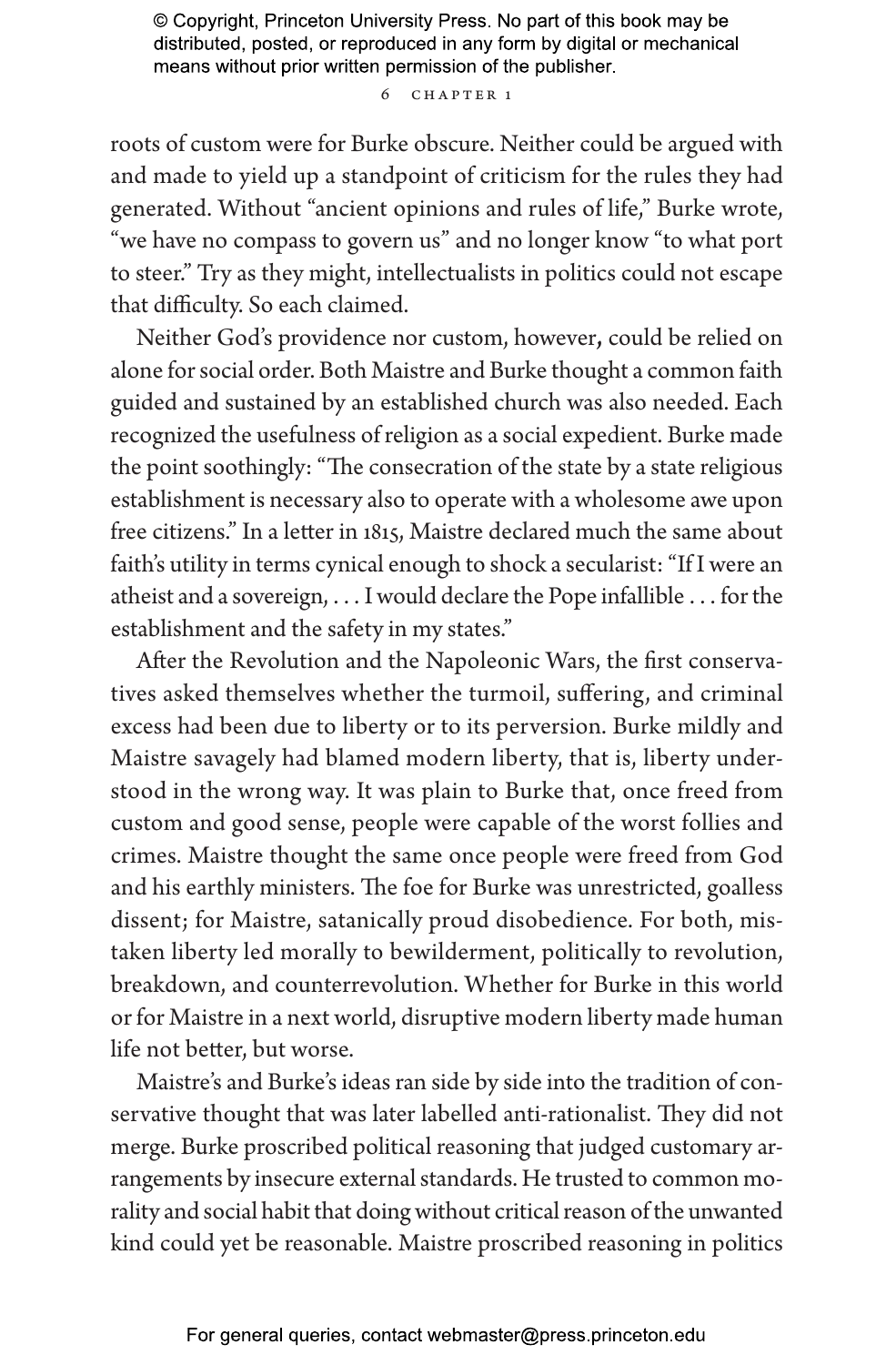#### 6 chapter 1

roots of custom were for Burke obscure. Neither could be argued with and made to yield up a standpoint of criticism for the rules they had generated. Without "ancient opinions and rules of life," Burke wrote, "we have no compass to govern us" and no longer know "to what port to steer." Try as they might, intellectualists in politics could not escape that difficulty. So each claimed.

Neither God's providence nor custom, however**,** could be relied on alone for social order. Both Maistre and Burke thought a common faith guided and sustained by an established church was also needed. Each recognized the usefulness of religion as a social expedient. Burke made the point soothingly: "The consecration of the state by a state religious establishment is necessary also to operate with a wholesome awe upon free citizens." In a letter in 1815, Maistre declared much the same about faith's utility in terms cynical enough to shock a secularist: "If I were an atheist and a sovereign, . . . I would declare the Pope infallible . . . for the establishment and the safety in my states."

After the Revolution and the Napoleonic Wars, the first conservatives asked themselves whether the turmoil, suffering, and criminal excess had been due to liberty or to its perversion. Burke mildly and Maistre savagely had blamed modern liberty, that is, liberty understood in the wrong way. It was plain to Burke that, once freed from custom and good sense, people were capable of the worst follies and crimes. Maistre thought the same once people were freed from God and his earthly ministers. The foe for Burke was unrestricted, goalless dissent; for Maistre, satanically proud disobedience. For both, mistaken liberty led morally to bewilderment, politically to revolution, breakdown, and counterrevolution. Whether for Burke in this world or for Maistre in a next world, disruptive modern liberty made human life not better, but worse.

Maistre's and Burke's ideas ran side by side into the tradition of conservative thought that was later labelled anti-rationalist. They did not merge. Burke proscribed political reasoning that judged customary arrangements by insecure external standards. He trusted to common morality and social habit that doing without critical reason of the unwanted kind could yet be reasonable. Maistre proscribed reasoning in politics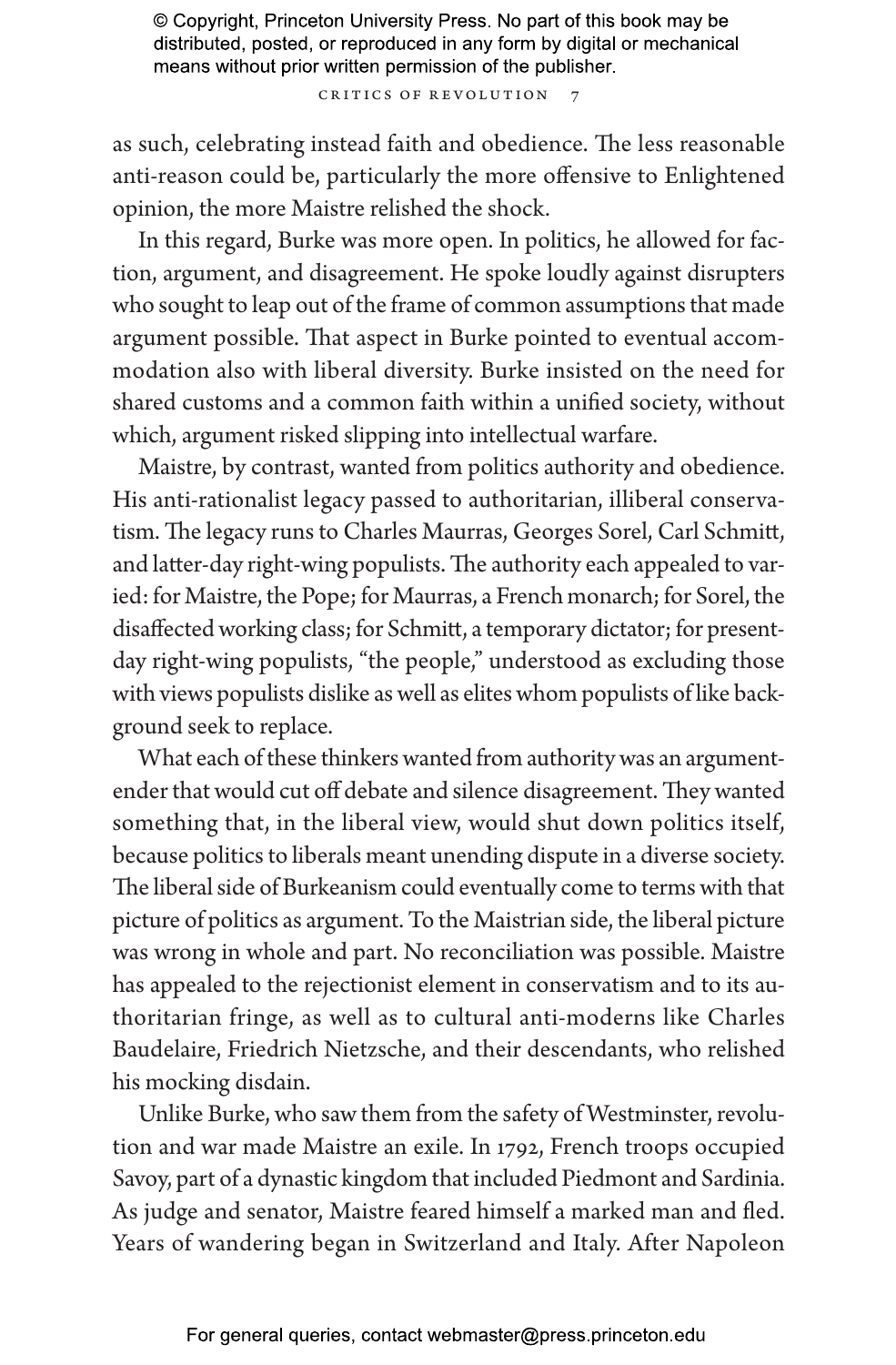CRITICS OF REVOLUTION

as such, celebrating instead faith and obedience. The less reasonable anti-reason could be, particularly the more offensive to Enlightened opinion, the more Maistre relished the shock.

In this regard, Burke was more open. In politics, he allowed for faction, argument, and disagreement. He spoke loudly against disrupters who sought to leap out of the frame of common assumptions that made argument possible. That aspect in Burke pointed to eventual accommodation also with liberal diversity. Burke insisted on the need for shared customs and a common faith within a unified society, without which, argument risked slipping into intellectual warfare.

Maistre, by contrast, wanted from politics authority and obedience. His anti-rationalist legacy passed to authoritarian, illiberal conservatism. The legacy runs to Charles Maurras, Georges Sorel, Carl Schmitt, and latter-day right-wing populists. The authority each appealed to varied: for Maistre, the Pope; for Maurras, a French monarch; for Sorel, the disaffected working class; for Schmitt, a temporary dictator; for presentday right-wing populists, "the people," understood as excluding those with views populists dislike as well as elites whom populists of like background seek to replace.

What each of these thinkers wanted from authority was an argumentender that would cut off debate and silence disagreement. They wanted something that, in the liberal view, would shut down politics itself, because politics to liberals meant unending dispute in a diverse society. The liberal side of Burkeanism could eventually come to terms with that picture of politics as argument. To the Maistrian side, the liberal picture was wrong in whole and part. No reconciliation was possible. Maistre has appealed to the rejectionist element in conservatism and to its authoritarian fringe, as well as to cultural anti-moderns like Charles Baudelaire, Friedrich Nietzsche, and their descendants, who relished his mocking disdain.

Unlike Burke, who saw them from the safety of Westminster, revolution and war made Maistre an exile. In 1792, French troops occupied Savoy, part of a dynastic kingdom that included Piedmont and Sardinia. As judge and senator, Maistre feared himself a marked man and fled. Years of wandering began in Switzerland and Italy. After Napoleon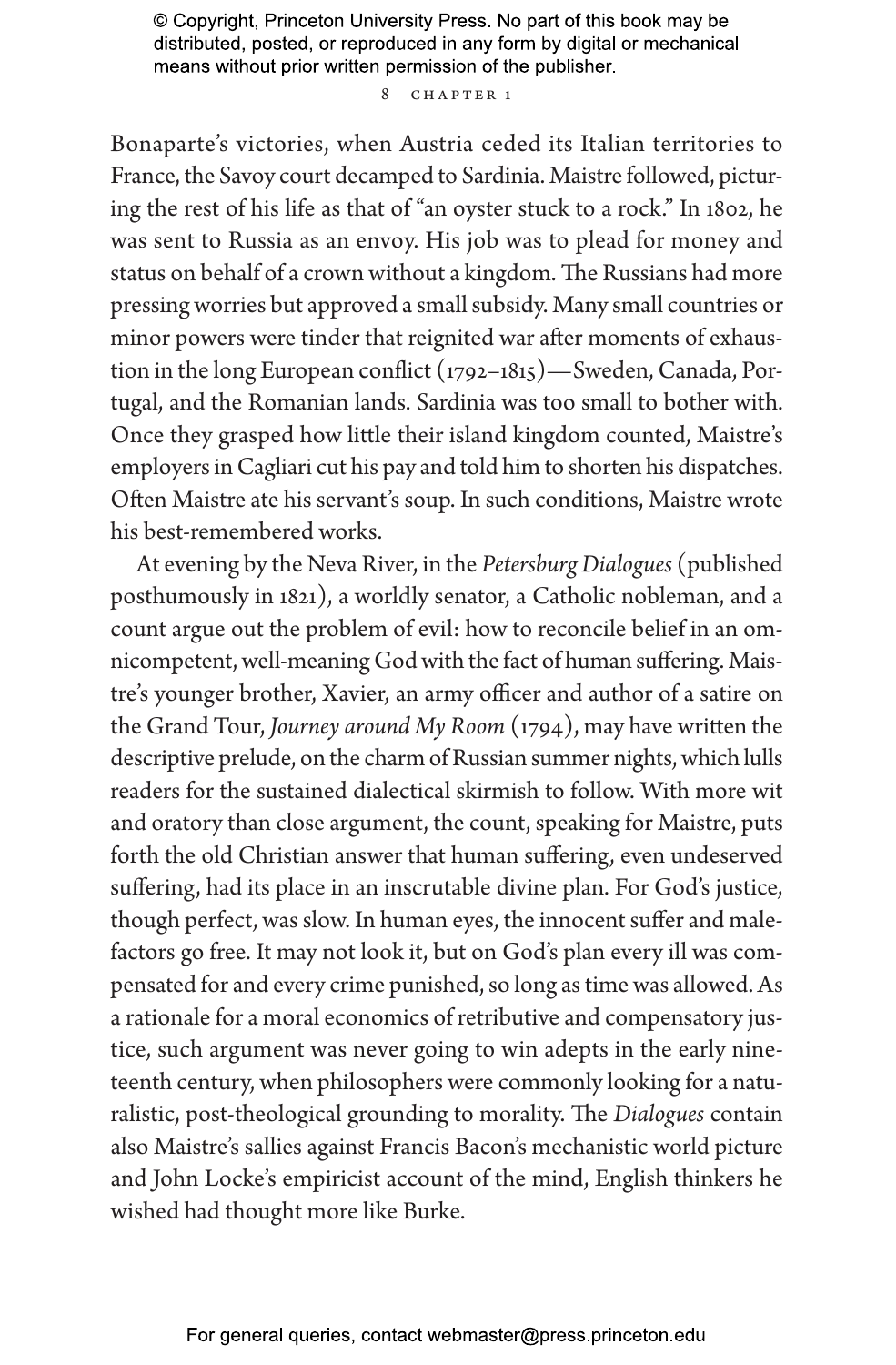#### 8 CHAPTER 1

Bonaparte's victories, when Austria ceded its Italian territories to France, the Savoy court decamped to Sardinia. Maistre followed, picturing the rest of his life as that of "an oyster stuck to a rock." In 1802, he was sent to Russia as an envoy. His job was to plead for money and status on behalf of a crown without a kingdom. The Russians had more pressing worries but approved a small subsidy. Many small countries or minor powers were tinder that reignited war after moments of exhaustion in the long European conflict (1792–1815)—Sweden, Canada, Portugal, and the Romanian lands. Sardinia was too small to bother with. Once they grasped how little their island kingdom counted, Maistre's employers in Cagliari cut his pay and told him to shorten his dispatches. Often Maistre ate his servant's soup. In such conditions, Maistre wrote his best-remembered works.

At evening by the Neva River, in the *Petersburg Dialogues* (published posthumously in 1821), a worldly senator, a Catholic nobleman, and a count argue out the problem of evil: how to reconcile belief in an omnicompetent, well-meaning God with the fact of human suffering. Maistre's younger brother, Xavier, an army officer and author of a satire on the Grand Tour, *Journey around My Room* (1794), may have written the descriptive prelude, on the charm of Russian summer nights, which lulls readers for the sustained dialectical skirmish to follow. With more wit and oratory than close argument, the count, speaking for Maistre, puts forth the old Christian answer that human suffering, even undeserved suffering, had its place in an inscrutable divine plan. For God's justice, though perfect, was slow. In human eyes, the innocent suffer and malefactors go free. It may not look it, but on God's plan every ill was compensated for and every crime punished, so long as time was allowed. As a rationale for a moral economics of retributive and compensatory justice, such argument was never going to win adepts in the early nineteenth century, when philosophers were commonly looking for a naturalistic, post-theological grounding to morality. The *Dialogues* contain also Maistre's sallies against Francis Bacon's mechanistic world picture and John Locke's empiricist account of the mind, English thinkers he wished had thought more like Burke.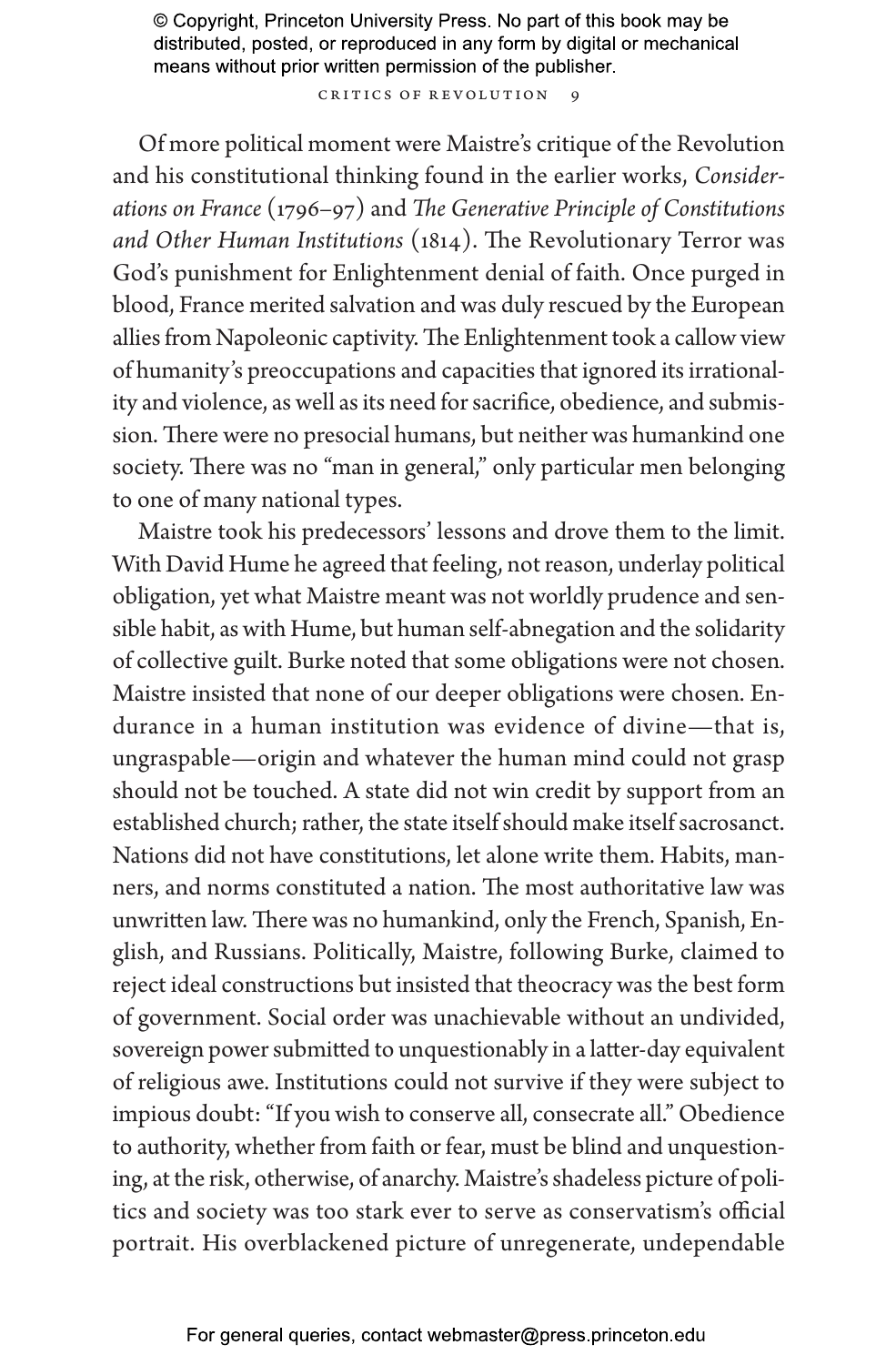CRITICS OF REVOLUTION

Of more political moment were Maistre's critique of the Revolution and his constitutional thinking found in the earlier works, *Considerations on France* (1796–97) and *The Generative Principle of Constitutions and Other Human Institutions* (1814). The Revolutionary Terror was God's punishment for Enlightenment denial of faith. Once purged in blood, France merited salvation and was duly rescued by the European allies from Napoleonic captivity. The Enlightenment took a callow view of humanity's preoccupations and capacities that ignored its irrationality and violence, as well as its need for sacrifice, obedience, and submission. There were no presocial humans, but neither was humankind one society. There was no "man in general," only particular men belonging to one of many national types.

Maistre took his predecessors' lessons and drove them to the limit. With David Hume he agreed that feeling, not reason, underlay political obligation, yet what Maistre meant was not worldly prudence and sensible habit, as with Hume, but human self-abnegation and the solidarity of collective guilt. Burke noted that some obligations were not chosen. Maistre insisted that none of our deeper obligations were chosen. Endurance in a human institution was evidence of divine—that is, ungraspable—origin and whatever the human mind could not grasp should not be touched. A state did not win credit by support from an established church; rather, the state itself should make itself sacrosanct. Nations did not have constitutions, let alone write them. Habits, manners, and norms constituted a nation. The most authoritative law was unwritten law. There was no humankind, only the French, Spanish, English, and Russians. Politically, Maistre, following Burke, claimed to reject ideal constructions but insisted that theocracy was the best form of government. Social order was unachievable without an undivided, sovereign power submitted to unquestionably in a latter-day equivalent of religious awe. Institutions could not survive if they were subject to impious doubt: "If you wish to conserve all, consecrate all." Obedience to authority, whether from faith or fear, must be blind and unquestioning, at the risk, otherwise, of anarchy. Maistre's shadeless picture of politics and society was too stark ever to serve as conservatism's official portrait. His overblackened picture of unregenerate, undependable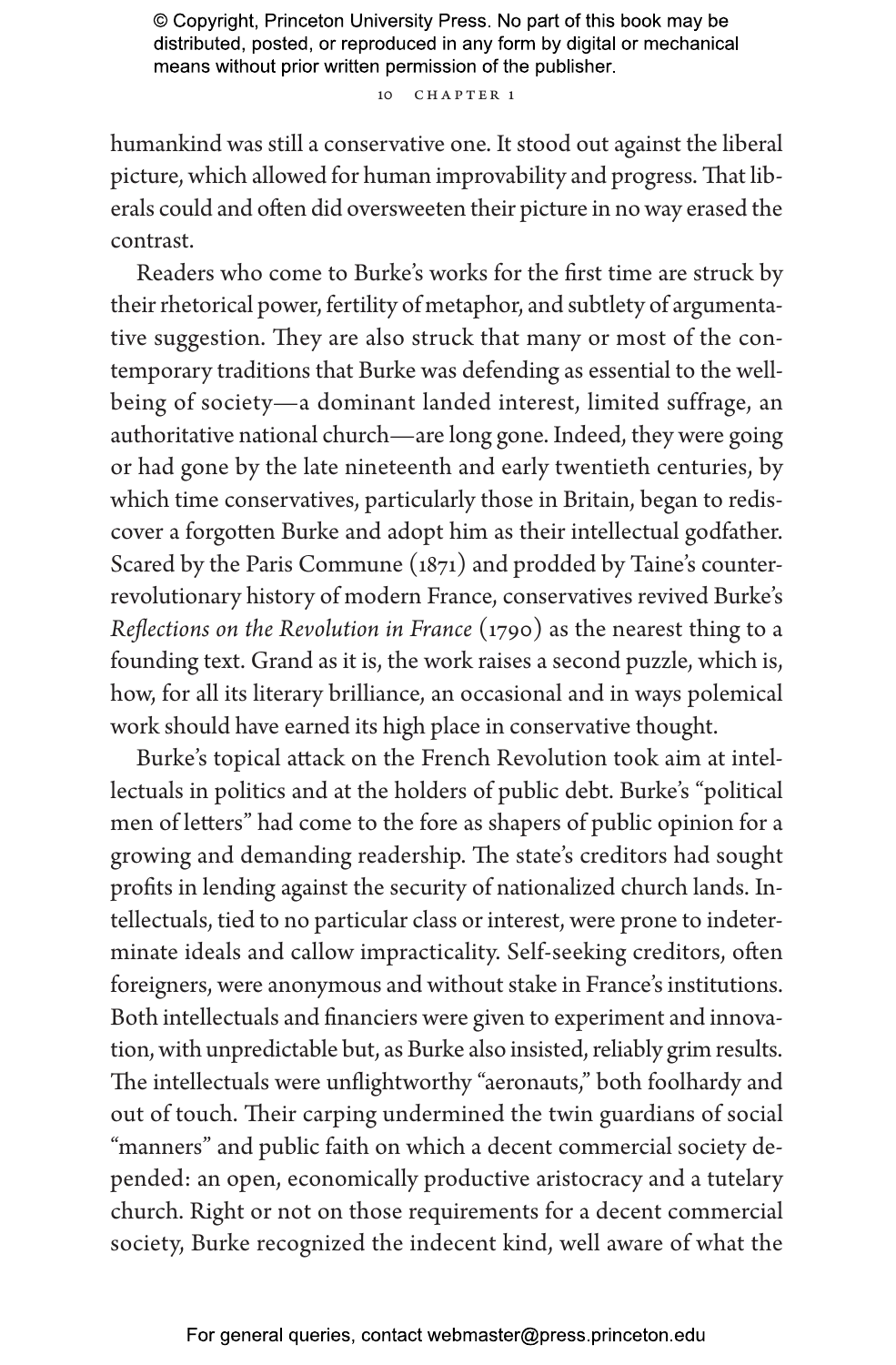#### 10 CHAPTER 1

humankind was still a conservative one. It stood out against the liberal picture, which allowed for human improvability and progress. That liberals could and often did oversweeten their picture in no way erased the contrast.

Readers who come to Burke's works for the first time are struck by their rhetorical power, fertility of metaphor, and subtlety of argumentative suggestion. They are also struck that many or most of the contemporary traditions that Burke was defending as essential to the wellbeing of society—a dominant landed interest, limited suffrage, an authoritative national church—are long gone. Indeed, they were going or had gone by the late nineteenth and early twentieth centuries, by which time conservatives, particularly those in Britain, began to rediscover a forgotten Burke and adopt him as their intellectual godfather. Scared by the Paris Commune (1871) and prodded by Taine's counterrevolutionary history of modern France, conservatives revived Burke's *Reflections on the Revolution in France* (1790) as the nearest thing to a founding text. Grand as it is, the work raises a second puzzle, which is, how, for all its literary brilliance, an occasional and in ways polemical work should have earned its high place in conservative thought.

Burke's topical attack on the French Revolution took aim at intellectuals in politics and at the holders of public debt. Burke's "political men of letters" had come to the fore as shapers of public opinion for a growing and demanding readership. The state's creditors had sought profits in lending against the security of nationalized church lands. Intellectuals, tied to no particular class or interest, were prone to indeterminate ideals and callow impracticality. Self-seeking creditors, often foreigners, were anonymous and without stake in France's institutions. Both intellectuals and financiers were given to experiment and innovation, with unpredictable but, as Burke also insisted, reliably grim results. The intellectuals were unflightworthy "aeronauts," both foolhardy and out of touch. Their carping undermined the twin guardians of social "manners" and public faith on which a decent commercial society depended: an open, economically productive aristocracy and a tutelary church. Right or not on those requirements for a decent commercial society, Burke recognized the indecent kind, well aware of what the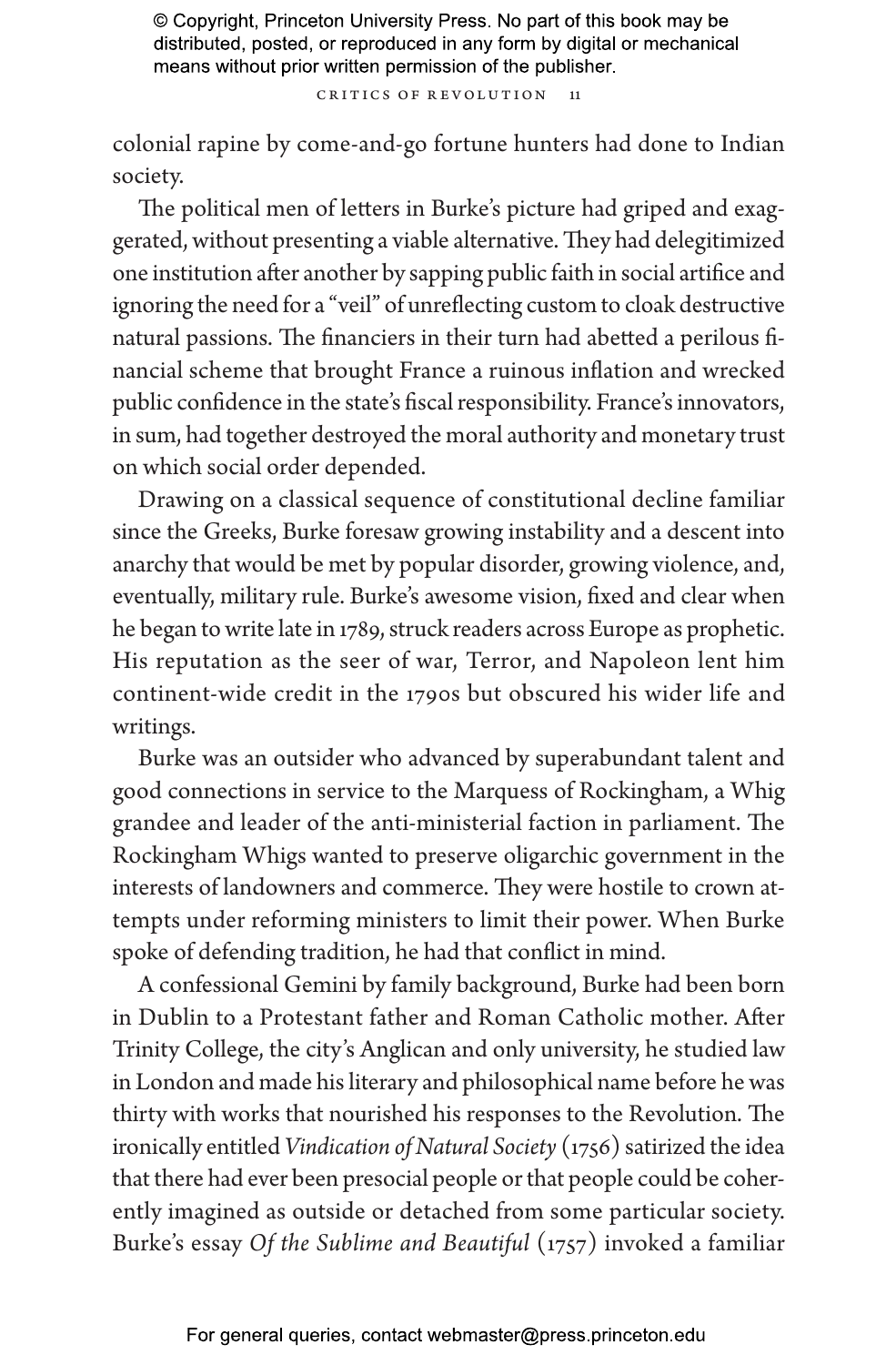CRITICS OF REVOLUTION

colonial rapine by come-and-go fortune hunters had done to Indian society.

The political men of letters in Burke's picture had griped and exaggerated, without presenting a viable alternative. They had delegitimized one institution after another by sapping public faith in social artifice and ignoring the need for a "veil" of unreflecting custom to cloak destructive natural passions. The financiers in their turn had abetted a perilous financial scheme that brought France a ruinous inflation and wrecked public confidence in the state's fiscal responsibility. France's innovators, in sum, had together destroyed the moral authority and monetary trust on which social order depended.

Drawing on a classical sequence of constitutional decline familiar since the Greeks, Burke foresaw growing instability and a descent into anarchy that would be met by popular disorder, growing violence, and, eventually, military rule. Burke's awesome vision, fixed and clear when he began to write late in 1789, struck readers across Europe as prophetic. His reputation as the seer of war, Terror, and Napoleon lent him continent-wide credit in the 1790s but obscured his wider life and writings.

Burke was an outsider who advanced by superabundant talent and good connections in service to the Marquess of Rockingham, a Whig grandee and leader of the anti-ministerial faction in parliament. The Rockingham Whigs wanted to preserve oligarchic government in the interests of landowners and commerce. They were hostile to crown attempts under reforming ministers to limit their power. When Burke spoke of defending tradition, he had that conflict in mind.

A confessional Gemini by family background, Burke had been born in Dublin to a Protestant father and Roman Catholic mother. After Trinity College, the city's Anglican and only university, he studied law in London and made his literary and philosophical name before he was thirty with works that nourished his responses to the Revolution. The ironically entitled *Vindication of Natural Society* (1756) satirized the idea that there had ever been presocial people or that people could be coherently imagined as outside or detached from some particular society. Burke's essay *Of the Sublime and Beautiful* (1757) invoked a familiar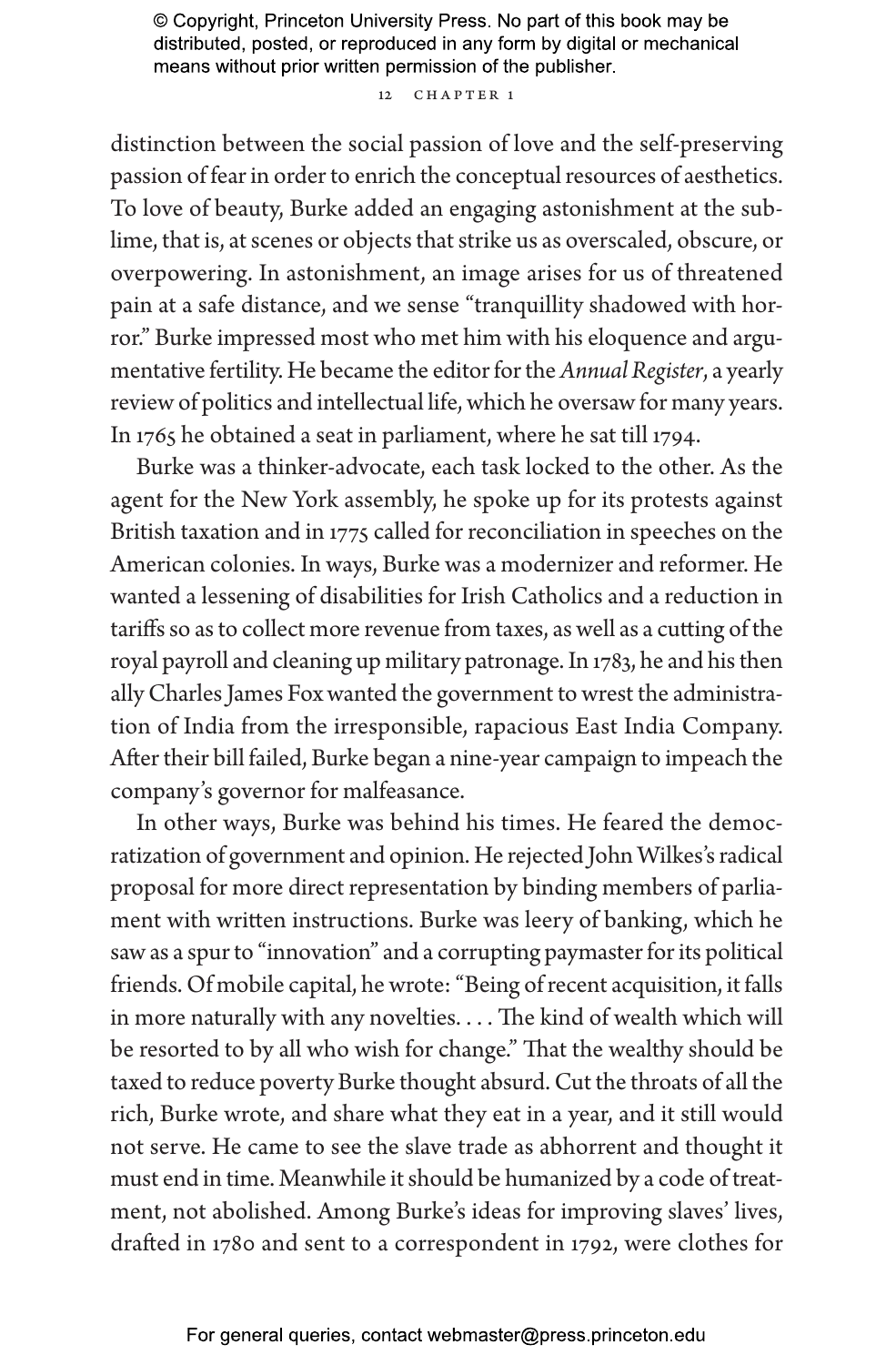#### 12 CHAPTER 1

distinction between the social passion of love and the self-preserving passion of fear in order to enrich the conceptual resources of aesthetics. To love of beauty, Burke added an engaging astonishment at the sublime, that is, at scenes or objects that strike us as overscaled, obscure, or overpowering. In astonishment, an image arises for us of threatened pain at a safe distance, and we sense "tranquillity shadowed with horror." Burke impressed most who met him with his eloquence and argumentative fertility. He became the editor for the *Annual Register*, a yearly review of politics and intellectual life, which he oversaw for many years. In 1765 he obtained a seat in parliament, where he sat till 1794.

Burke was a thinker-advocate, each task locked to the other. As the agent for the New York assembly, he spoke up for its protests against British taxation and in 1775 called for reconciliation in speeches on the American colonies. In ways, Burke was a modernizer and reformer. He wanted a lessening of disabilities for Irish Catholics and a reduction in tariffs so as to collect more revenue from taxes, as well as a cutting of the royal payroll and cleaning up military patronage. In 1783, he and his then ally Charles James Fox wanted the government to wrest the administration of India from the irresponsible, rapacious East India Company. After their bill failed, Burke began a nine-year campaign to impeach the company's governor for malfeasance.

In other ways, Burke was behind his times. He feared the democratization of government and opinion. He rejected John Wilkes's radical proposal for more direct representation by binding members of parliament with written instructions. Burke was leery of banking, which he saw as a spur to "innovation" and a corrupting paymaster for its political friends. Of mobile capital, he wrote: "Being of recent acquisition, it falls in more naturally with any novelties. . . . The kind of wealth which will be resorted to by all who wish for change." That the wealthy should be taxed to reduce poverty Burke thought absurd. Cut the throats of all the rich, Burke wrote, and share what they eat in a year, and it still would not serve. He came to see the slave trade as abhorrent and thought it must end in time. Meanwhile it should be humanized by a code of treatment, not abolished. Among Burke's ideas for improving slaves' lives, drafted in 1780 and sent to a correspondent in 1792, were clothes for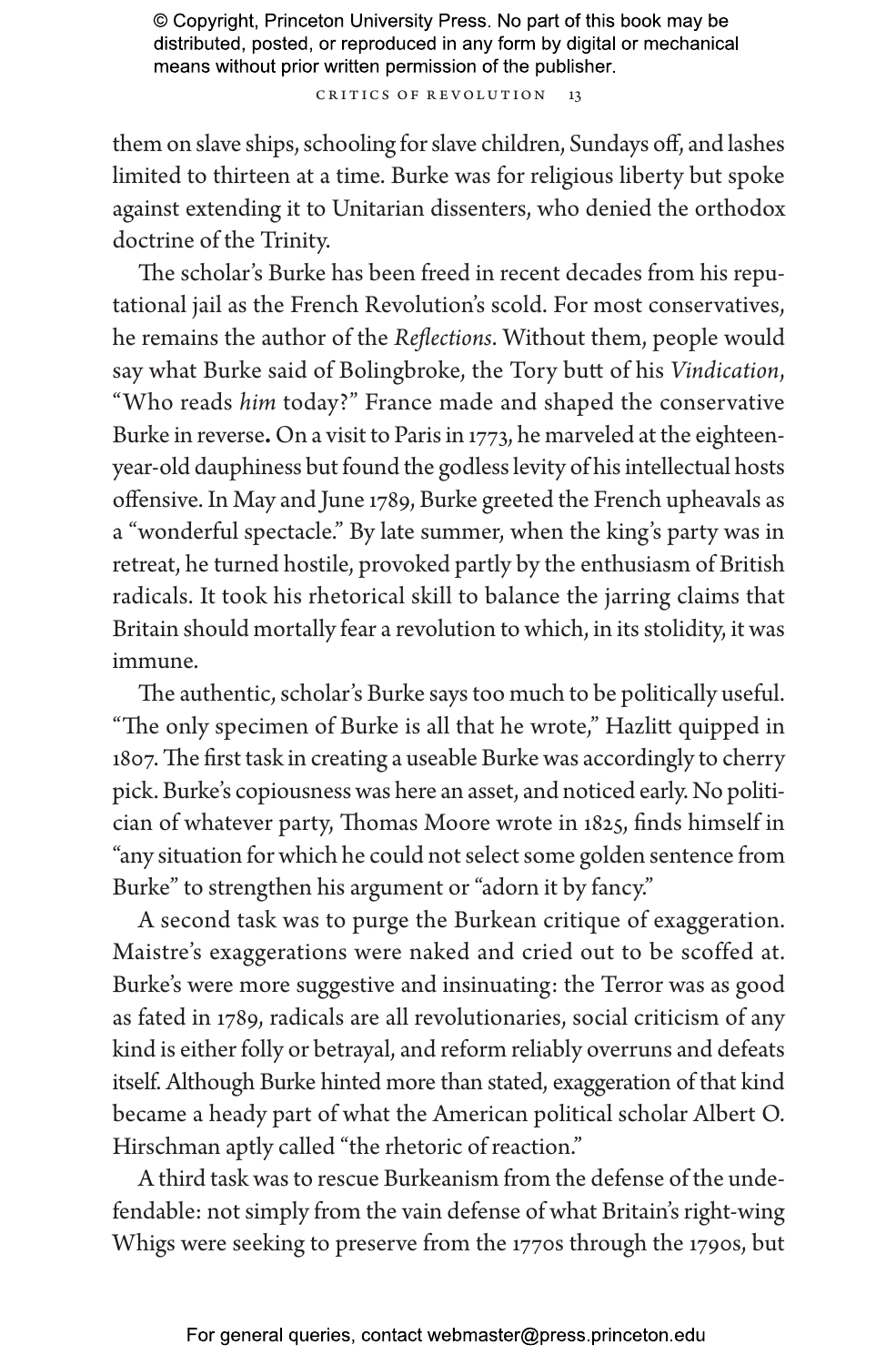CRITICS OF REVOLUTION

them on slave ships, schooling for slave children, Sundays off, and lashes limited to thirteen at a time. Burke was for religious liberty but spoke against extending it to Unitarian dissenters, who denied the orthodox doctrine of the Trinity.

The scholar's Burke has been freed in recent decades from his reputational jail as the French Revolution's scold. For most conservatives, he remains the author of the *Reflections*. Without them, people would say what Burke said of Bolingbroke, the Tory butt of his *Vindication*, "Who reads *him* today?" France made and shaped the conservative Burke in reverse**.** On a visit to Paris in 1773, he marveled at the eighteenyear-old dauphiness but found the godless levity of his intellectual hosts offensive. In May and June 1789, Burke greeted the French upheavals as a "wonderful spectacle." By late summer, when the king's party was in retreat, he turned hostile, provoked partly by the enthusiasm of British radicals. It took his rhetorical skill to balance the jarring claims that Britain should mortally fear a revolution to which, in its stolidity, it was immune.

The authentic, scholar's Burke says too much to be politically useful. "The only specimen of Burke is all that he wrote," Hazlitt quipped in 1807. The first task in creating a useable Burke was accordingly to cherry pick. Burke's copiousness was here an asset, and noticed early. No politician of whatever party, Thomas Moore wrote in 1825, finds himself in "any situation for which he could not select some golden sentence from Burke" to strengthen his argument or "adorn it by fancy."

A second task was to purge the Burkean critique of exaggeration. Maistre's exaggerations were naked and cried out to be scoffed at. Burke's were more suggestive and insinuating: the Terror was as good as fated in 1789, radicals are all revolutionaries, social criticism of any kind is either folly or betrayal, and reform reliably overruns and defeats itself. Although Burke hinted more than stated, exaggeration of that kind became a heady part of what the American political scholar Albert O. Hirschman aptly called "the rhetoric of reaction."

A third task was to rescue Burkeanism from the defense of the undefendable: not simply from the vain defense of what Britain's right-wing Whigs were seeking to preserve from the 1770s through the 1790s, but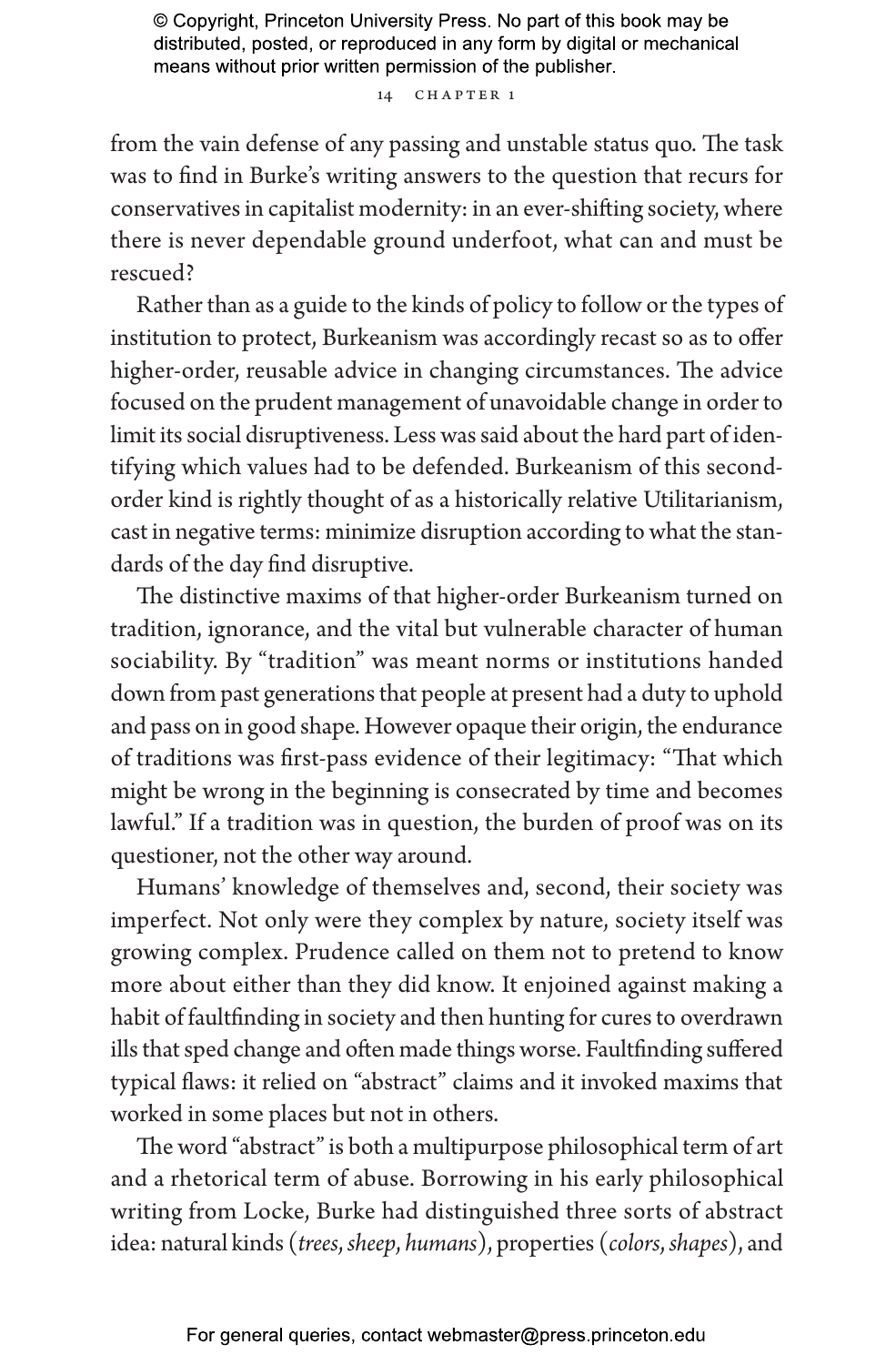#### 14 CHAPTER 1

from the vain defense of any passing and unstable status quo. The task was to find in Burke's writing answers to the question that recurs for conservatives in capitalist modernity: in an ever-shifting society, where there is never dependable ground underfoot, what can and must be rescued?

Rather than as a guide to the kinds of policy to follow or the types of institution to protect, Burkeanism was accordingly recast so as to offer higher-order, reusable advice in changing circumstances. The advice focused on the prudent management of unavoidable change in order to limit its social disruptiveness. Less was said about the hard part of identifying which values had to be defended. Burkeanism of this secondorder kind is rightly thought of as a historically relative Utilitarianism, cast in negative terms: minimize disruption according to what the standards of the day find disruptive.

The distinctive maxims of that higher-order Burkeanism turned on tradition, ignorance, and the vital but vulnerable character of human sociability. By "tradition" was meant norms or institutions handed down from past generations that people at present had a duty to uphold and pass on in good shape. However opaque their origin, the endurance of traditions was first-pass evidence of their legitimacy: "That which might be wrong in the beginning is consecrated by time and becomes lawful." If a tradition was in question, the burden of proof was on its questioner, not the other way around.

Humans' knowledge of themselves and, second, their society was imperfect. Not only were they complex by nature, society itself was growing complex. Prudence called on them not to pretend to know more about either than they did know. It enjoined against making a habit of faultfinding in society and then hunting for cures to overdrawn ills that sped change and often made things worse. Faultfinding suffered typical flaws: it relied on "abstract" claims and it invoked maxims that worked in some places but not in others.

The word "abstract" is both a multipurpose philosophical term of art and a rhetorical term of abuse. Borrowing in his early philosophical writing from Locke, Burke had distinguished three sorts of abstract idea: natural kinds (*trees*, *sheep*, *humans*), properties (*colors*, *shapes*), and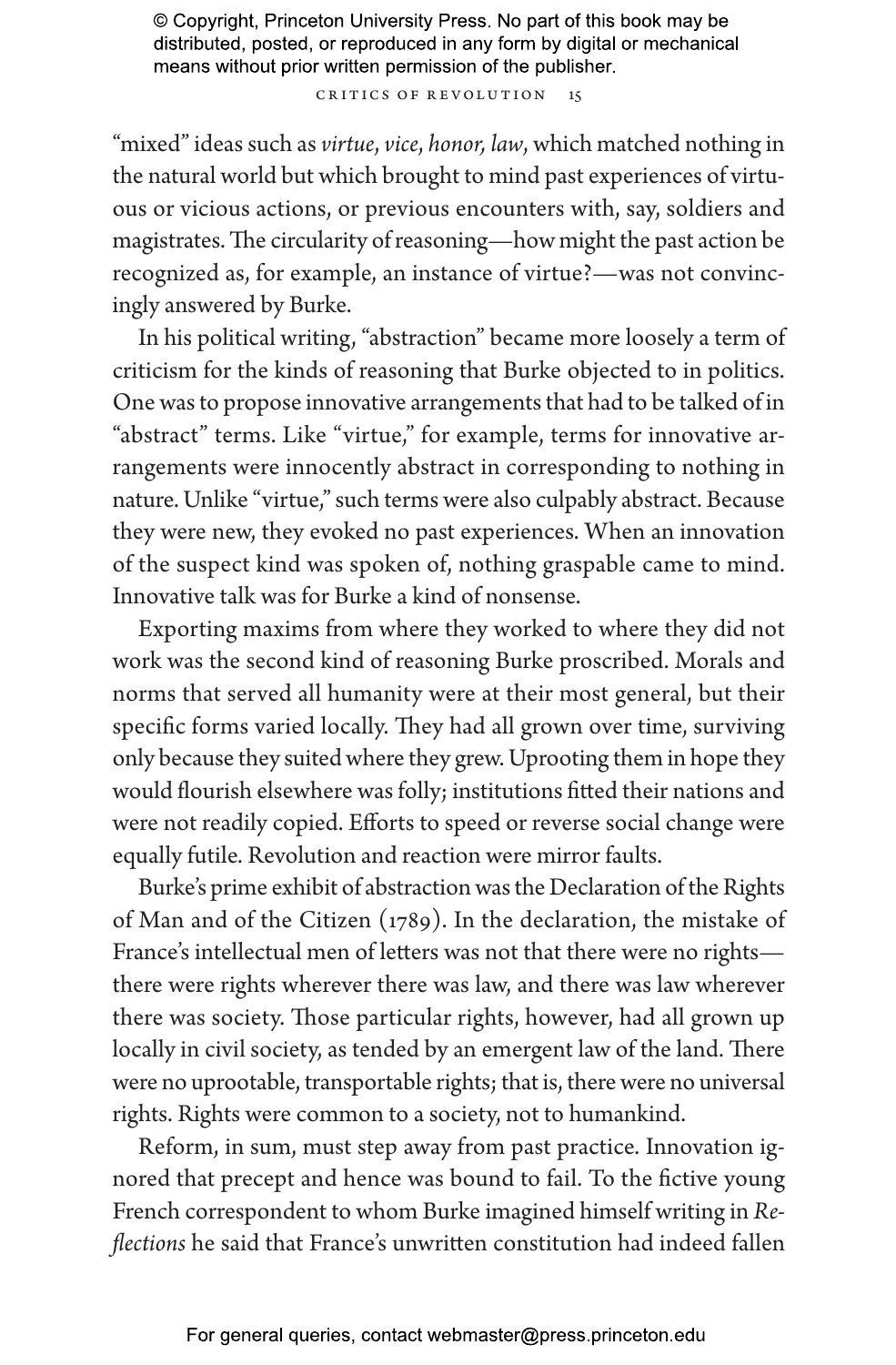CRITICS OF REVOLUTION

"mixed" ideas such as *virtue*, *vice*, *honor, law*, which matched nothing in the natural world but which brought to mind past experiences of virtuous or vicious actions, or previous encounters with, say, soldiers and magistrates. The circularity of reasoning—how might the past action be recognized as, for example, an instance of virtue?—was not convincingly answered by Burke.

In his political writing, "abstraction" became more loosely a term of criticism for the kinds of reasoning that Burke objected to in politics. One was to propose innovative arrangements that had to be talked of in "abstract" terms. Like "virtue," for example, terms for innovative arrangements were innocently abstract in corresponding to nothing in nature. Unlike "virtue," such terms were also culpably abstract. Because they were new, they evoked no past experiences. When an innovation of the suspect kind was spoken of, nothing graspable came to mind. Innovative talk was for Burke a kind of nonsense.

Exporting maxims from where they worked to where they did not work was the second kind of reasoning Burke proscribed. Morals and norms that served all humanity were at their most general, but their specific forms varied locally. They had all grown over time, surviving only because they suited where they grew. Uprooting them in hope they would flourish elsewhere was folly; institutions fitted their nations and were not readily copied. Efforts to speed or reverse social change were equally futile. Revolution and reaction were mirror faults.

Burke's prime exhibit of abstraction was the Declaration of the Rights of Man and of the Citizen (1789). In the declaration, the mistake of France's intellectual men of letters was not that there were no rights there were rights wherever there was law, and there was law wherever there was society. Those particular rights, however, had all grown up locally in civil society, as tended by an emergent law of the land. There were no uprootable, transportable rights; that is, there were no universal rights. Rights were common to a society, not to humankind.

Reform, in sum, must step away from past practice. Innovation ignored that precept and hence was bound to fail. To the fictive young French correspondent to whom Burke imagined himself writing in *Reflections* he said that France's unwritten constitution had indeed fallen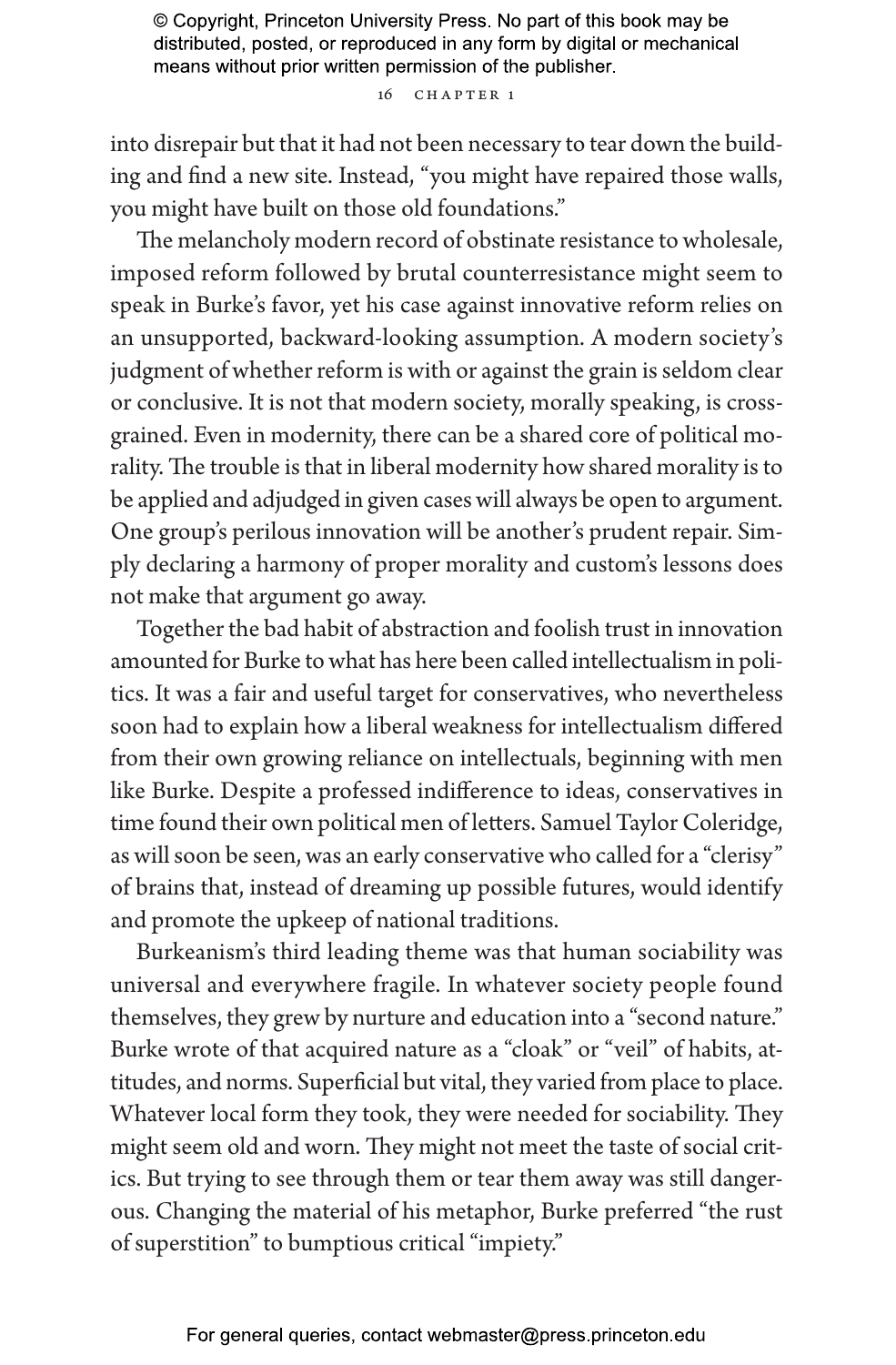#### 16 CHAPTER 1

into disrepair but that it had not been necessary to tear down the building and find a new site. Instead, "you might have repaired those walls, you might have built on those old foundations."

The melancholy modern record of obstinate resistance to wholesale, imposed reform followed by brutal counterresistance might seem to speak in Burke's favor, yet his case against innovative reform relies on an unsupported, backward-looking assumption. A modern society's judgment of whether reform is with or against the grain is seldom clear or conclusive. It is not that modern society, morally speaking, is crossgrained. Even in modernity, there can be a shared core of political morality. The trouble is that in liberal modernity how shared morality is to be applied and adjudged in given cases will always be open to argument. One group's perilous innovation will be another's prudent repair. Simply declaring a harmony of proper morality and custom's lessons does not make that argument go away.

Together the bad habit of abstraction and foolish trust in innovation amounted for Burke to what has here been called intellectualism in politics. It was a fair and useful target for conservatives, who nevertheless soon had to explain how a liberal weakness for intellectualism differed from their own growing reliance on intellectuals, beginning with men like Burke. Despite a professed indifference to ideas, conservatives in time found their own political men of letters. Samuel Taylor Coleridge, as will soon be seen, was an early conservative who called for a "clerisy" of brains that, instead of dreaming up possible futures, would identify and promote the upkeep of national traditions.

Burkeanism's third leading theme was that human sociability was universal and everywhere fragile. In whatever society people found themselves, they grew by nurture and education into a "second nature." Burke wrote of that acquired nature as a "cloak" or "veil" of habits, attitudes, and norms. Superficial but vital, they varied from place to place. Whatever local form they took, they were needed for sociability. They might seem old and worn. They might not meet the taste of social critics. But trying to see through them or tear them away was still dangerous. Changing the material of his metaphor, Burke preferred "the rust of superstition" to bumptious critical "impiety."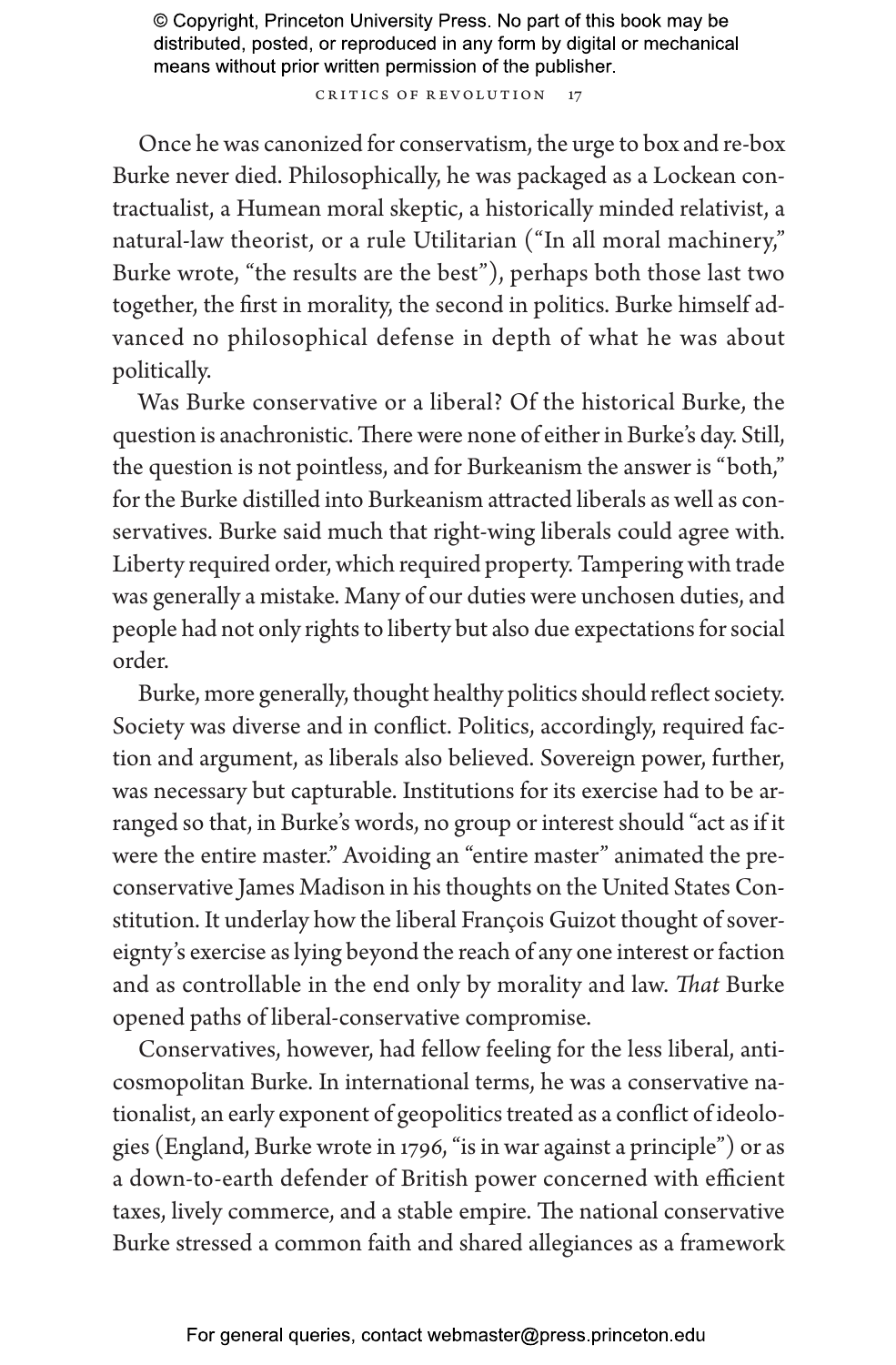CRITICS OF REVOLUTION

Once he was canonized for conservatism, the urge to box and re-box Burke never died. Philosophically, he was packaged as a Lockean contractualist, a Humean moral skeptic, a historically minded relativist, a natural-law theorist, or a rule Utilitarian ("In all moral machinery," Burke wrote, "the results are the best"), perhaps both those last two together, the first in morality, the second in politics. Burke himself advanced no philosophical defense in depth of what he was about politically.

Was Burke conservative or a liberal? Of the historical Burke, the question is anachronistic. There were none of either in Burke's day. Still, the question is not pointless, and for Burkeanism the answer is "both," for the Burke distilled into Burkeanism attracted liberals as well as conservatives. Burke said much that right-wing liberals could agree with. Liberty required order, which required property. Tampering with trade was generally a mistake. Many of our duties were unchosen duties, and people had not only rights to liberty but also due expectations for social order.

Burke, more generally, thought healthy politics should reflect society. Society was diverse and in conflict. Politics, accordingly, required faction and argument, as liberals also believed. Sovereign power, further, was necessary but capturable. Institutions for its exercise had to be arranged so that, in Burke's words, no group or interest should "act as if it were the entire master." Avoiding an "entire master" animated the preconservative James Madison in his thoughts on the United States Constitution. It underlay how the liberal François Guizot thought of sovereignty's exercise as lying beyond the reach of any one interest or faction and as controllable in the end only by morality and law. *That* Burke opened paths of liberal-conservative compromise.

Conservatives, however, had fellow feeling for the less liberal, anticosmopolitan Burke. In international terms, he was a conservative nationalist, an early exponent of geopolitics treated as a conflict of ideologies (England, Burke wrote in 1796, "is in war against a principle") or as a down-to-earth defender of British power concerned with efficient taxes, lively commerce, and a stable empire. The national conservative Burke stressed a common faith and shared allegiances as a framework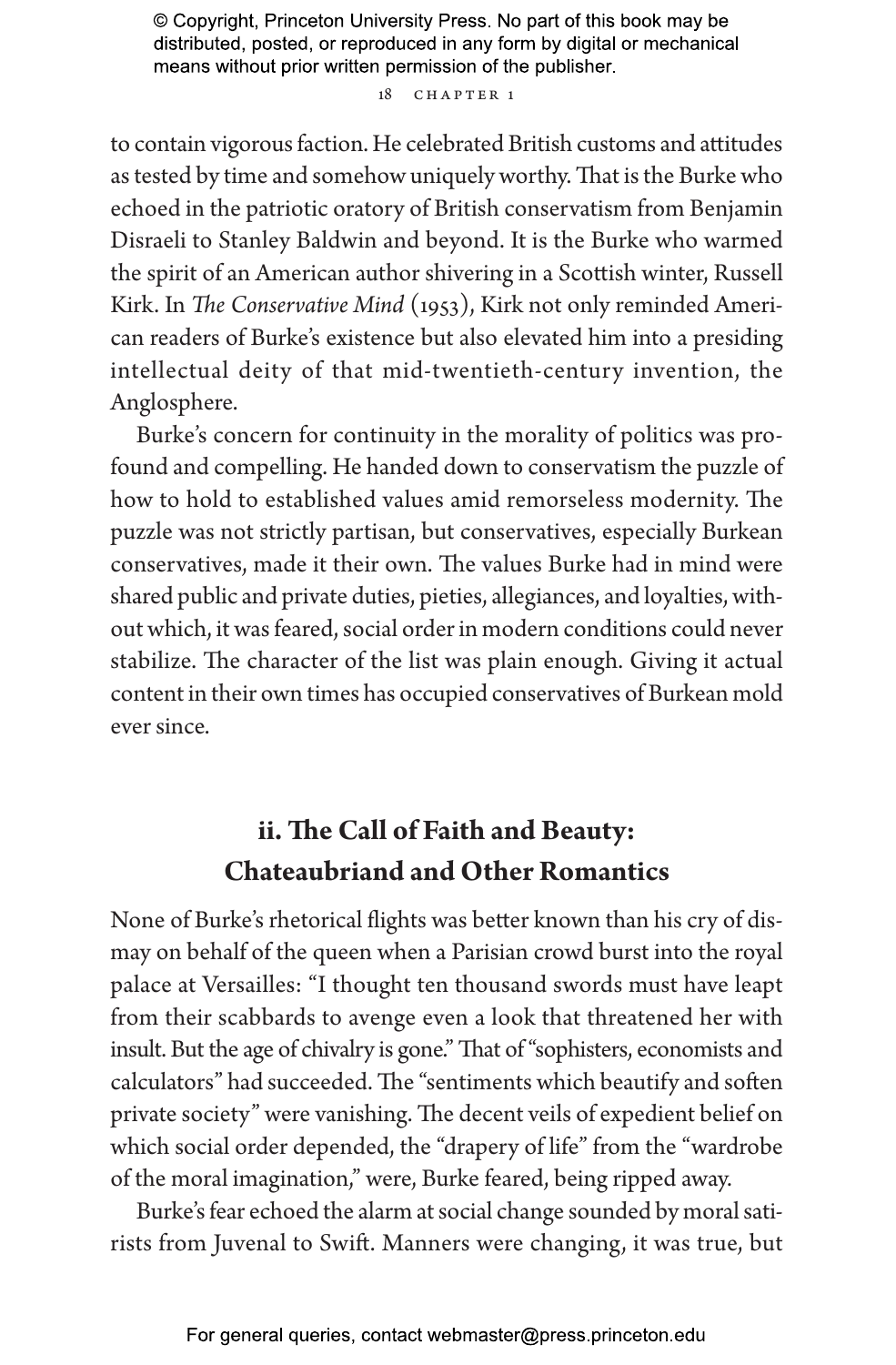#### 18 CHAPTER 1

to contain vigorous faction. He celebrated British customs and attitudes as tested by time and somehow uniquely worthy. That is the Burke who echoed in the patriotic oratory of British conservatism from Benjamin Disraeli to Stanley Baldwin and beyond. It is the Burke who warmed the spirit of an American author shivering in a Scottish winter, Russell Kirk. In *The Conservative Mind* (1953), Kirk not only reminded American readers of Burke's existence but also elevated him into a presiding intellectual deity of that mid-twentieth-century invention, the Anglosphere.

Burke's concern for continuity in the morality of politics was profound and compelling. He handed down to conservatism the puzzle of how to hold to established values amid remorseless modernity. The puzzle was not strictly partisan, but conservatives, especially Burkean conservatives, made it their own. The values Burke had in mind were shared public and private duties, pieties, allegiances, and loyalties, without which, it was feared, social order in modern conditions could never stabilize. The character of the list was plain enough. Giving it actual content in their own times has occupied conservatives of Burkean mold ever since.

# **ii. The Call of Faith and Beauty: Chateaubriand and Other Romantics**

None of Burke's rhetorical flights was better known than his cry of dismay on behalf of the queen when a Parisian crowd burst into the royal palace at Versailles: "I thought ten thousand swords must have leapt from their scabbards to avenge even a look that threatened her with insult. But the age of chivalry is gone." That of "sophisters, economists and calculators" had succeeded. The "sentiments which beautify and soften private society" were vanishing. The decent veils of expedient belief on which social order depended, the "drapery of life" from the "wardrobe of the moral imagination," were, Burke feared, being ripped away.

Burke's fear echoed the alarm at social change sounded by moral satirists from Juvenal to Swift. Manners were changing, it was true, but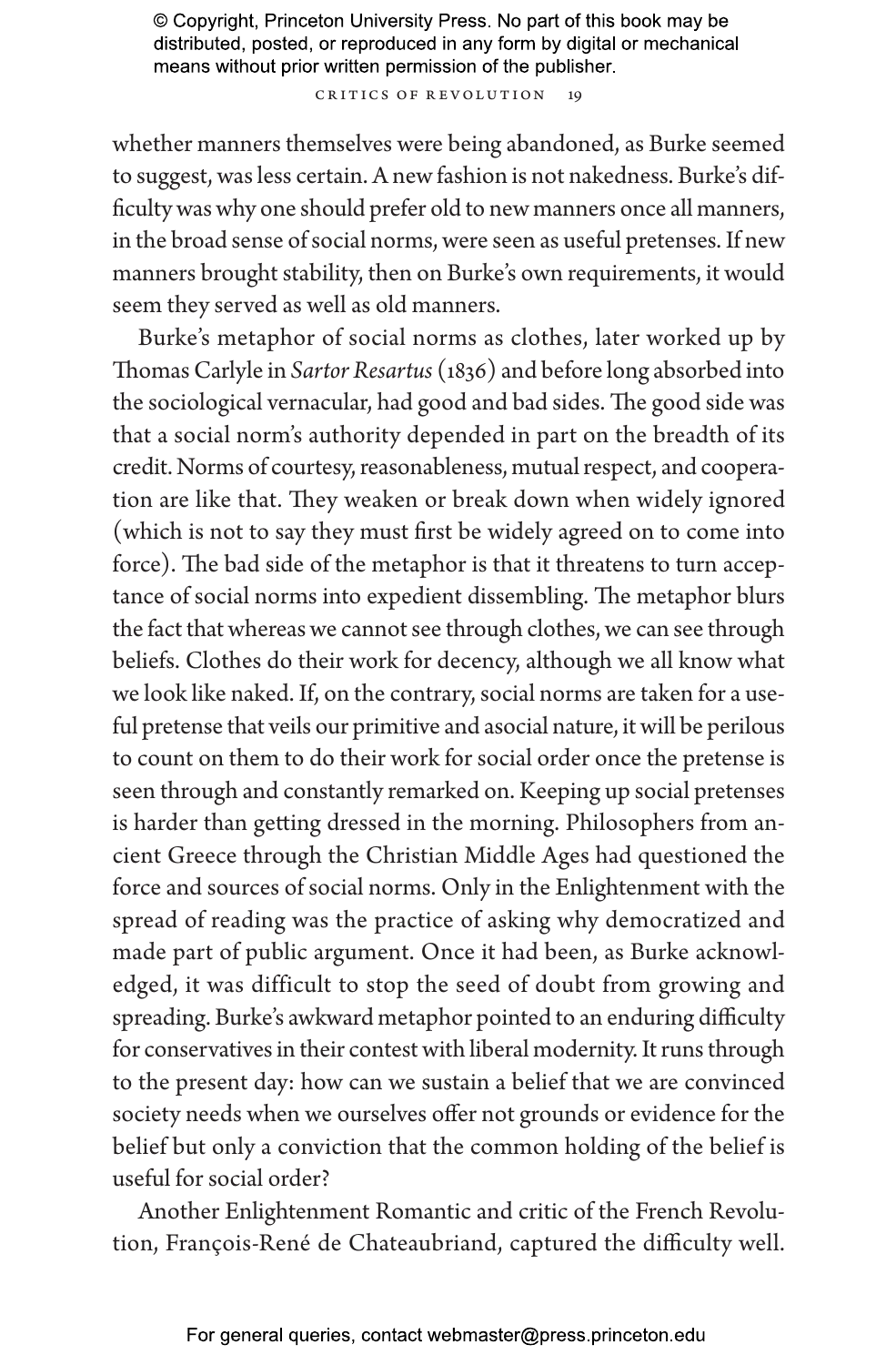CRITICS OF REVOLUTION

whether manners themselves were being abandoned, as Burke seemed to suggest, was less certain. A new fashion is not nakedness. Burke's difficulty was why one should prefer old to new manners once all manners, in the broad sense of social norms, were seen as useful pretenses. If new manners brought stability, then on Burke's own requirements, it would seem they served as well as old manners.

Burke's metaphor of social norms as clothes, later worked up by Thomas Carlyle in *Sartor Resartus* (1836) and before long absorbed into the sociological vernacular, had good and bad sides. The good side was that a social norm's authority depended in part on the breadth of its credit. Norms of courtesy, reasonableness, mutual respect, and cooperation are like that. They weaken or break down when widely ignored (which is not to say they must first be widely agreed on to come into force). The bad side of the metaphor is that it threatens to turn acceptance of social norms into expedient dissembling. The metaphor blurs the fact that whereas we cannot see through clothes, we can see through beliefs. Clothes do their work for decency, although we all know what we look like naked. If, on the contrary, social norms are taken for a useful pretense that veils our primitive and asocial nature, it will be perilous to count on them to do their work for social order once the pretense is seen through and constantly remarked on. Keeping up social pretenses is harder than getting dressed in the morning. Philosophers from ancient Greece through the Christian Middle Ages had questioned the force and sources of social norms. Only in the Enlightenment with the spread of reading was the practice of asking why democratized and made part of public argument. Once it had been, as Burke acknowledged, it was difficult to stop the seed of doubt from growing and spreading. Burke's awkward metaphor pointed to an enduring difficulty for conservatives in their contest with liberal modernity. It runs through to the present day: how can we sustain a belief that we are convinced society needs when we ourselves offer not grounds or evidence for the belief but only a conviction that the common holding of the belief is useful for social order?

Another Enlightenment Romantic and critic of the French Revolution, François-René de Chateaubriand, captured the difficulty well.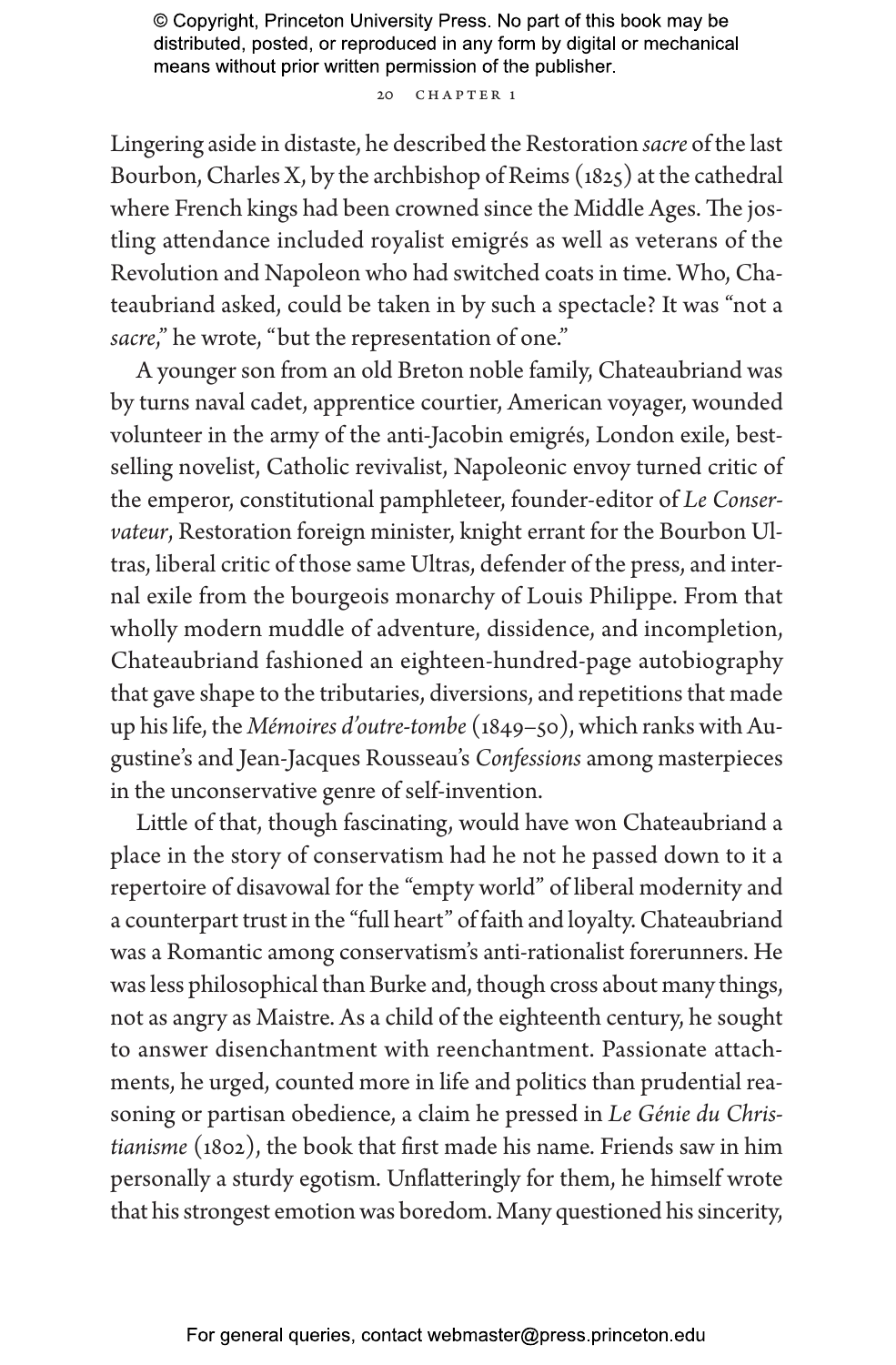#### 20 CHAPTER 1

Lingering aside in distaste, he described the Restoration *sacre* of the last Bourbon, Charles X, by the archbishop of Reims (1825) at the cathedral where French kings had been crowned since the Middle Ages. The jostling attendance included royalist emigrés as well as veterans of the Revolution and Napoleon who had switched coats in time. Who, Chateaubriand asked, could be taken in by such a spectacle? It was "not a *sacre*," he wrote, "but the representation of one."

A younger son from an old Breton noble family, Chateaubriand was by turns naval cadet, apprentice courtier, American voyager, wounded volunteer in the army of the anti-Jacobin emigrés, London exile, bestselling novelist, Catholic revivalist, Napoleonic envoy turned critic of the emperor, constitutional pamphleteer, founder-editor of *Le Conservateur*, Restoration foreign minister, knight errant for the Bourbon Ultras, liberal critic of those same Ultras, defender of the press, and internal exile from the bourgeois monarchy of Louis Philippe. From that wholly modern muddle of adventure, dissidence, and incompletion, Chateaubriand fashioned an eighteen-hundred-page autobiography that gave shape to the tributaries, diversions, and repetitions that made up his life, the *Mémoires d'outre-tombe* (1849–50), which ranks with Augustine's and Jean-Jacques Rousseau's *Confessions* among masterpieces in the unconservative genre of self-invention.

Little of that, though fascinating, would have won Chateaubriand a place in the story of conservatism had he not he passed down to it a repertoire of disavowal for the "empty world" of liberal modernity and a counterpart trust in the "full heart" of faith and loyalty. Chateaubriand was a Romantic among conservatism's anti-rationalist forerunners. He was less philosophical than Burke and, though cross about many things, not as angry as Maistre. As a child of the eighteenth century, he sought to answer disenchantment with reenchantment. Passionate attachments, he urged, counted more in life and politics than prudential reasoning or partisan obedience, a claim he pressed in *Le Génie du Christianisme* (1802), the book that first made his name. Friends saw in him personally a sturdy egotism. Unflatteringly for them, he himself wrote that his strongest emotion was boredom. Many questioned his sincerity,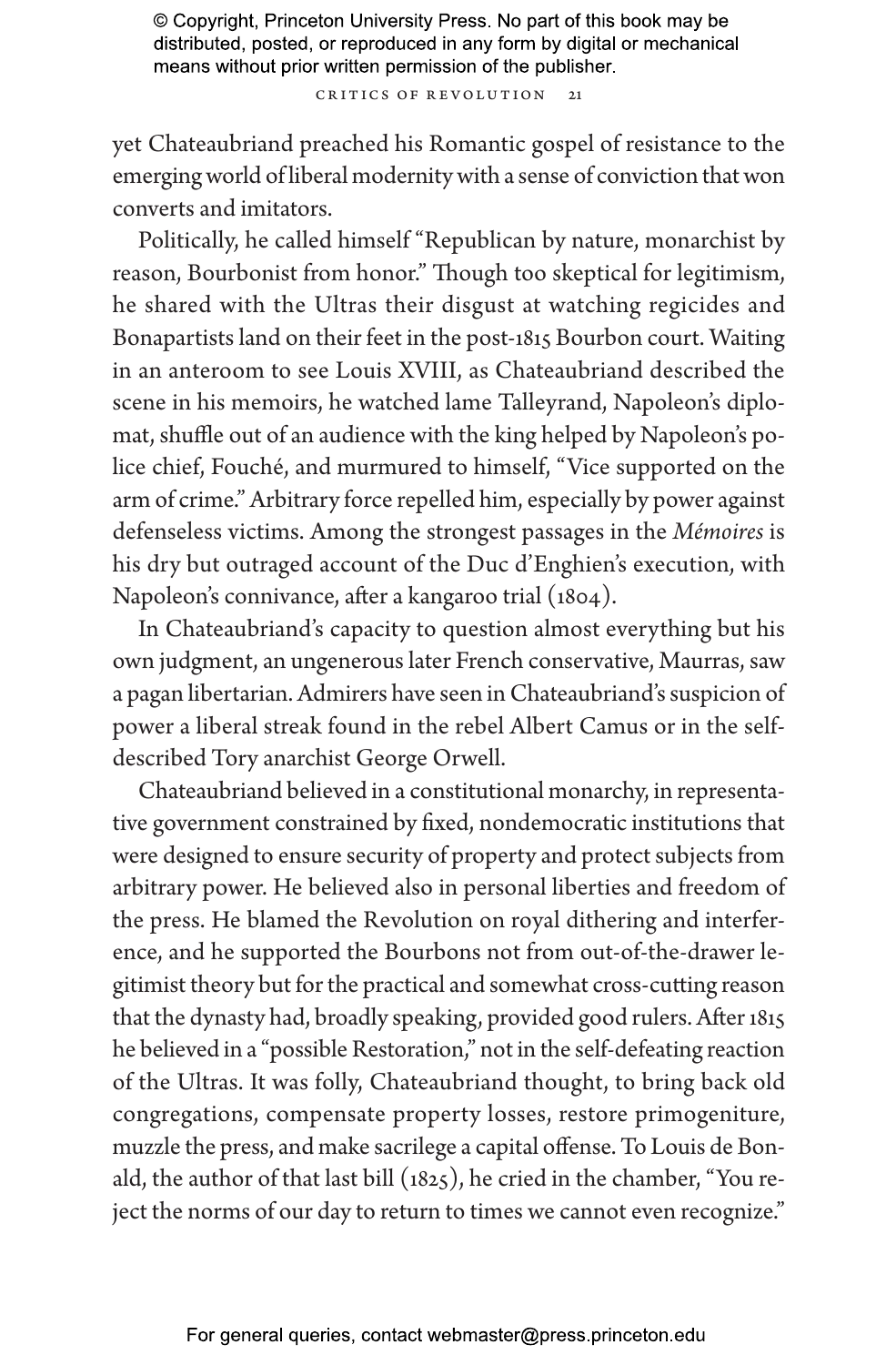CRITICS OF REVOLUTION

yet Chateaubriand preached his Romantic gospel of resistance to the emerging world of liberal modernity with a sense of conviction that won converts and imitators.

Politically, he called himself "Republican by nature, monarchist by reason, Bourbonist from honor." Though too skeptical for legitimism, he shared with the Ultras their disgust at watching regicides and Bonapartists land on their feet in the post-1815 Bourbon court. Waiting in an anteroom to see Louis XVIII, as Chateaubriand described the scene in his memoirs, he watched lame Talleyrand, Napoleon's diplomat, shuffle out of an audience with the king helped by Napoleon's police chief, Fouché, and murmured to himself, "Vice supported on the arm of crime." Arbitrary force repelled him, especially by power against defenseless victims. Among the strongest passages in the *Mémoires* is his dry but outraged account of the Duc d'Enghien's execution, with Napoleon's connivance, after a kangaroo trial (1804).

In Chateaubriand's capacity to question almost everything but his own judgment, an ungenerous later French conservative, Maurras, saw a pagan libertarian. Admirers have seen in Chateaubriand's suspicion of power a liberal streak found in the rebel Albert Camus or in the selfdescribed Tory anarchist George Orwell.

Chateaubriand believed in a constitutional monarchy, in representative government constrained by fixed, nondemocratic institutions that were designed to ensure security of property and protect subjects from arbitrary power. He believed also in personal liberties and freedom of the press. He blamed the Revolution on royal dithering and interference, and he supported the Bourbons not from out-of-the-drawer legitimist theory but for the practical and somewhat cross-cutting reason that the dynasty had, broadly speaking, provided good rulers. After 1815 he believed in a "possible Restoration," not in the self-defeating reaction of the Ultras. It was folly, Chateaubriand thought, to bring back old congregations, compensate property losses, restore primogeniture, muzzle the press, and make sacrilege a capital offense. To Louis de Bonald, the author of that last bill (1825), he cried in the chamber, "You reject the norms of our day to return to times we cannot even recognize."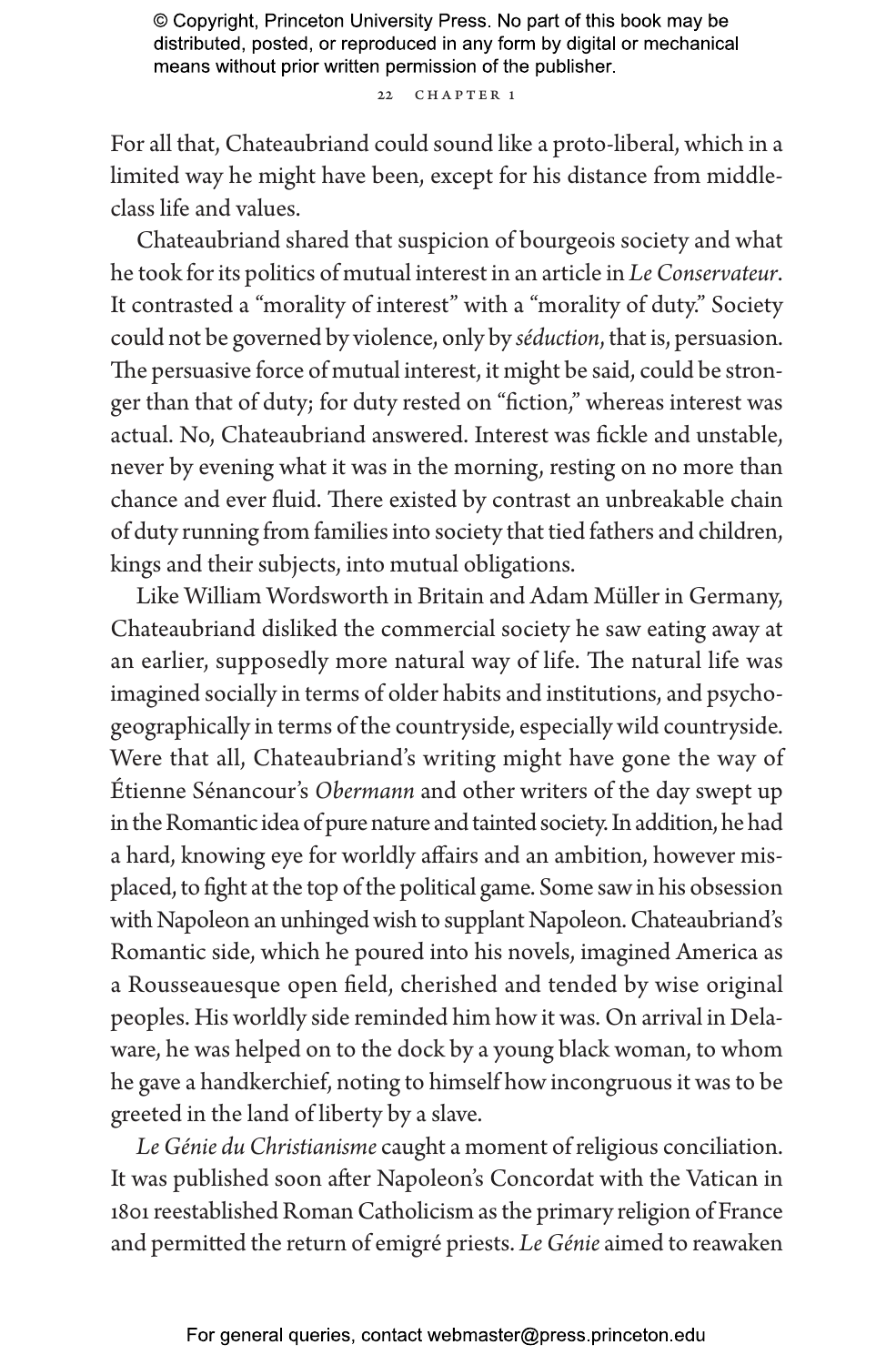#### 22 CHAPTER 1

For all that, Chateaubriand could sound like a proto-liberal, which in a limited way he might have been, except for his distance from middleclass life and values.

Chateaubriand shared that suspicion of bourgeois society and what he took for its politics of mutual interest in an article in *Le Conservateur*. It contrasted a "morality of interest" with a "morality of duty." Society could not be governed by violence, only by *séduction*, that is, persuasion. The persuasive force of mutual interest, it might be said, could be stronger than that of duty; for duty rested on "fiction," whereas interest was actual. No, Chateaubriand answered. Interest was fickle and unstable, never by evening what it was in the morning, resting on no more than chance and ever fluid. There existed by contrast an unbreakable chain of duty running from families into society that tied fathers and children, kings and their subjects, into mutual obligations.

Like William Wordsworth in Britain and Adam Müller in Germany, Chateaubriand disliked the commercial society he saw eating away at an earlier, supposedly more natural way of life. The natural life was imagined socially in terms of older habits and institutions, and psychogeographically in terms of the countryside, especially wild countryside. Were that all, Chateaubriand's writing might have gone the way of Étienne Sénancour's *Obermann* and other writers of the day swept up in the Romantic idea of pure nature and tainted society. In addition, he had a hard, knowing eye for worldly affairs and an ambition, however misplaced, to fight at the top of the political game. Some saw in his obsession with Napoleon an unhinged wish to supplant Napoleon. Chateaubriand's Romantic side, which he poured into his novels, imagined America as a Rousseauesque open field, cherished and tended by wise original peoples. His worldly side reminded him how it was. On arrival in Delaware, he was helped on to the dock by a young black woman, to whom he gave a handkerchief, noting to himself how incongruous it was to be greeted in the land of liberty by a slave.

*Le Génie du Christianisme* caught a moment of religious conciliation. It was published soon after Napoleon's Concordat with the Vatican in 1801 reestablished Roman Catholicism as the primary religion of France and permitted the return of emigré priests. *Le Génie* aimed to reawaken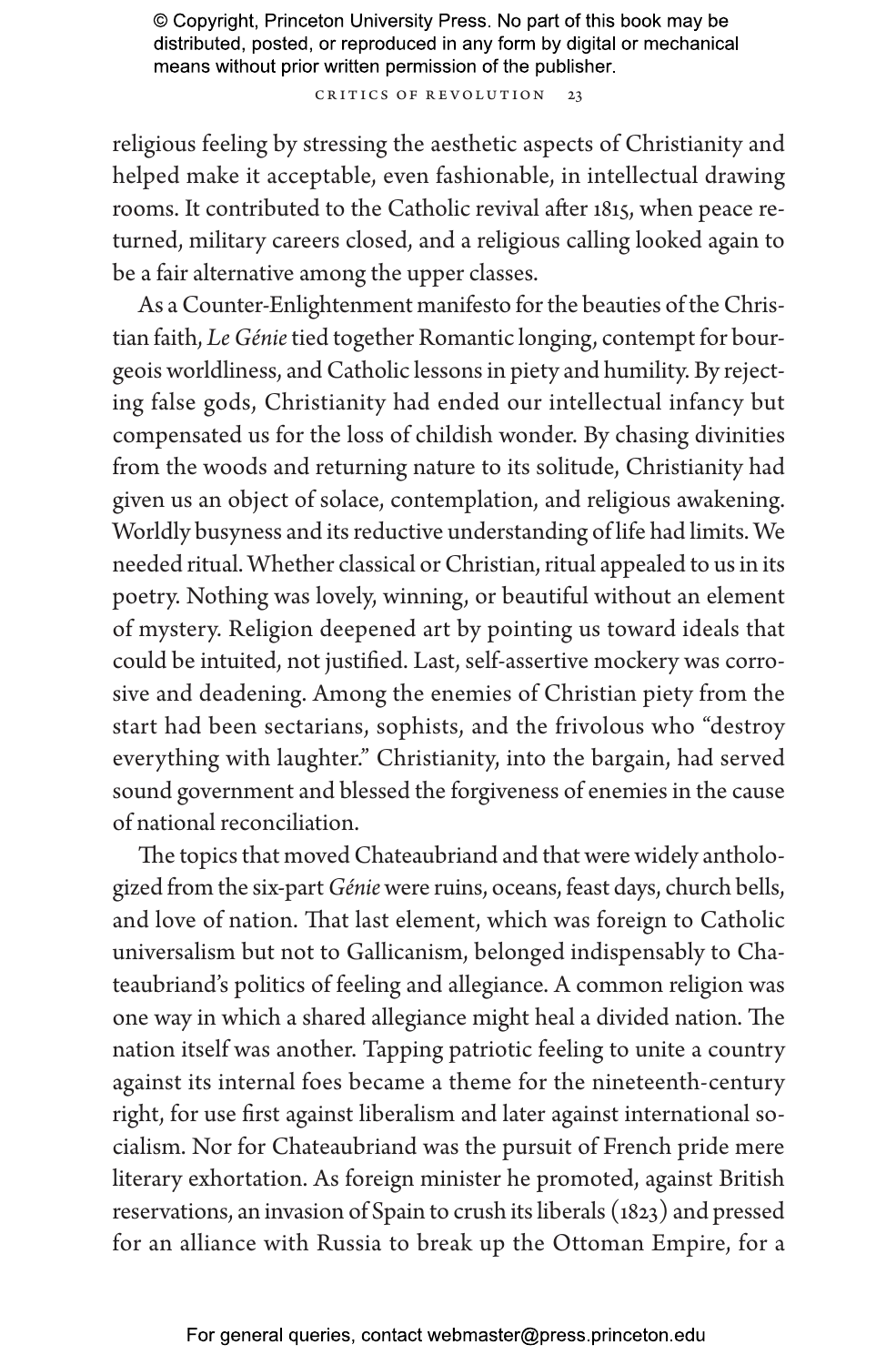CRITICS OF REVOLUTION

religious feeling by stressing the aesthetic aspects of Christianity and helped make it acceptable, even fashionable, in intellectual drawing rooms. It contributed to the Catholic revival after 1815, when peace returned, military careers closed, and a religious calling looked again to be a fair alternative among the upper classes.

As a Counter-Enlightenment manifesto for the beauties of the Christian faith, *Le Génie* tied together Romantic longing, contempt for bourgeois worldliness, and Catholic lessons in piety and humility. By rejecting false gods, Christianity had ended our intellectual infancy but compensated us for the loss of childish wonder. By chasing divinities from the woods and returning nature to its solitude, Christianity had given us an object of solace, contemplation, and religious awakening. Worldly busyness and its reductive understanding of life had limits. We needed ritual. Whether classical or Christian, ritual appealed to us in its poetry. Nothing was lovely, winning, or beautiful without an element of mystery. Religion deepened art by pointing us toward ideals that could be intuited, not justified. Last, self-assertive mockery was corrosive and deadening. Among the enemies of Christian piety from the start had been sectarians, sophists, and the frivolous who "destroy everything with laughter." Christianity, into the bargain, had served sound government and blessed the forgiveness of enemies in the cause of national reconciliation.

The topics that moved Chateaubriand and that were widely anthologized from the six-part *Génie*were ruins, oceans, feast days, church bells, and love of nation. That last element, which was foreign to Catholic universalism but not to Gallicanism, belonged indispensably to Chateaubriand's politics of feeling and allegiance. A common religion was one way in which a shared allegiance might heal a divided nation. The nation itself was another. Tapping patriotic feeling to unite a country against its internal foes became a theme for the nineteenth-century right, for use first against liberalism and later against international socialism. Nor for Chateaubriand was the pursuit of French pride mere literary exhortation. As foreign minister he promoted, against British reservations, an invasion of Spain to crush its liberals (1823) and pressed for an alliance with Russia to break up the Ottoman Empire, for a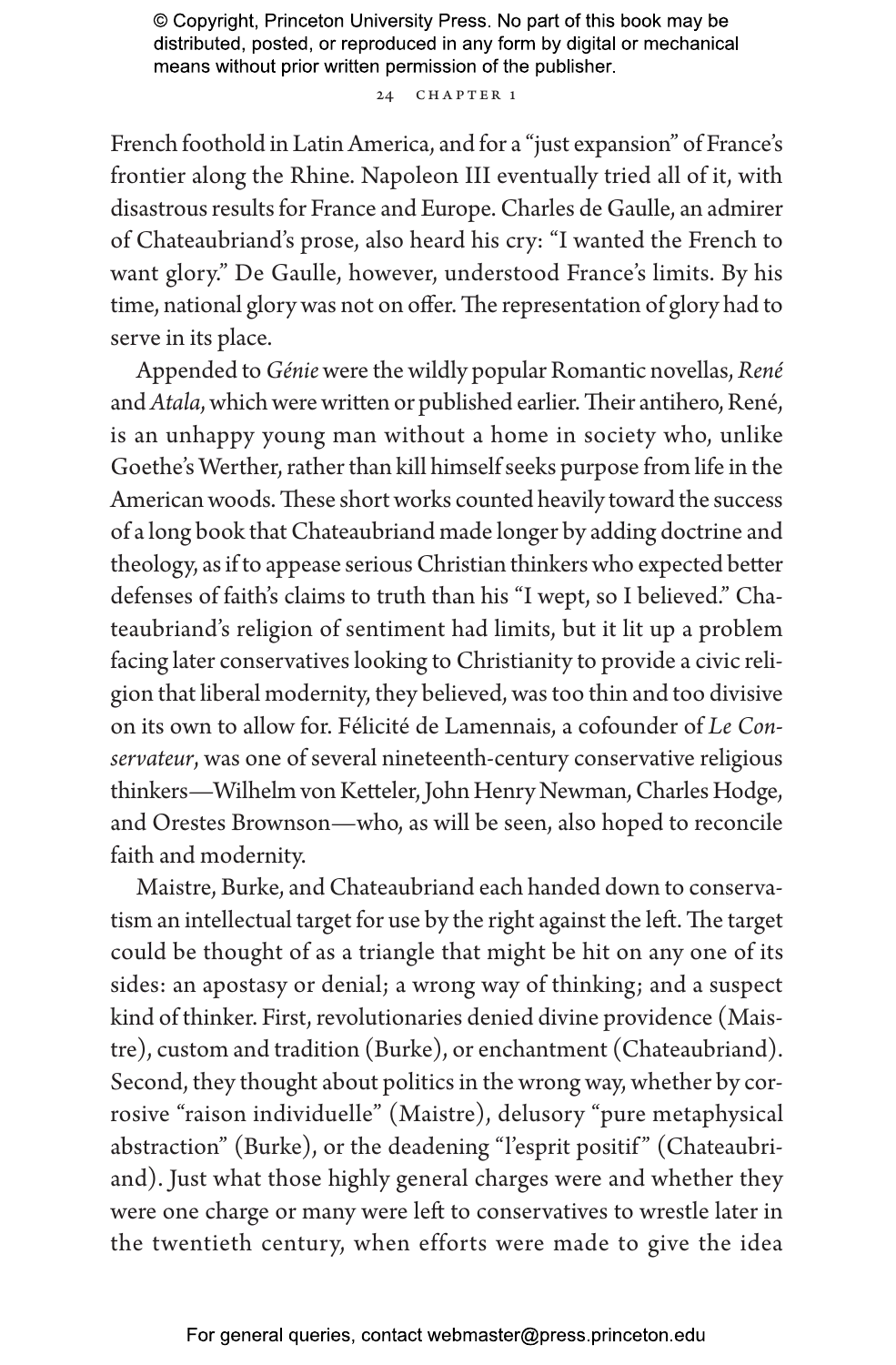#### 24 CHAPTER 1

French foothold in Latin America, and for a "just expansion" of France's frontier along the Rhine. Napoleon III eventually tried all of it, with disastrous results for France and Europe. Charles de Gaulle, an admirer of Chateaubriand's prose, also heard his cry: "I wanted the French to want glory." De Gaulle, however, understood France's limits. By his time, national glory was not on offer. The representation of glory had to serve in its place.

Appended to *Génie*were the wildly popular Romantic novellas, *René* and *Atala*, which were written or published earlier. Their antihero, René, is an unhappy young man without a home in society who, unlike Goethe's Werther, rather than kill himself seeks purpose from life in the American woods. These short works counted heavily toward the success of a long book that Chateaubriand made longer by adding doctrine and theology, as if to appease serious Christian thinkers who expected better defenses of faith's claims to truth than his "I wept, so I believed." Chateaubriand's religion of sentiment had limits, but it lit up a problem facing later conservatives looking to Christianity to provide a civic religion that liberal modernity, they believed, was too thin and too divisive on its own to allow for. Félicité de Lamennais, a cofounder of *Le Conservateur*, was one of several nineteenth-century conservative religious thinkers—Wilhelm von Ketteler, John Henry Newman, Charles Hodge, and Orestes Brownson—who, as will be seen, also hoped to reconcile faith and modernity.

Maistre, Burke, and Chateaubriand each handed down to conservatism an intellectual target for use by the right against the left. The target could be thought of as a triangle that might be hit on any one of its sides: an apostasy or denial; a wrong way of thinking; and a suspect kind of thinker. First, revolutionaries denied divine providence (Maistre), custom and tradition (Burke), or enchantment (Chateaubriand). Second, they thought about politics in the wrong way, whether by corrosive "raison individuelle" (Maistre), delusory "pure metaphysical abstraction" (Burke), or the deadening "l'esprit positif" (Chateaubriand). Just what those highly general charges were and whether they were one charge or many were left to conservatives to wrestle later in the twentieth century, when efforts were made to give the idea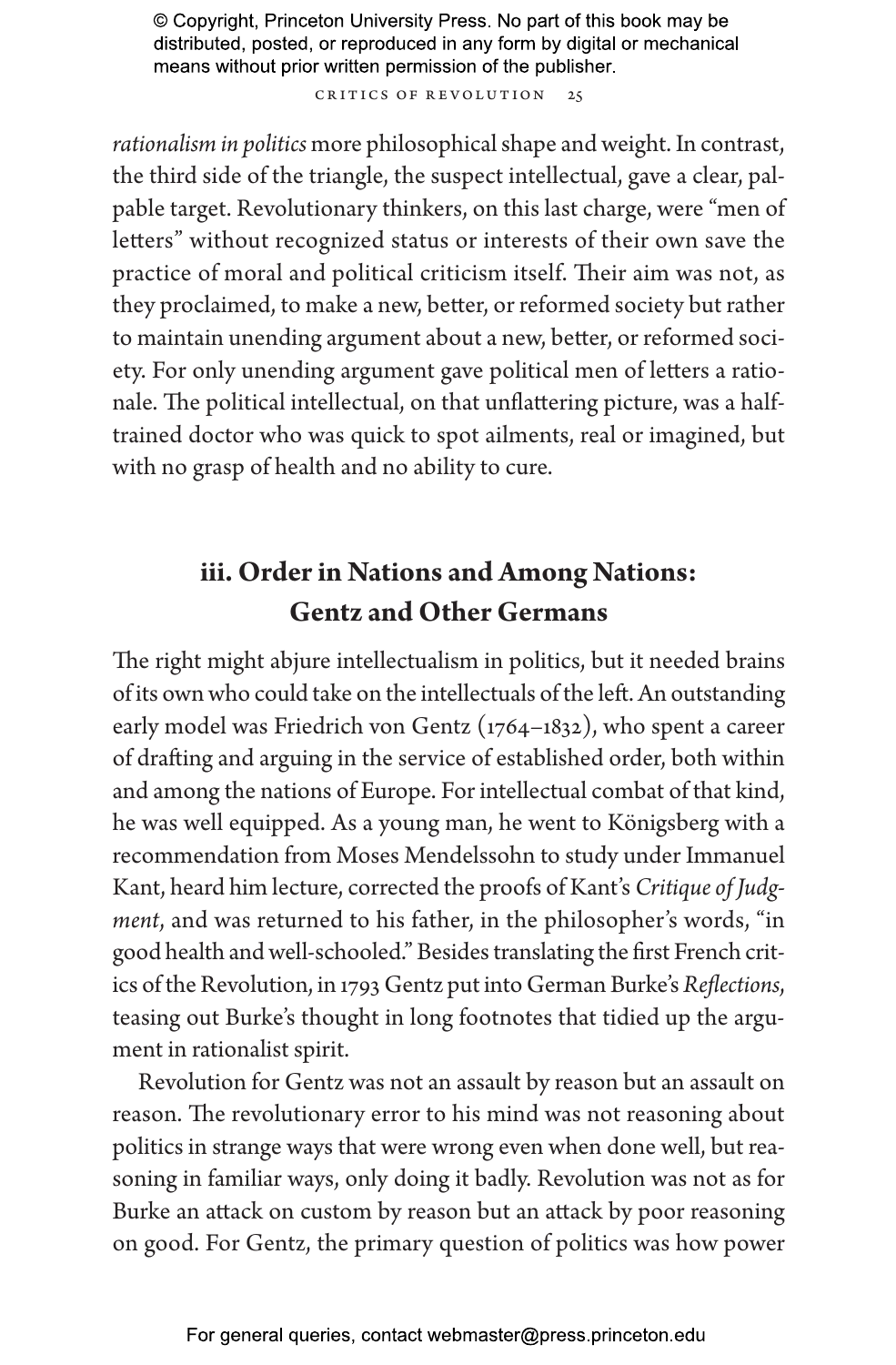CRITICS OF REVOLUTION

*rationalism in politics* more philosophical shape and weight. In contrast, the third side of the triangle, the suspect intellectual, gave a clear, palpable target. Revolutionary thinkers, on this last charge, were "men of letters" without recognized status or interests of their own save the practice of moral and political criticism itself. Their aim was not, as they proclaimed, to make a new, better, or reformed society but rather to maintain unending argument about a new, better, or reformed society. For only unending argument gave political men of letters a rationale. The political intellectual, on that unflattering picture, was a halftrained doctor who was quick to spot ailments, real or imagined, but with no grasp of health and no ability to cure.

# **iii. Order in Nations and Among Nations: Gentz and Other Germans**

The right might abjure intellectualism in politics, but it needed brains of its own who could take on the intellectuals of the left. An outstanding early model was Friedrich von Gentz (1764–1832), who spent a career of drafting and arguing in the service of established order, both within and among the nations of Europe. For intellectual combat of that kind, he was well equipped. As a young man, he went to Königsberg with a recommendation from Moses Mendelssohn to study under Immanuel Kant, heard him lecture, corrected the proofs of Kant's *Critique of Judgment*, and was returned to his father, in the philosopher's words, "in good health and well-schooled." Besides translating the first French critics of the Revolution, in 1793 Gentz put into German Burke's *Reflections*, teasing out Burke's thought in long footnotes that tidied up the argument in rationalist spirit.

Revolution for Gentz was not an assault by reason but an assault on reason. The revolutionary error to his mind was not reasoning about politics in strange ways that were wrong even when done well, but reasoning in familiar ways, only doing it badly. Revolution was not as for Burke an attack on custom by reason but an attack by poor reasoning on good. For Gentz, the primary question of politics was how power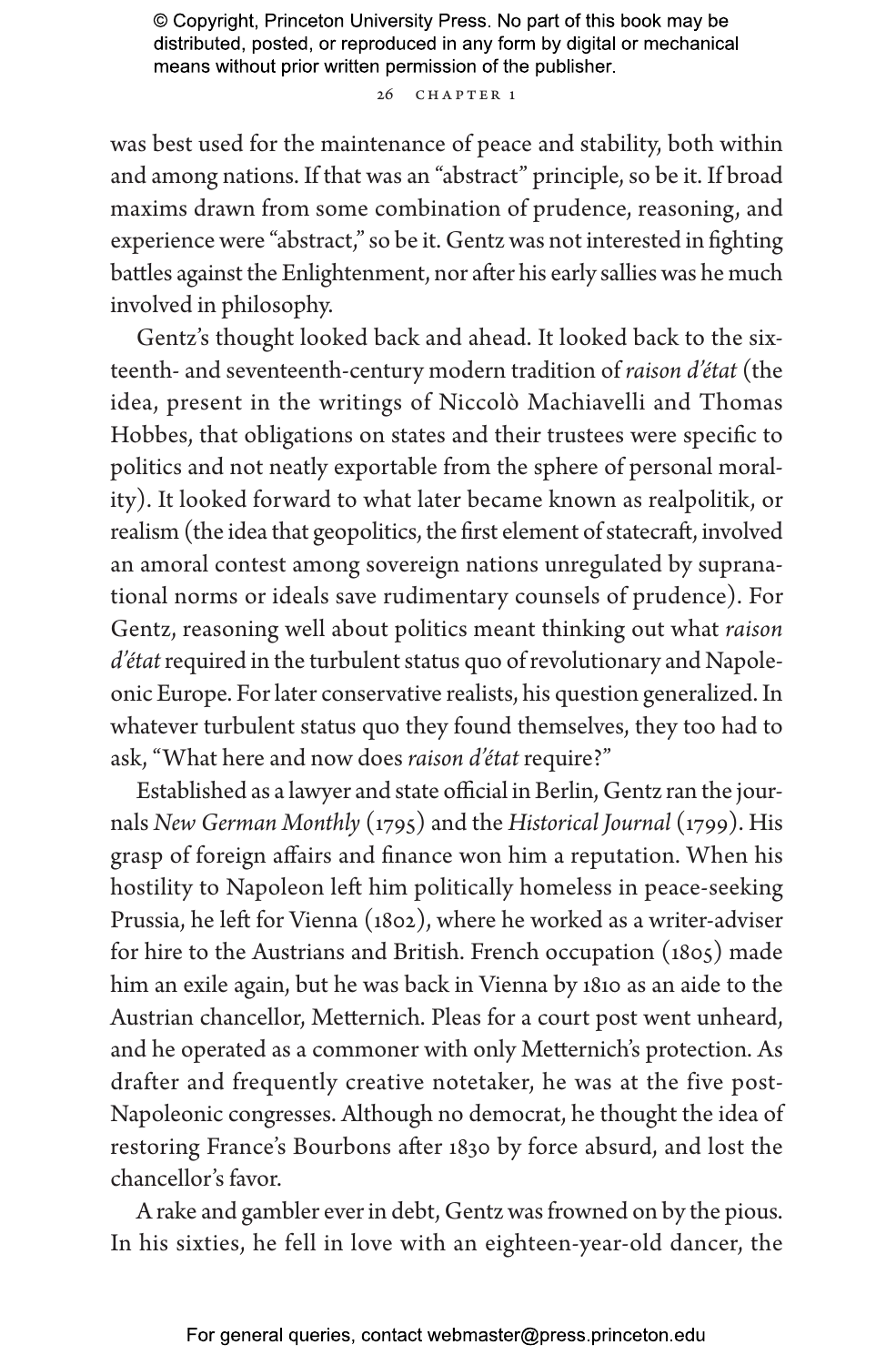#### 26 CHAPTER 1

was best used for the maintenance of peace and stability, both within and among nations. If that was an "abstract" principle, so be it. If broad maxims drawn from some combination of prudence, reasoning, and experience were "abstract," so be it. Gentz was not interested in fighting battles against the Enlightenment, nor after his early sallies was he much involved in philosophy.

Gentz's thought looked back and ahead. It looked back to the sixteenth- and seventeenth-century modern tradition of *raison d'état* (the idea, present in the writings of Niccolò Machiavelli and Thomas Hobbes, that obligations on states and their trustees were specific to politics and not neatly exportable from the sphere of personal morality). It looked forward to what later became known as realpolitik, or realism (the idea that geopolitics, the first element of statecraft, involved an amoral contest among sovereign nations unregulated by supranational norms or ideals save rudimentary counsels of prudence). For Gentz, reasoning well about politics meant thinking out what *raison d'état* required in the turbulent status quo of revolutionary and Napoleonic Europe. For later conservative realists, his question generalized. In whatever turbulent status quo they found themselves, they too had to ask, "What here and now does *raison d'état* require?"

Established as a lawyer and state official in Berlin, Gentz ran the journals *New German Monthly* (1795) and the *Historical Journal* (1799). His grasp of foreign affairs and finance won him a reputation. When his hostility to Napoleon left him politically homeless in peace-seeking Prussia, he left for Vienna (1802), where he worked as a writer-adviser for hire to the Austrians and British. French occupation (1805) made him an exile again, but he was back in Vienna by 1810 as an aide to the Austrian chancellor, Metternich. Pleas for a court post went unheard, and he operated as a commoner with only Metternich's protection. As drafter and frequently creative notetaker, he was at the five post-Napoleonic congresses. Although no democrat, he thought the idea of restoring France's Bourbons after 1830 by force absurd, and lost the chancellor's favor.

A rake and gambler ever in debt, Gentz was frowned on by the pious. In his sixties, he fell in love with an eighteen-year-old dancer, the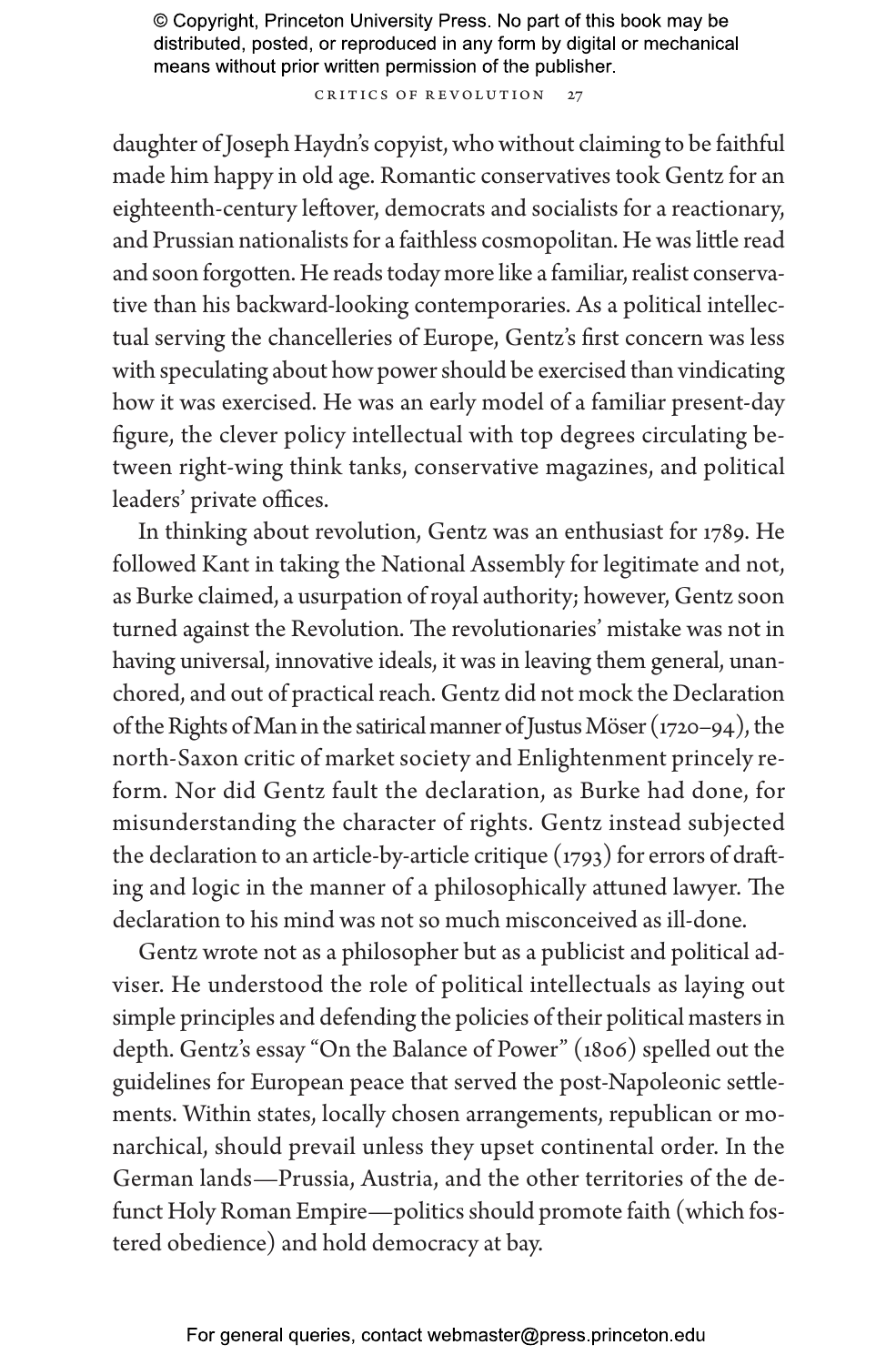CRITICS OF REVOLUTION

daughter of Joseph Haydn's copyist, who without claiming to be faithful made him happy in old age. Romantic conservatives took Gentz for an eighteenth-century leftover, democrats and socialists for a reactionary, and Prussian nationalists for a faithless cosmopolitan. He was little read and soon forgotten. He reads today more like a familiar, realist conservative than his backward-looking contemporaries. As a political intellectual serving the chancelleries of Europe, Gentz's first concern was less with speculating about how power should be exercised than vindicating how it was exercised. He was an early model of a familiar present-day figure, the clever policy intellectual with top degrees circulating between right-wing think tanks, conservative magazines, and political leaders' private offices.

In thinking about revolution, Gentz was an enthusiast for 1789. He followed Kant in taking the National Assembly for legitimate and not, as Burke claimed, a usurpation of royal authority; however, Gentz soon turned against the Revolution. The revolutionaries' mistake was not in having universal, innovative ideals, it was in leaving them general, unanchored, and out of practical reach. Gentz did not mock the Declaration of the Rights of Man in the satirical manner of Justus Möser (1720–94), the north-Saxon critic of market society and Enlightenment princely reform. Nor did Gentz fault the declaration, as Burke had done, for misunderstanding the character of rights. Gentz instead subjected the declaration to an article-by-article critique (1793) for errors of drafting and logic in the manner of a philosophically attuned lawyer. The declaration to his mind was not so much misconceived as ill-done.

Gentz wrote not as a philosopher but as a publicist and political adviser. He understood the role of political intellectuals as laying out simple principles and defending the policies of their political masters in depth. Gentz's essay "On the Balance of Power" (1806) spelled out the guidelines for European peace that served the post-Napoleonic settlements. Within states, locally chosen arrangements, republican or monarchical, should prevail unless they upset continental order. In the German lands—Prussia, Austria, and the other territories of the defunct Holy Roman Empire—politics should promote faith (which fostered obedience) and hold democracy at bay.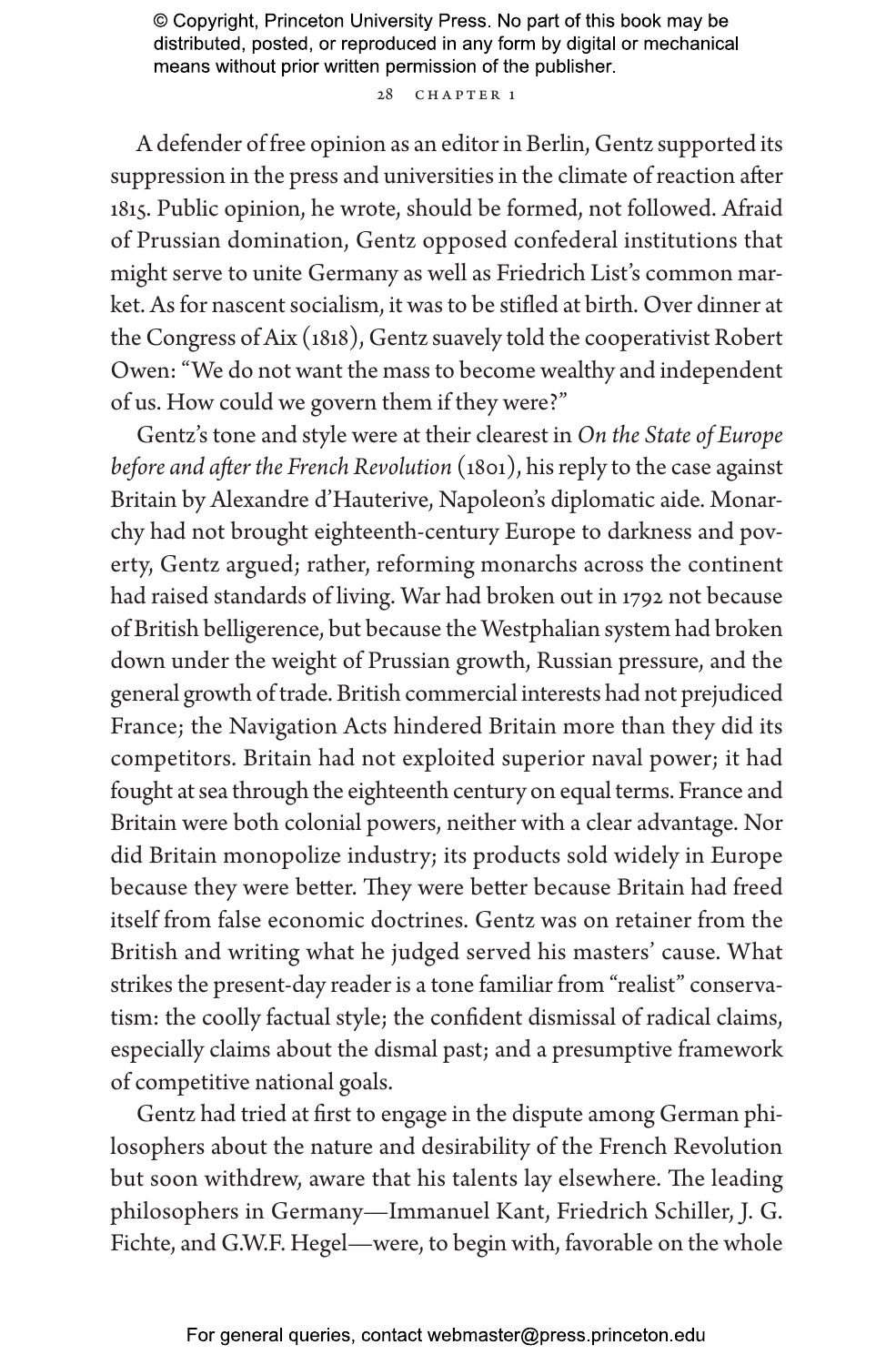#### 28 CHAPTER 1

A defender of free opinion as an editor in Berlin, Gentz supported its suppression in the press and universities in the climate of reaction after 1815. Public opinion, he wrote, should be formed, not followed. Afraid of Prussian domination, Gentz opposed confederal institutions that might serve to unite Germany as well as Friedrich List's common market. As for nascent socialism, it was to be stifled at birth. Over dinner at the Congress of Aix (1818), Gentz suavely told the cooperativist Robert Owen: "We do not want the mass to become wealthy and independent of us. How could we govern them if they were?"

Gentz's tone and style were at their clearest in *On the State of Europe before and after the French Revolution* (1801), his reply to the case against Britain by Alexandre d'Hauterive, Napoleon's diplomatic aide. Monarchy had not brought eighteenth-century Europe to darkness and poverty, Gentz argued; rather, reforming monarchs across the continent had raised standards of living. War had broken out in 1792 not because of British belligerence, but because the Westphalian system had broken down under the weight of Prussian growth, Russian pressure, and the general growth of trade. British commercial interests had not prejudiced France; the Navigation Acts hindered Britain more than they did its competitors. Britain had not exploited superior naval power; it had fought at sea through the eighteenth century on equal terms. France and Britain were both colonial powers, neither with a clear advantage. Nor did Britain monopolize industry; its products sold widely in Europe because they were better. They were better because Britain had freed itself from false economic doctrines. Gentz was on retainer from the British and writing what he judged served his masters' cause. What strikes the present-day reader is a tone familiar from "realist" conservatism: the coolly factual style; the confident dismissal of radical claims, especially claims about the dismal past; and a presumptive framework of competitive national goals.

Gentz had tried at first to engage in the dispute among German philosophers about the nature and desirability of the French Revolution but soon withdrew, aware that his talents lay elsewhere. The leading philosophers in Germany—Immanuel Kant, Friedrich Schiller, J. G. Fichte, and G.W.F. Hegel—were, to begin with, favorable on the whole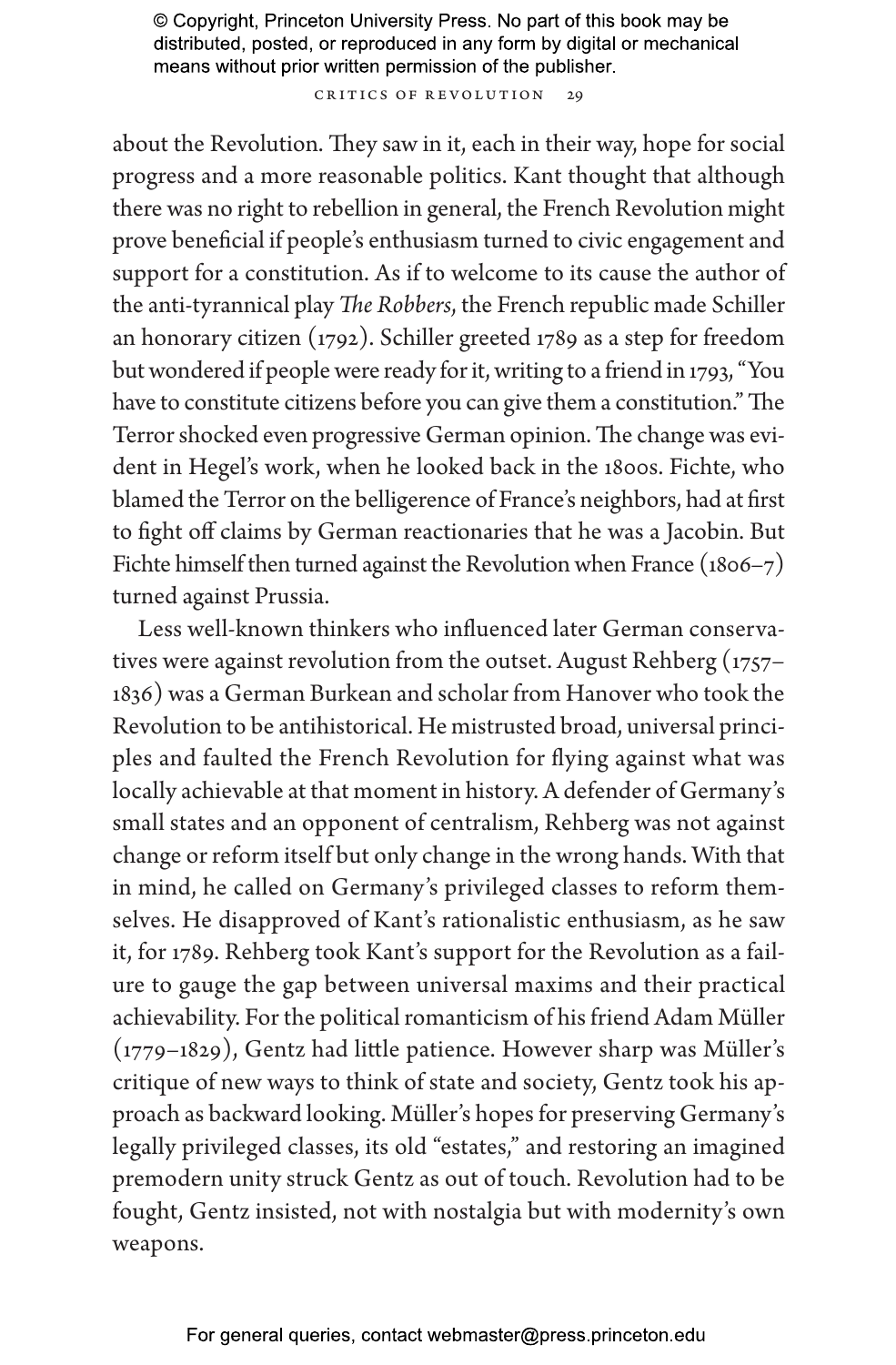CRITICS OF REVOLUTION 29

about the Revolution. They saw in it, each in their way, hope for social progress and a more reasonable politics. Kant thought that although there was no right to rebellion in general, the French Revolution might prove beneficial if people's enthusiasm turned to civic engagement and support for a constitution. As if to welcome to its cause the author of the anti-tyrannical play *The Robbers*, the French republic made Schiller an honorary citizen (1792). Schiller greeted 1789 as a step for freedom but wondered if people were ready for it, writing to a friend in 1793, "You have to constitute citizens before you can give them a constitution." The Terror shocked even progressive German opinion. The change was evident in Hegel's work, when he looked back in the 1800s. Fichte, who blamed the Terror on the belligerence of France's neighbors, had at first to fight off claims by German reactionaries that he was a Jacobin. But Fichte himself then turned against the Revolution when France (1806–7) turned against Prussia.

Less well-known thinkers who influenced later German conservatives were against revolution from the outset. August Rehberg (1757– 1836) was a German Burkean and scholar from Hanover who took the Revolution to be antihistorical. He mistrusted broad, universal principles and faulted the French Revolution for flying against what was locally achievable at that moment in history. A defender of Germany's small states and an opponent of centralism, Rehberg was not against change or reform itself but only change in the wrong hands. With that in mind, he called on Germany's privileged classes to reform themselves. He disapproved of Kant's rationalistic enthusiasm, as he saw it, for 1789. Rehberg took Kant's support for the Revolution as a failure to gauge the gap between universal maxims and their practical achievability. For the political romanticism of his friend Adam Müller (1779–1829), Gentz had little patience. However sharp was Müller's critique of new ways to think of state and society, Gentz took his approach as backward looking. Müller's hopes for preserving Germany's legally privileged classes, its old "estates," and restoring an imagined premodern unity struck Gentz as out of touch. Revolution had to be fought, Gentz insisted, not with nostalgia but with modernity's own weapons.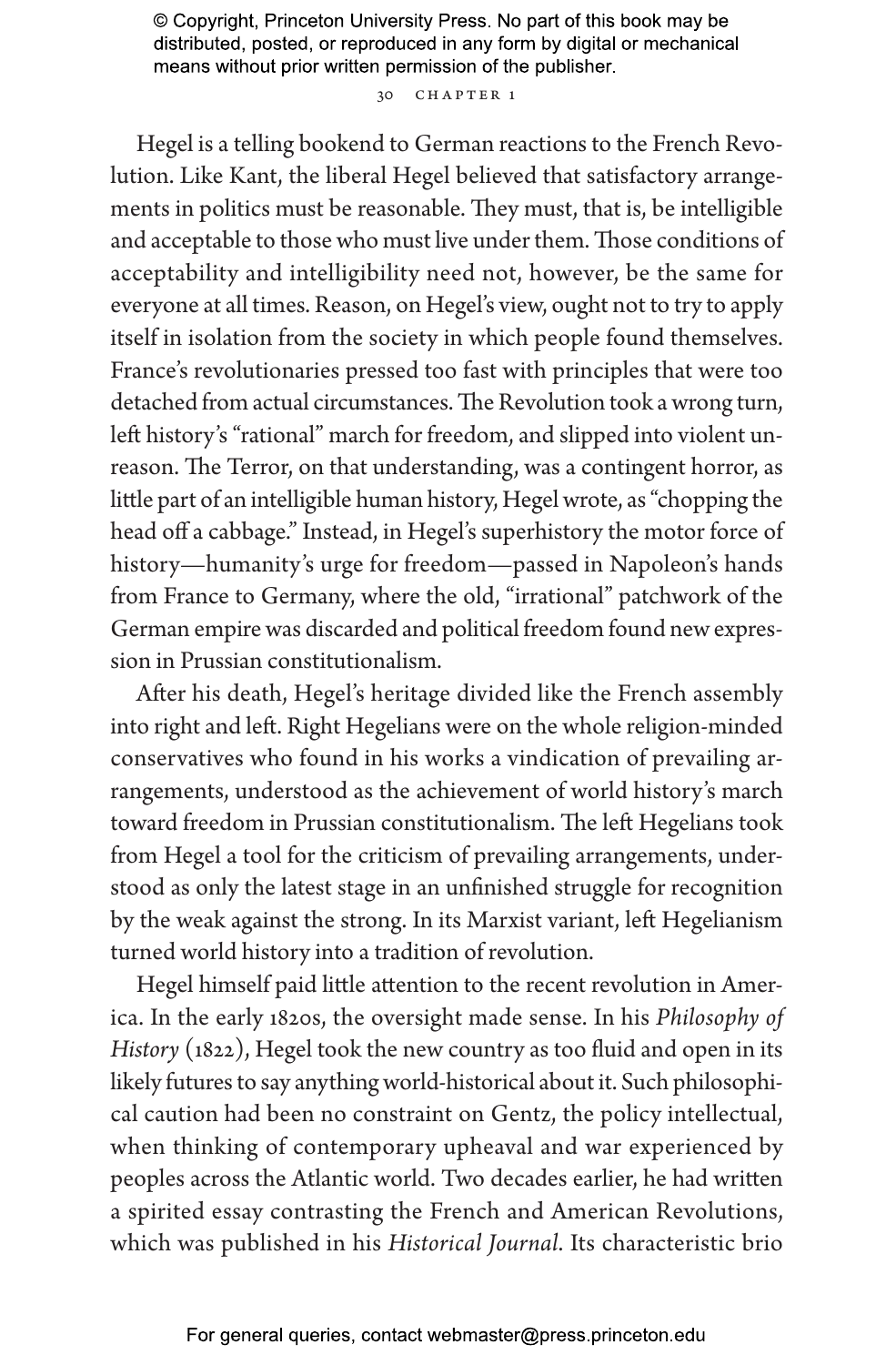#### 30 chapter 1

Hegel is a telling bookend to German reactions to the French Revolution. Like Kant, the liberal Hegel believed that satisfactory arrangements in politics must be reasonable. They must, that is, be intelligible and acceptable to those who must live under them. Those conditions of acceptability and intelligibility need not, however, be the same for everyone at all times. Reason, on Hegel's view, ought not to try to apply itself in isolation from the society in which people found themselves. France's revolutionaries pressed too fast with principles that were too detached from actual circumstances. The Revolution took a wrong turn, left history's "rational" march for freedom, and slipped into violent unreason. The Terror, on that understanding, was a contingent horror, as little part of an intelligible human history, Hegel wrote, as "chopping the head off a cabbage." Instead, in Hegel's superhistory the motor force of history—humanity's urge for freedom—passed in Napoleon's hands from France to Germany, where the old, "irrational" patchwork of the German empire was discarded and political freedom found new expression in Prussian constitutionalism.

After his death, Hegel's heritage divided like the French assembly into right and left. Right Hegelians were on the whole religion-minded conservatives who found in his works a vindication of prevailing arrangements, understood as the achievement of world history's march toward freedom in Prussian constitutionalism. The left Hegelians took from Hegel a tool for the criticism of prevailing arrangements, understood as only the latest stage in an unfinished struggle for recognition by the weak against the strong. In its Marxist variant, left Hegelianism turned world history into a tradition of revolution.

Hegel himself paid little attention to the recent revolution in America. In the early 1820s, the oversight made sense. In his *Philosophy of History* (1822), Hegel took the new country as too fluid and open in its likely futures to say anything world-historical about it. Such philosophical caution had been no constraint on Gentz, the policy intellectual, when thinking of contemporary upheaval and war experienced by peoples across the Atlantic world. Two decades earlier, he had written a spirited essay contrasting the French and American Revolutions, which was published in his *Historical Journal*. Its characteristic brio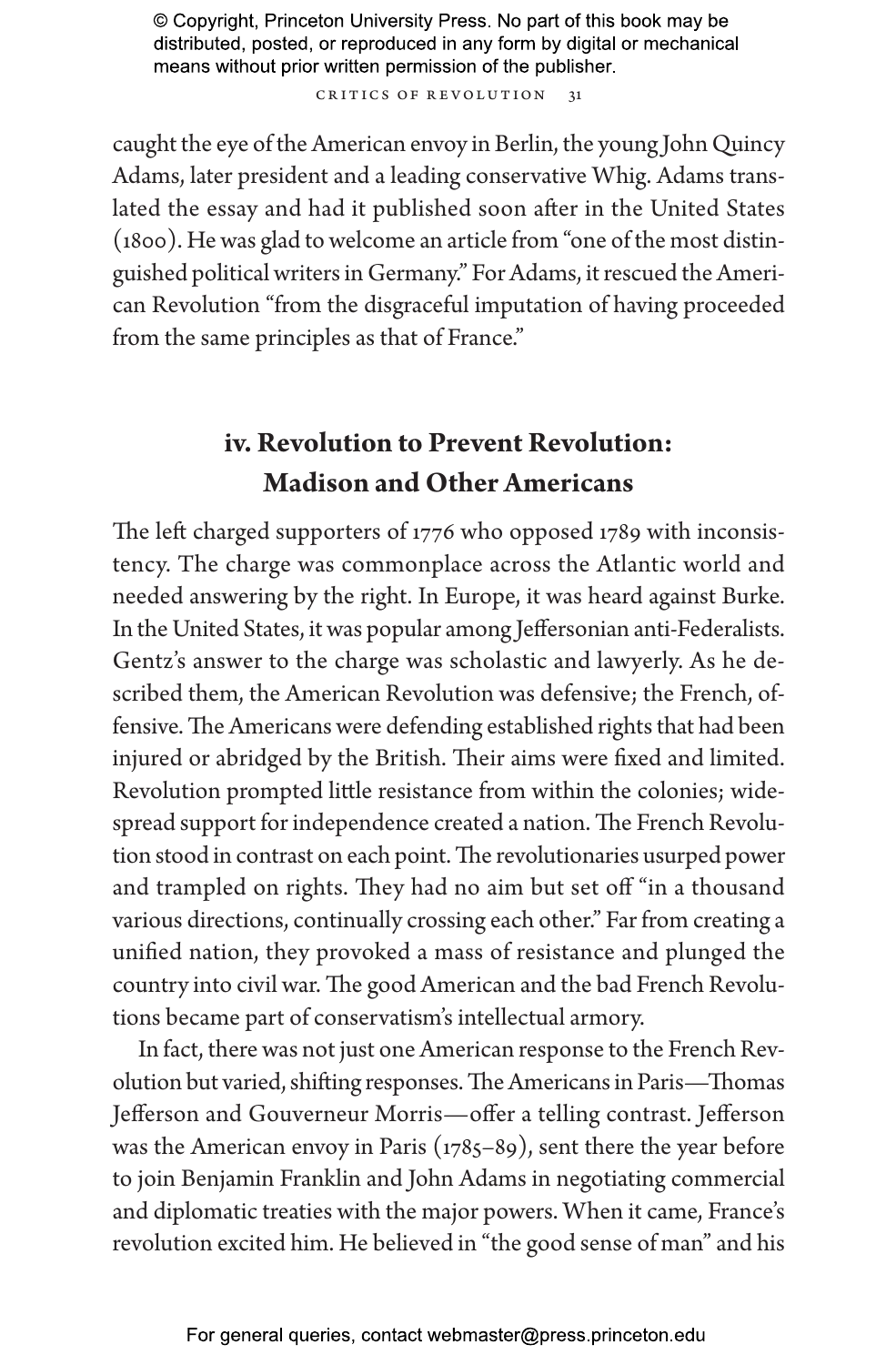CRITICS OF REVOLUTION

caught the eye of the American envoy in Berlin, the young John Quincy Adams, later president and a leading conservative Whig. Adams translated the essay and had it published soon after in the United States (1800). He was glad to welcome an article from "one of the most distinguished political writers in Germany." For Adams, it rescued the American Revolution "from the disgraceful imputation of having proceeded from the same principles as that of France."

# **iv. Revolution to Prevent Revolution: Madison and Other Americans**

The left charged supporters of 1776 who opposed 1789 with inconsistency. The charge was commonplace across the Atlantic world and needed answering by the right. In Europe, it was heard against Burke. In the United States, it was popular among Jeffersonian anti-Federalists. Gentz's answer to the charge was scholastic and lawyerly. As he described them, the American Revolution was defensive; the French, offensive. The Americans were defending established rights that had been injured or abridged by the British. Their aims were fixed and limited. Revolution prompted little resistance from within the colonies; widespread support for independence created a nation. The French Revolution stood in contrast on each point. The revolutionaries usurped power and trampled on rights. They had no aim but set off "in a thousand various directions, continually crossing each other." Far from creating a unified nation, they provoked a mass of resistance and plunged the country into civil war. The good American and the bad French Revolutions became part of conservatism's intellectual armory.

In fact, there was not just one American response to the French Revolution but varied, shifting responses. The Americans in Paris—Thomas Jefferson and Gouverneur Morris—offer a telling contrast. Jefferson was the American envoy in Paris (1785–89), sent there the year before to join Benjamin Franklin and John Adams in negotiating commercial and diplomatic treaties with the major powers. When it came, France's revolution excited him. He believed in "the good sense of man" and his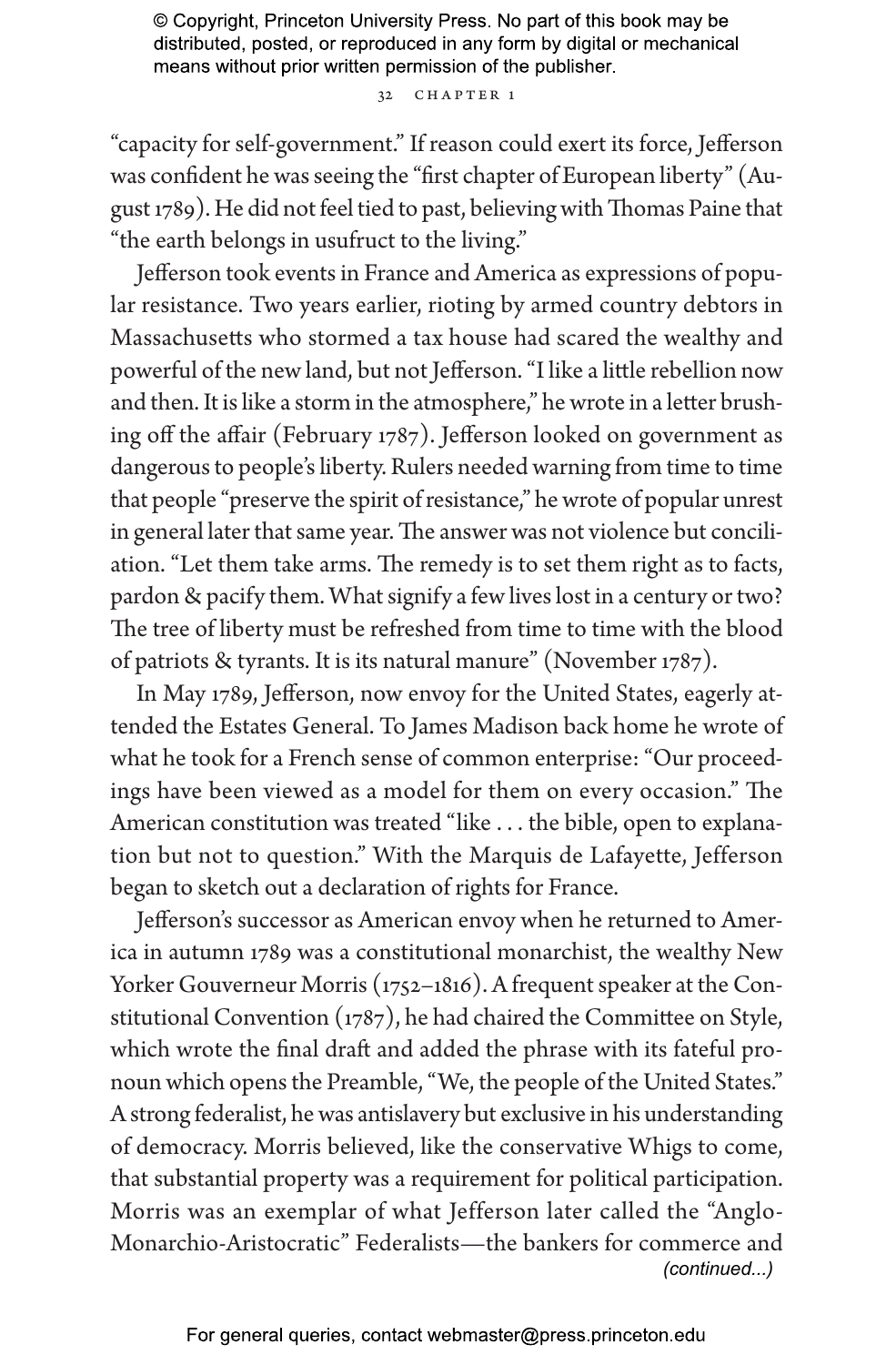#### 32 chapter 1

"capacity for self-government." If reason could exert its force, Jefferson was confident he was seeing the "first chapter of European liberty" (August 1789). He did not feel tied to past, believing with Thomas Paine that "the earth belongs in usufruct to the living."

Jefferson took events in France and America as expressions of popular resistance. Two years earlier, rioting by armed country debtors in Massachusetts who stormed a tax house had scared the wealthy and powerful of the new land, but not Jefferson. "I like a little rebellion now and then. It is like a storm in the atmosphere," he wrote in a letter brushing off the affair (February 1787). Jefferson looked on government as dangerous to people's liberty. Rulers needed warning from time to time that people "preserve the spirit of resistance," he wrote of popular unrest in general later that same year. The answer was not violence but conciliation. "Let them take arms. The remedy is to set them right as to facts, pardon & pacify them. What signify a few lives lost in a century or two? The tree of liberty must be refreshed from time to time with the blood of patriots & tyrants. It is its natural manure" (November 1787).

In May 1789, Jefferson, now envoy for the United States, eagerly attended the Estates General. To James Madison back home he wrote of what he took for a French sense of common enterprise: "Our proceedings have been viewed as a model for them on every occasion." The American constitution was treated "like . . . the bible, open to explanation but not to question." With the Marquis de Lafayette, Jefferson began to sketch out a declaration of rights for France.

Jefferson's successor as American envoy when he returned to America in autumn 1789 was a constitutional monarchist, the wealthy New Yorker Gouverneur Morris (1752-1816). A frequent speaker at the Constitutional Convention (1787), he had chaired the Committee on Style, which wrote the final draft and added the phrase with its fateful pronoun which opens the Preamble, "We, the people of the United States." A strong federalist, he was antislavery but exclusive in his understanding of democracy. Morris believed, like the conservative Whigs to come, that substantial property was a requirement for political participation. Morris was an exemplar of what Jefferson later called the "Anglo-Monarchio-Aristocratic" Federalists—the bankers for commerce and *(continued...)*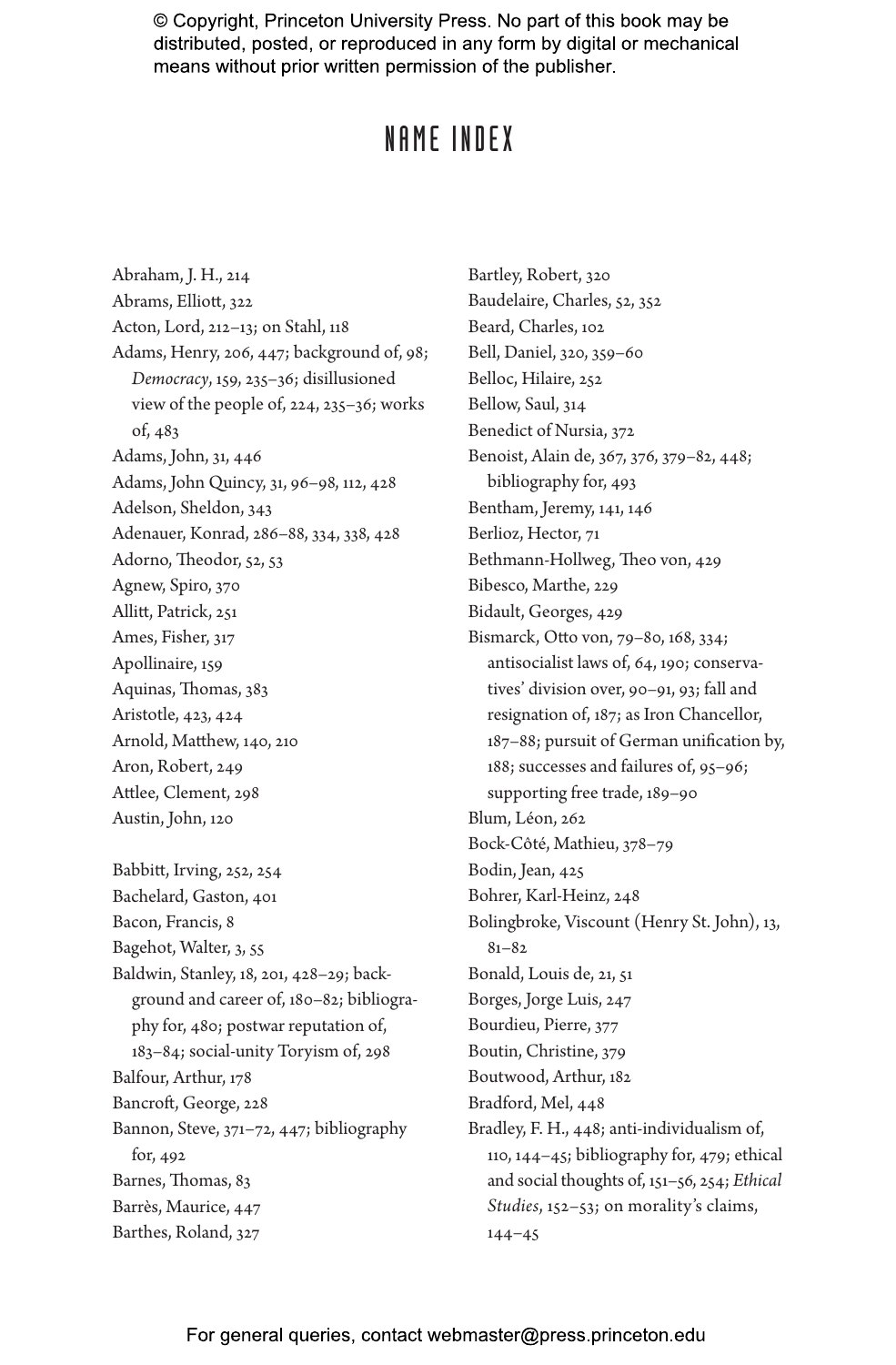# NAME INDEX

Abraham, J. H., 214 Abrams, Elliott, 322 Acton, Lord, 212–13; on Stahl, 118 Adams, Henry, 206, 447; background of, 98; *Democracy*, 159, 235–36; disillusioned view of the people of, 224, 235–36; works of, 483 Adams, John, 31, 446 Adams, John Quincy, 31, 96–98, 112, 428 Adelson, Sheldon, 343 Adenauer, Konrad, 286–88, 334, 338, 428 Adorno, Theodor, 52, 53 Agnew, Spiro, 370 Allitt, Patrick, 251 Ames, Fisher, 317 Apollinaire, 159 Aquinas, Thomas, 383 Aristotle, 423, 424 Arnold, Matthew, 140, 210 Aron, Robert, 249 Attlee, Clement, 298 Austin, John, 120 Babbitt, Irving, 252, 254 Bachelard, Gaston, 401 Bacon, Francis, 8 Bagehot, Walter, 3, 55 Baldwin, Stanley, 18, 201, 428–29; background and career of, 180–82; bibliography for, 480; postwar reputation of, 183–84; social-unity Toryism of, 298 Balfour, Arthur, 178 Bancroft, George, 228 Bannon, Steve, 371–72, 447; bibliography for, 492 Barnes, Thomas, 83 Barrès, Maurice, 447 Barthes, Roland, 327

Bartley, Robert, 320 Baudelaire, Charles, 52, 352 Beard, Charles, 102 Bell, Daniel, 320, 359–60 Belloc, Hilaire, 252 Bellow, Saul, 314 Benedict of Nursia, 372 Benoist, Alain de, 367, 376, 379–82, 448; bibliography for, 493 Bentham, Jeremy, 141, 146 Berlioz, Hector, 71 Bethmann-Hollweg, Theo von, 429 Bibesco, Marthe, 229 Bidault, Georges, 429 Bismarck, Otto von, 79–80, 168, 334; antisocialist laws of, 64, 190; conservatives' division over, 90–91, 93; fall and resignation of, 187; as Iron Chancellor, 187–88; pursuit of German unification by, 188; successes and failures of, 95–96; supporting free trade, 189–90 Blum, Léon, 262 Bock-Côté, Mathieu, 378–79 Bodin, Jean, 425 Bohrer, Karl-Heinz, 248 Bolingbroke, Viscount (Henry St. John), 13, 81–82 Bonald, Louis de, 21, 51 Borges, Jorge Luis, 247 Bourdieu, Pierre, 377 Boutin, Christine, 379 Boutwood, Arthur, 182 Bradford, Mel, 448 Bradley, F. H., 448; anti-individualism of, 110, 144–45; bibliography for, 479; ethical and social thoughts of, 151–56, 254; *Ethical Studies*, 152–53; on morality's claims, 144–45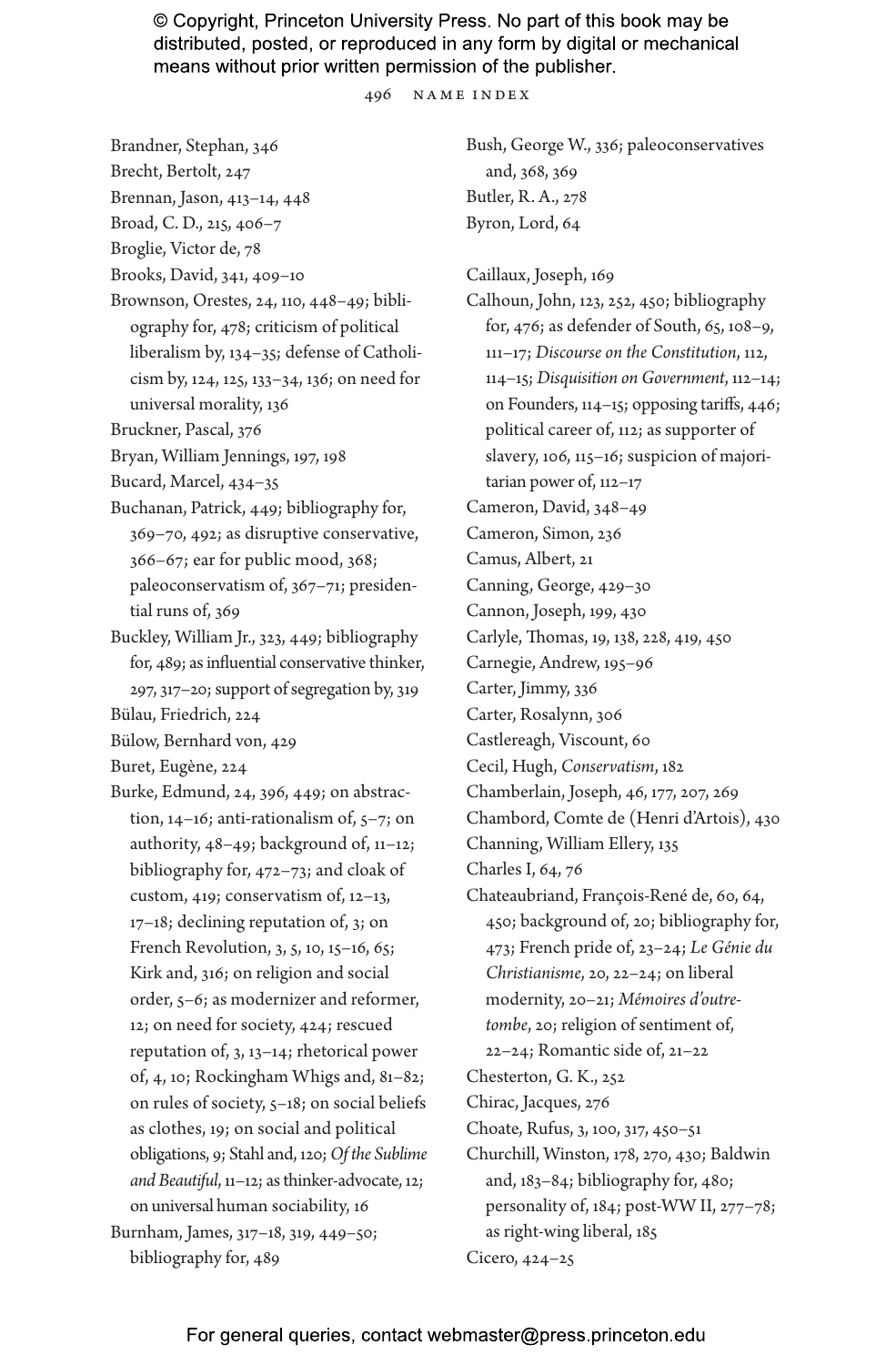496 Name Index

Brandner, Stephan, 346 Brecht, Bertolt, 247 Brennan, Jason, 413–14, 448 Broad, C. D., 215, 406–7 Broglie, Victor de, 78 Brooks, David, 341, 409–10 Brownson, Orestes, 24, 110, 448–49; bibliography for, 478; criticism of political liberalism by, 134–35; defense of Catholicism by, 124, 125, 133–34, 136; on need for universal morality, 136 Bruckner, Pascal, 376 Bryan, William Jennings, 197, 198 Bucard, Marcel, 434–35 Buchanan, Patrick, 449; bibliography for, 369–70, 492; as disruptive conservative, 366–67; ear for public mood, 368; paleoconservatism of, 367–71; presidential runs of, 369 Buckley, William Jr., 323, 449; bibliography for, 489; as influential conservative thinker, 297, 317–20; support of segregation by, 319 Bülau, Friedrich, 224 Bülow, Bernhard von, 429 Buret, Eugène, 224 Burke, Edmund, 24, 396, 449; on abstraction,  $14-16$ ; anti-rationalism of,  $5-7$ ; on authority, 48–49; background of, 11–12; bibliography for, 472–73; and cloak of custom, 419; conservatism of, 12–13, 17–18; declining reputation of, 3; on French Revolution, 3, 5, 10, 15–16, 65; Kirk and, 316; on religion and social order, 5–6; as modernizer and reformer, 12; on need for society, 424; rescued reputation of, 3, 13–14; rhetorical power of, 4, 10; Rockingham Whigs and, 81–82; on rules of society, 5–18; on social beliefs as clothes, 19; on social and political obligations, 9; Stahl and, 120; *Of the Sublime and Beautiful*, 11–12; as thinker-advocate, 12; on universal human sociability, 16 Burnham, James, 317–18, 319, 449–50; bibliography for, 489

Bush, George W., 336; paleoconservatives and, 368, 369 Butler, R. A., 278 Byron, Lord, 64

Caillaux, Joseph, 169 Calhoun, John, 123, 252, 450; bibliography for, 476; as defender of South, 65, 108–9, 111–17; *Discourse on the Constitution*, 112, 114–15; *Disquisition on Government*, 112–14; on Founders, 114–15; opposing tariffs, 446; political career of, 112; as supporter of slavery, 106, 115–16; suspicion of majoritarian power of, 112–17 Cameron, David, 348–49 Cameron, Simon, 236 Camus, Albert, 21 Canning, George, 429–30 Cannon, Joseph, 199, 430 Carlyle, Thomas, 19, 138, 228, 419, 450 Carnegie, Andrew, 195–96 Carter, Jimmy, 336 Carter, Rosalynn, 306 Castlereagh, Viscount, 60 Cecil, Hugh, *Conservatism*, 182 Chamberlain, Joseph, 46, 177, 207, 269 Chambord, Comte de (Henri d'Artois), 430 Channing, William Ellery, 135 Charles I, 64, 76 Chateaubriand, François-René de, 60, 64, 450; background of, 20; bibliography for, 473; French pride of, 23–24; *Le Génie du Christianisme*, 20, 22–24; on liberal modernity, 20–21; *Mémoires d'outretombe*, 20; religion of sentiment of, 22–24; Romantic side of, 21–22 Chesterton, G. K., 252 Chirac, Jacques, 276 Choate, Rufus, 3, 100, 317, 450–51 Churchill, Winston, 178, 270, 430; Baldwin and, 183–84; bibliography for, 480; personality of, 184; post-WW II, 277–78; as right-wing liberal, 185 Cicero, 424–25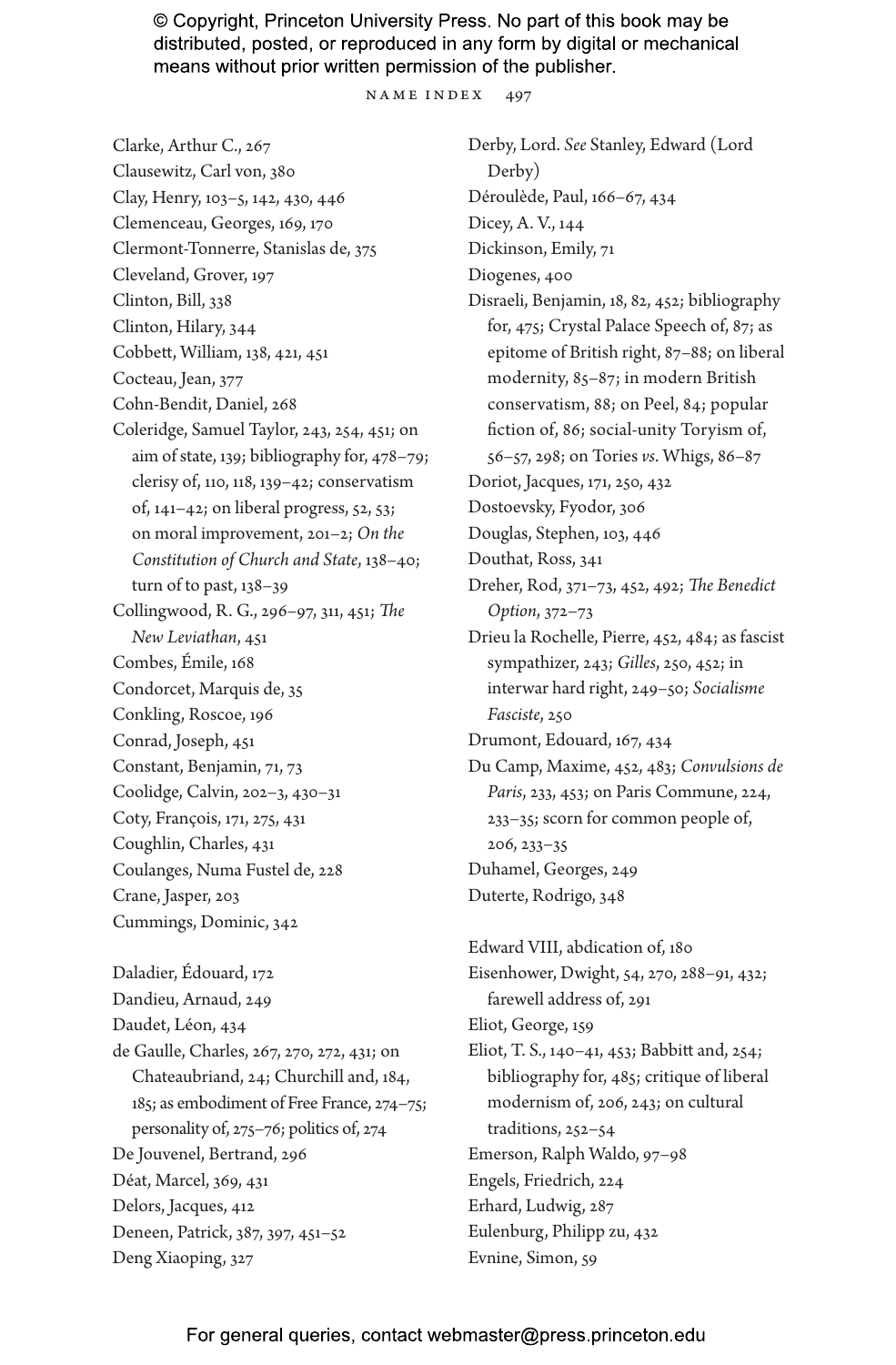Name Index 497

Clarke, Arthur C., 267 Clausewitz, Carl von, 380 Clay, Henry, 103–5, 142, 430, 446 Clemenceau, Georges, 169, 170 Clermont-Tonnerre, Stanislas de, 375 Cleveland, Grover, 197 Clinton, Bill, 338 Clinton, Hilary, 344 Cobbett, William, 138, 421, 451 Cocteau, Jean, 377 Cohn-Bendit, Daniel, 268 Coleridge, Samuel Taylor, 243, 254, 451; on aim of state, 139; bibliography for, 478–79; clerisy of, 110, 118, 139–42; conservatism of, 141–42; on liberal progress, 52, 53; on moral improvement, 201–2; *On the Constitution of Church and State*, 138–40; turn of to past, 138–39 Collingwood, R. G., 296–97, 311, 451; *The New Leviathan*, 451 Combes, Émile, 168 Condorcet, Marquis de, 35 Conkling, Roscoe, 196 Conrad, Joseph, 451 Constant, Benjamin, 71, 73 Coolidge, Calvin, 202–3, 430–31 Coty, François, 171, 275, 431 Coughlin, Charles, 431 Coulanges, Numa Fustel de, 228 Crane, Jasper, 203 Cummings, Dominic, 342 Daladier, Édouard, 172 Dandieu, Arnaud, 249 Daudet, Léon, 434 de Gaulle, Charles, 267, 270, 272, 431; on Chateaubriand, 24; Churchill and, 184, 185; as embodiment of Free France, 274–75; personality of, 275–76; politics of, 274 De Jouvenel, Bertrand, 296 Déat, Marcel, 369, 431 Delors, Jacques, 412 Deneen, Patrick, 387, 397, 451–52 Deng Xiaoping, 327

Derby, Lord. *See* Stanley, Edward (Lord Derby) Déroulède, Paul, 166–67, 434 Dicey, A. V., 144 Dickinson, Emily, 71 Diogenes, 400 Disraeli, Benjamin, 18, 82, 452; bibliography for, 475; Crystal Palace Speech of, 87; as epitome of British right, 87–88; on liberal modernity, 85–87; in modern British conservatism, 88; on Peel, 84; popular fiction of, 86; social-unity Toryism of, 56–57, 298; on Tories *vs*. Whigs, 86–87 Doriot, Jacques, 171, 250, 432 Dostoevsky, Fyodor, 306 Douglas, Stephen, 103, 446 Douthat, Ross, 341 Dreher, Rod, 371–73, 452, 492; *The Benedict Option*, 372–73 Drieu la Rochelle, Pierre, 452, 484; as fascist sympathizer, 243; *Gilles*, 250, 452; in interwar hard right, 249–50; *Socialisme Fasciste*, 250 Drumont, Edouard, 167, 434 Du Camp, Maxime, 452, 483; *Convulsions de Paris*, 233, 453; on Paris Commune, 224, 233–35; scorn for common people of, 206, 233–35 Duhamel, Georges, 249 Duterte, Rodrigo, 348

Edward VIII, abdication of, 180 Eisenhower, Dwight, 54, 270, 288–91, 432; farewell address of, 291 Eliot, George, 159 Eliot, T. S., 140–41, 453; Babbitt and, 254; bibliography for, 485; critique of liberal modernism of, 206, 243; on cultural traditions, 252–54 Emerson, Ralph Waldo, 97–98 Engels, Friedrich, 224 Erhard, Ludwig, 287 Eulenburg, Philipp zu, 432 Evnine, Simon, 59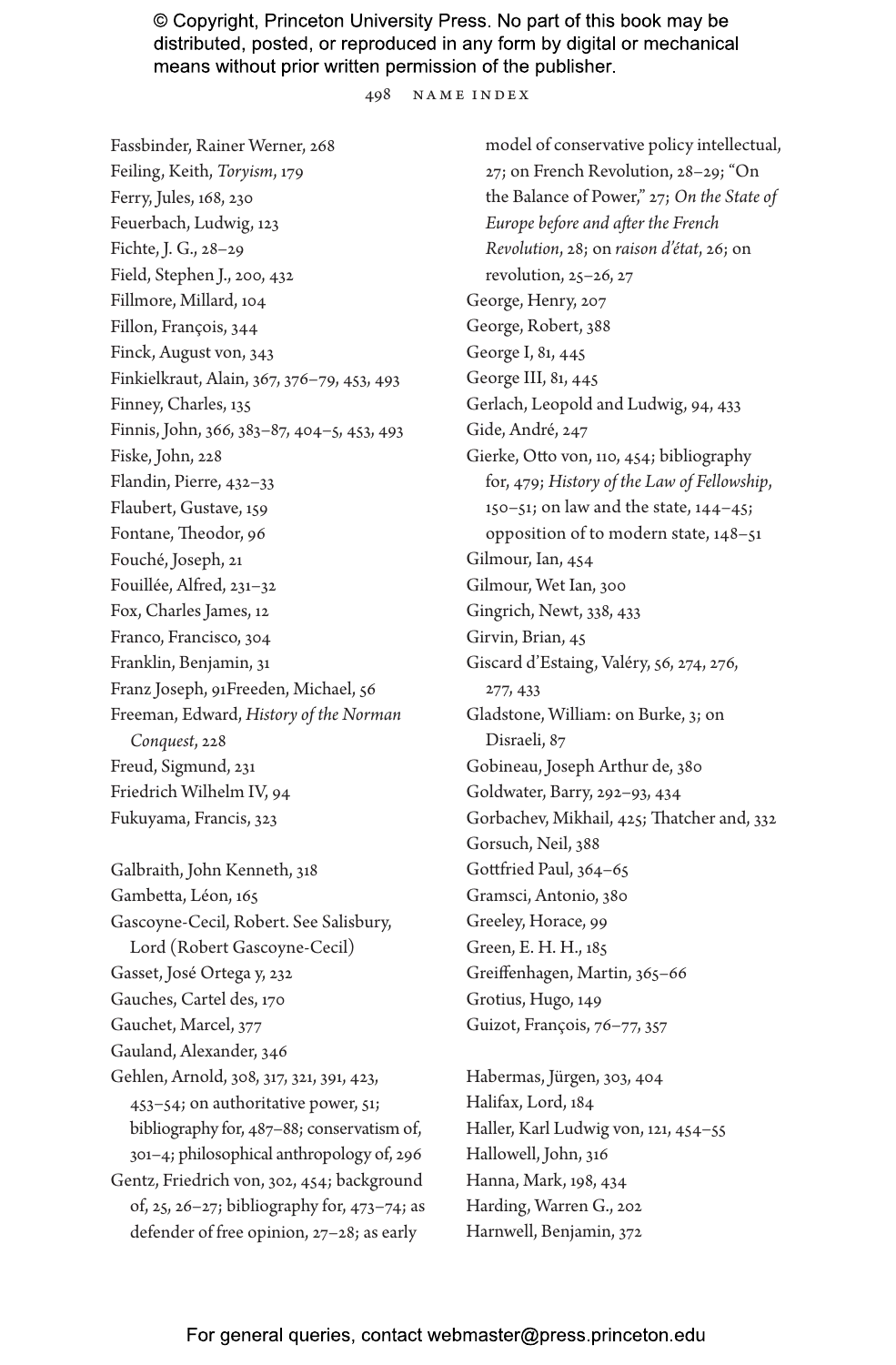#### 498 Name Index

Fassbinder, Rainer Werner, 268 Feiling, Keith, *Toryism*, 179 Ferry, Jules, 168, 230 Feuerbach, Ludwig, 123 Fichte, J. G., 28–29 Field, Stephen J., 200, 432 Fillmore, Millard, 104 Fillon, François, 344 Finck, August von, 343 Finkielkraut, Alain, 367, 376–79, 453, 493 Finney, Charles, 135 Finnis, John, 366, 383–87, 404–5, 453, 493 Fiske, John, 228 Flandin, Pierre, 432–33 Flaubert, Gustave, 159 Fontane, Theodor, 96 Fouché, Joseph, 21 Fouillée, Alfred, 231–32 Fox, Charles James, 12 Franco, Francisco, 304 Franklin, Benjamin, 31 Franz Joseph, 91Freeden, Michael, 56 Freeman, Edward, *History of the Norman Conquest*, 228 Freud, Sigmund, 231 Friedrich Wilhelm IV, 94 Fukuyama, Francis, 323

Galbraith, John Kenneth, 318 Gambetta, Léon, 165 Gascoyne-Cecil, Robert. See Salisbury, Lord (Robert Gascoyne-Cecil) Gasset, José Ortega y, 232 Gauches, Cartel des, 170 Gauchet, Marcel, 377 Gauland, Alexander, 346 Gehlen, Arnold, 308, 317, 321, 391, 423, 453–54; on authoritative power, 51; bibliography for, 487–88; conservatism of, 301–4; philosophical anthropology of, 296 Gentz, Friedrich von, 302, 454; background of, 25, 26–27; bibliography for, 473–74; as defender of free opinion, 27–28; as early

model of conservative policy intellectual, 27; on French Revolution, 28–29; "On the Balance of Power," 27; *On the State of Europe before and after the French Revolution*, 28; on *raison d'état*, 26; on revolution, 25–26, 27 George, Henry, 207 George, Robert, 388 George I, 81, 445 George III, 81, 445 Gerlach, Leopold and Ludwig, 94, 433 Gide, André, 247 Gierke, Otto von, 110, 454; bibliography for, 479; *History of the Law of Fellowship*, 150–51; on law and the state, 144–45; opposition of to modern state, 148–51 Gilmour, Ian, 454 Gilmour, Wet Ian, 300 Gingrich, Newt, 338, 433 Girvin, Brian, 45 Giscard d'Estaing, Valéry, 56, 274, 276, 277, 433 Gladstone, William: on Burke, 3; on Disraeli, 87 Gobineau, Joseph Arthur de, 380 Goldwater, Barry, 292–93, 434 Gorbachev, Mikhail, 425; Thatcher and, 332 Gorsuch, Neil, 388 Gottfried Paul, 364–65 Gramsci, Antonio, 380 Greeley, Horace, 99 Green, E. H. H., 185 Greiffenhagen, Martin, 365–66 Grotius, Hugo, 149 Guizot, François, 76–77, 357

Habermas, Jürgen, 303, 404 Halifax, Lord, 184 Haller, Karl Ludwig von, 121, 454–55 Hallowell, John, 316 Hanna, Mark, 198, 434 Harding, Warren G., 202 Harnwell, Benjamin, 372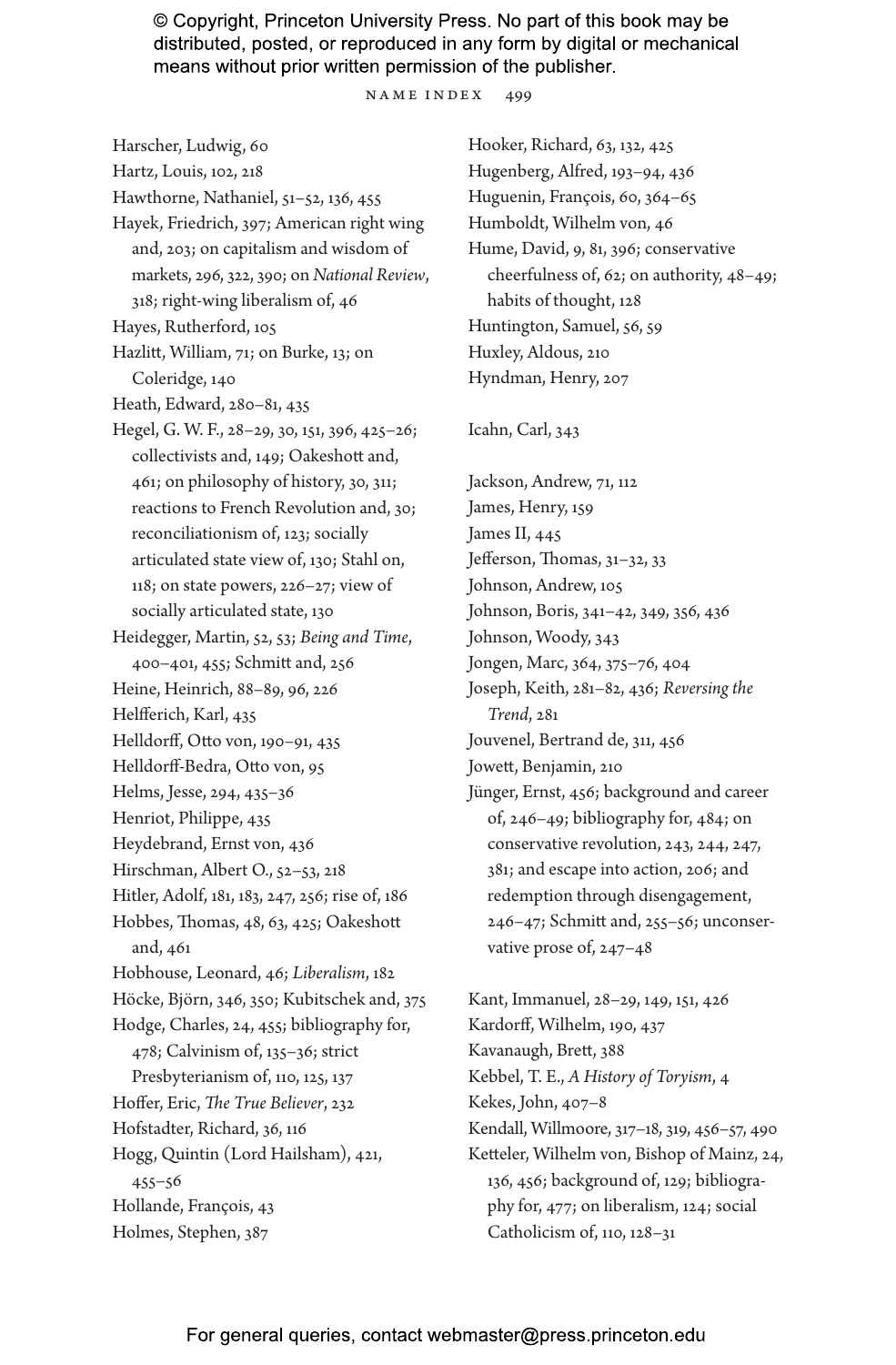Name Index 499

Harscher, Ludwig, 60 Hartz, Louis, 102, 218 Hawthorne, Nathaniel, 51–52, 136, 455 Hayek, Friedrich, 397; American right wing and, 203; on capitalism and wisdom of markets, 296, 322, 390; on *National Review*, 318; right-wing liberalism of, 46 Hayes, Rutherford, 105 Hazlitt, William, 71; on Burke, 13; on Coleridge, 140 Heath, Edward, 280–81, 435 Hegel, G. W. F., 28–29, 30, 151, 396, 425–26; collectivists and, 149; Oakeshott and, 461; on philosophy of history, 30, 311; reactions to French Revolution and, 30; reconciliationism of, 123; socially articulated state view of, 130; Stahl on, 118; on state powers, 226–27; view of socially articulated state, 130 Heidegger, Martin, 52, 53; *Being and Time*, 400–401, 455; Schmitt and, 256 Heine, Heinrich, 88–89, 96, 226 Helfferich, Karl, 435 Helldorff, Otto von, 190–91, 435 Helldorff-Bedra, Otto von, 95 Helms, Jesse, 294, 435–36 Henriot, Philippe, 435 Heydebrand, Ernst von, 436 Hirschman, Albert O., 52–53, 218 Hitler, Adolf, 181, 183, 247, 256; rise of, 186 Hobbes, Thomas, 48, 63, 425; Oakeshott and, 461 Hobhouse, Leonard, 46; *Liberalism*, 182 Höcke, Björn, 346, 350; Kubitschek and, 375 Hodge, Charles, 24, 455; bibliography for, 478; Calvinism of, 135–36; strict Presbyterianism of, 110, 125, 137 Hoffer, Eric, *The True Believer*, 232 Hofstadter, Richard, 36, 116 Hogg, Quintin (Lord Hailsham), 421, 455–56 Hollande, François, 43 Holmes, Stephen, 387

Hooker, Richard, 63, 132, 425 Hugenberg, Alfred, 193–94, 436 Huguenin, François, 60, 364–65 Humboldt, Wilhelm von, 46 Hume, David, 9, 81, 396; conservative cheerfulness of, 62; on authority, 48–49; habits of thought, 128 Huntington, Samuel, 56, 59 Huxley, Aldous, 210 Hyndman, Henry, 207

#### Icahn, Carl, 343

Jackson, Andrew, 71, 112 James, Henry, 159 James II, 445 Jefferson, Thomas, 31–32, 33 Johnson, Andrew, 105 Johnson, Boris, 341–42, 349, 356, 436 Johnson, Woody, 343 Jongen, Marc, 364, 375–76, 404 Joseph, Keith, 281–82, 436; *Reversing the Trend*, 281 Jouvenel, Bertrand de, 311, 456 Jowett, Benjamin, 210 Jünger, Ernst, 456; background and career of, 246–49; bibliography for, 484; on conservative revolution, 243, 244, 247, 381; and escape into action, 206; and redemption through disengagement, 246–47; Schmitt and, 255–56; unconservative prose of, 247–48

Kant, Immanuel, 28–29, 149, 151, 426 Kardorff, Wilhelm, 190, 437 Kavanaugh, Brett, 388 Kebbel, T. E., *A History of Toryism*, 4 Kekes, John, 407–8 Kendall, Willmoore, 317–18, 319, 456–57, 490 Ketteler, Wilhelm von, Bishop of Mainz, 24, 136, 456; background of, 129; bibliography for, 477; on liberalism, 124; social Catholicism of, 110, 128–31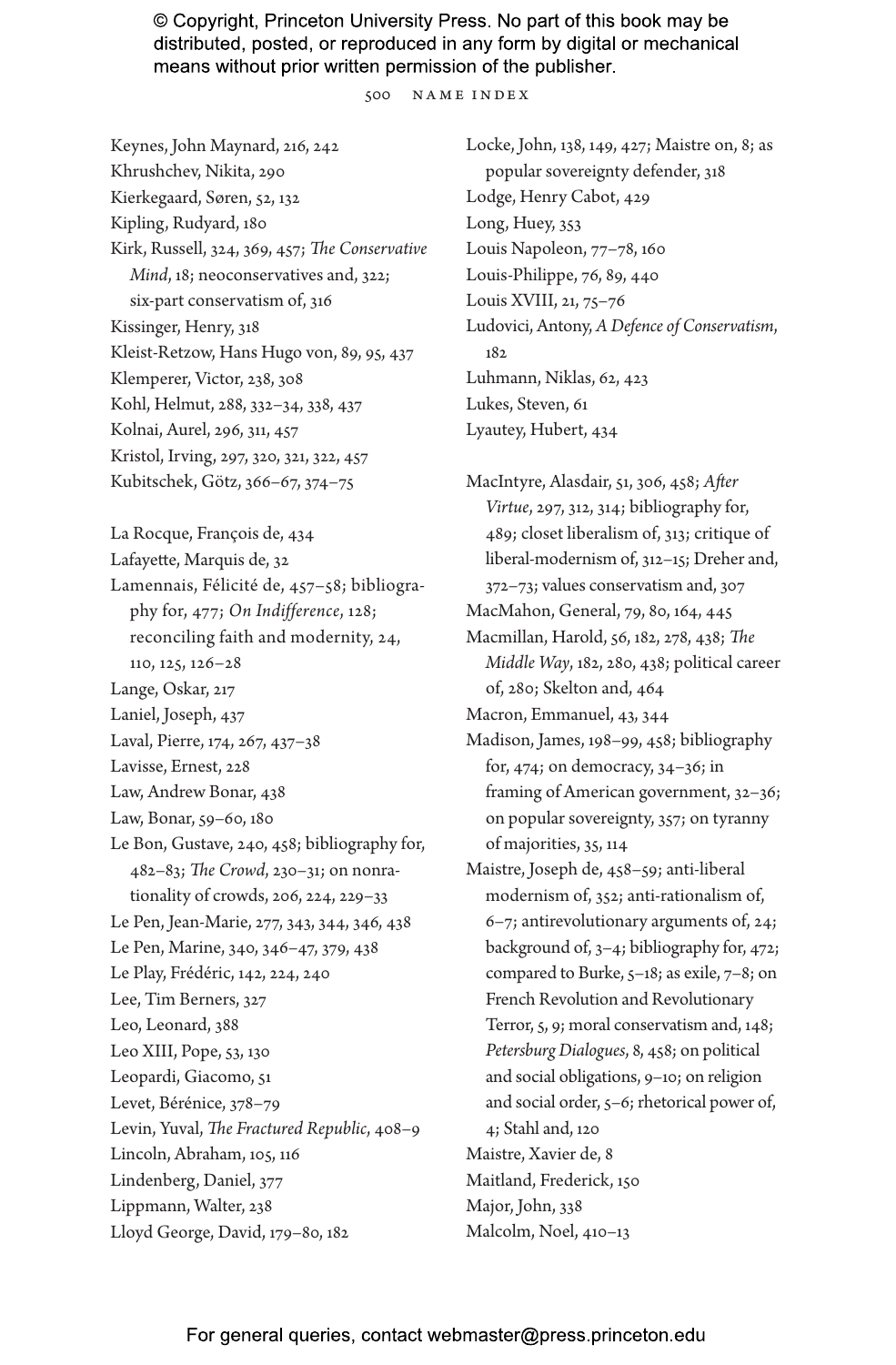#### 500 Name Index

Keynes, John Maynard, 216, 242 Khrushchev, Nikita, 290 Kierkegaard, Søren, 52, 132 Kipling, Rudyard, 180 Kirk, Russell, 324, 369, 457; *The Conservative Mind*, 18; neoconservatives and, 322; six-part conservatism of, 316 Kissinger, Henry, 318 Kleist-Retzow, Hans Hugo von, 89, 95, 437 Klemperer, Victor, 238, 308 Kohl, Helmut, 288, 332–34, 338, 437 Kolnai, Aurel, 296, 311, 457 Kristol, Irving, 297, 320, 321, 322, 457 Kubitschek, Götz, 366–67, 374–75 La Rocque, François de, 434 Lafayette, Marquis de, 32 Lamennais, Félicité de, 457–58; bibliography for, 477; *On Indifference*, 128; reconciling faith and modernity, 24, 110, 125, 126–28 Lange, Oskar, 217 Laniel, Joseph, 437 Laval, Pierre, 174, 267, 437–38 Lavisse, Ernest, 228 Law, Andrew Bonar, 438 Law, Bonar, 59–60, 180 Le Bon, Gustave, 240, 458; bibliography for, 482–83; *The Crowd*, 230–31; on nonrationality of crowds, 206, 224, 229–33 Le Pen, Jean-Marie, 277, 343, 344, 346, 438 Le Pen, Marine, 340, 346–47, 379, 438 Le Play, Frédéric, 142, 224, 240 Lee, Tim Berners, 327 Leo, Leonard, 388 Leo XIII, Pope, 53, 130 Leopardi, Giacomo, 51 Levet, Bérénice, 378–79 Levin, Yuval, *The Fractured Republic*, 408–9 Lincoln, Abraham, 105, 116 Lindenberg, Daniel, 377 Lippmann, Walter, 238 Lloyd George, David, 179–80, 182

Locke, John, 138, 149, 427; Maistre on, 8; as popular sovereignty defender, 318 Lodge, Henry Cabot, 429 Long, Huey, 353 Louis Napoleon, 77–78, 160 Louis-Philippe, 76, 89, 440 Louis XVIII, 21, 75–76 Ludovici, Antony, *A Defence of Conservatism*, 182 Luhmann, Niklas, 62, 423 Lukes, Steven, 61 Lyautey, Hubert, 434

MacIntyre, Alasdair, 51, 306, 458; *After Virtue*, 297, 312, 314; bibliography for, 489; closet liberalism of, 313; critique of liberal-modernism of, 312–15; Dreher and, 372–73; values conservatism and, 307 MacMahon, General, 79, 80, 164, 445 Macmillan, Harold, 56, 182, 278, 438; *The Middle Way*, 182, 280, 438; political career of, 280; Skelton and, 464 Macron, Emmanuel, 43, 344 Madison, James, 198–99, 458; bibliography for, 474; on democracy, 34–36; in framing of American government, 32–36; on popular sovereignty, 357; on tyranny of majorities, 35, 114 Maistre, Joseph de, 458–59; anti-liberal modernism of, 352; anti-rationalism of, 6–7; antirevolutionary arguments of, 24; background of, 3–4; bibliography for, 472; compared to Burke, 5–18; as exile, 7–8; on French Revolution and Revolutionary Terror, 5, 9; moral conservatism and, 148; *Petersburg Dialogues*, 8, 458; on political and social obligations, 9–10; on religion and social order, 5–6; rhetorical power of, 4; Stahl and, 120 Maistre, Xavier de, 8 Maitland, Frederick, 150 Major, John, 338 Malcolm, Noel, 410–13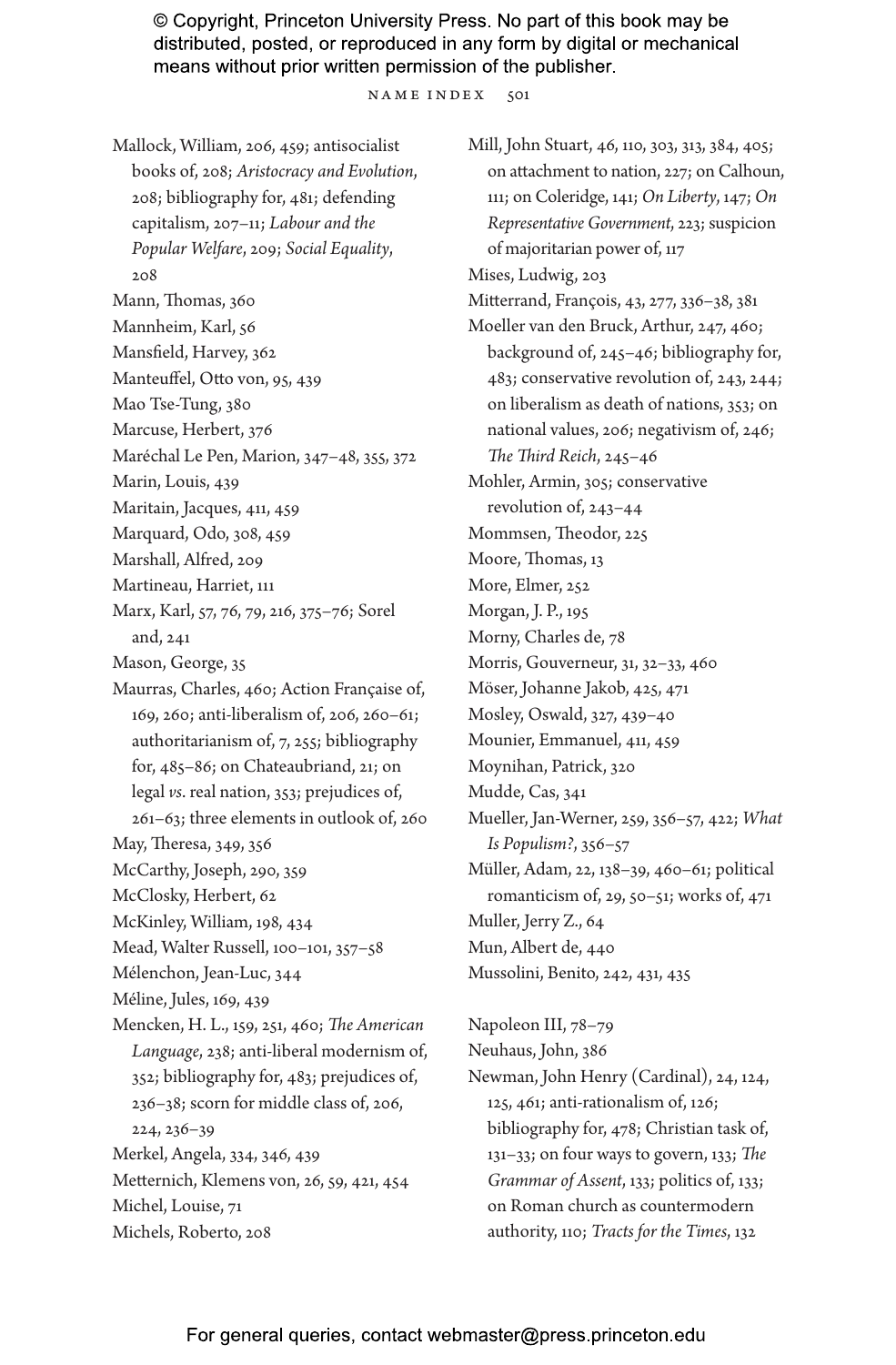Name Index 501

Mallock, William, 206, 459; antisocialist books of, 208; *Aristocracy and Evolution*, 208; bibliography for, 481; defending capitalism, 207–11; *Labour and the Popular Welfare*, 209; *Social Equality*, 208 Mann, Thomas, 360 Mannheim, Karl, 56 Mansfield, Harvey, 362 Manteuffel, Otto von, 95, 439 Mao Tse-Tung, 380 Marcuse, Herbert, 376 Maréchal Le Pen, Marion, 347–48, 355, 372 Marin, Louis, 439 Maritain, Jacques, 411, 459 Marquard, Odo, 308, 459 Marshall, Alfred, 209 Martineau, Harriet, 111 Marx, Karl, 57, 76, 79, 216, 375–76; Sorel and, 241 Mason, George, 35 Maurras, Charles, 460; Action Française of, 169, 260; anti-liberalism of, 206, 260–61; authoritarianism of, 7, 255; bibliography for, 485–86; on Chateaubriand, 21; on legal *vs*. real nation, 353; prejudices of, 261–63; three elements in outlook of, 260 May, Theresa, 349, 356 McCarthy, Joseph, 290, 359 McClosky, Herbert, 62 McKinley, William, 198, 434 Mead, Walter Russell, 100–101, 357–58 Mélenchon, Jean-Luc, 344 Méline, Jules, 169, 439 Mencken, H. L., 159, 251, 460; *The American Language*, 238; anti-liberal modernism of, 352; bibliography for, 483; prejudices of, 236–38; scorn for middle class of, 206, 224, 236–39 Merkel, Angela, 334, 346, 439 Metternich, Klemens von, 26, 59, 421, 454 Michel, Louise, 71 Michels, Roberto, 208

Mill, John Stuart, 46, 110, 303, 313, 384, 405; on attachment to nation, 227; on Calhoun, 111; on Coleridge, 141; *On Liberty*, 147; *On Representative Government*, 223; suspicion of majoritarian power of, 117 Mises, Ludwig, 203 Mitterrand, François, 43, 277, 336–38, 381 Moeller van den Bruck, Arthur, 247, 460; background of, 245–46; bibliography for, 483; conservative revolution of, 243, 244; on liberalism as death of nations, 353; on national values, 206; negativism of, 246; *The Third Reich*, 245–46 Mohler, Armin, 305; conservative revolution of, 243–44 Mommsen, Theodor, 225 Moore, Thomas, 13 More, Elmer, 252 Morgan, J. P., 195 Morny, Charles de, 78 Morris, Gouverneur, 31, 32–33, 460 Möser, Johanne Jakob, 425, 471 Mosley, Oswald, 327, 439–40 Mounier, Emmanuel, 411, 459 Moynihan, Patrick, 320 Mudde, Cas, 341 Mueller, Jan-Werner, 259, 356–57, 422; *What Is Populism?*, 356–57 Müller, Adam, 22, 138–39, 460–61; political romanticism of, 29, 50–51; works of, 471 Muller, Jerry Z., 64 Mun, Albert de, 440 Mussolini, Benito, 242, 431, 435

Napoleon III, 78–79 Neuhaus, John, 386 Newman, John Henry (Cardinal), 24, 124, 125, 461; anti-rationalism of, 126; bibliography for, 478; Christian task of, 131–33; on four ways to govern, 133; *The Grammar of Assent*, 133; politics of, 133; on Roman church as countermodern authority, 110; *Tracts for the Times*, 132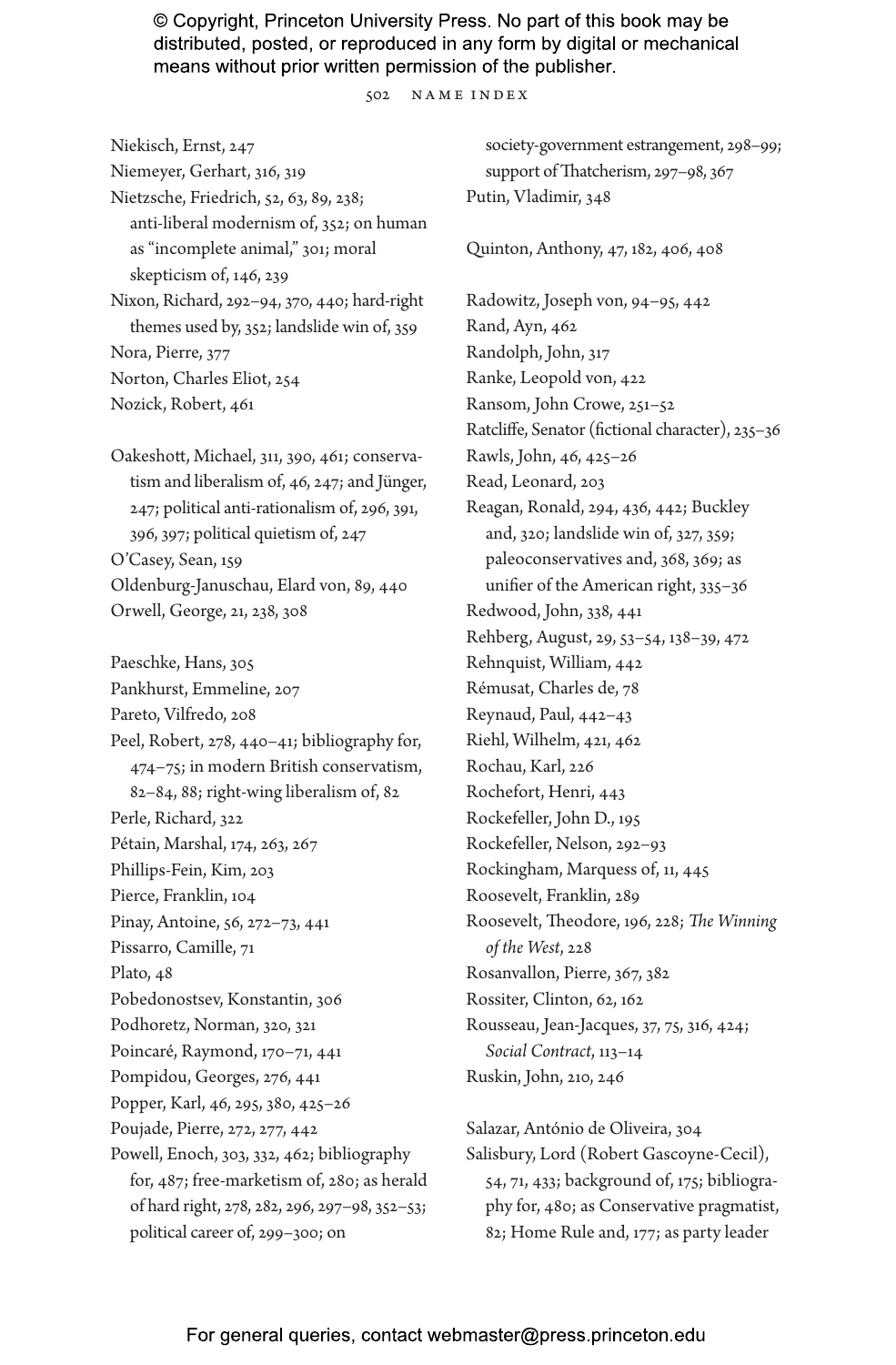#### 502 Name Index

Niekisch, Ernst, 247 Niemeyer, Gerhart, 316, 319 Nietzsche, Friedrich, 52, 63, 89, 238; anti-liberal modernism of, 352; on human as "incomplete animal," 301; moral skepticism of, 146, 239 Nixon, Richard, 292–94, 370, 440; hard-right themes used by, 352; landslide win of, 359 Nora, Pierre, 377 Norton, Charles Eliot, 254 Nozick, Robert, 461

Oakeshott, Michael, 311, 390, 461; conservatism and liberalism of, 46, 247; and Jünger, 247; political anti-rationalism of, 296, 391, 396, 397; political quietism of, 247 O'Casey, Sean, 159 Oldenburg-Januschau, Elard von, 89, 440 Orwell, George, 21, 238, 308

Paeschke, Hans, 305 Pankhurst, Emmeline, 207 Pareto, Vilfredo, 208 Peel, Robert, 278, 440–41; bibliography for, 474–75; in modern British conservatism, 82–84, 88; right-wing liberalism of, 82 Perle, Richard, 322 Pétain, Marshal, 174, 263, 267 Phillips-Fein, Kim, 203 Pierce, Franklin, 104 Pinay, Antoine, 56, 272–73, 441 Pissarro, Camille, 71 Plato, 48 Pobedonostsev, Konstantin, 306 Podhoretz, Norman, 320, 321 Poincaré, Raymond, 170–71, 441 Pompidou, Georges, 276, 441 Popper, Karl, 46, 295, 380, 425–26 Poujade, Pierre, 272, 277, 442 Powell, Enoch, 303, 332, 462; bibliography for, 487; free-marketism of, 280; as herald of hard right, 278, 282, 296, 297–98, 352–53;

political career of, 299–300; on

society-government estrangement, 298–99; support of Thatcherism, 297–98, 367 Putin, Vladimir, 348 Quinton, Anthony, 47, 182, 406, 408 Radowitz, Joseph von, 94–95, 442 Rand, Ayn, 462 Randolph, John, 317 Ranke, Leopold von, 422 Ransom, John Crowe, 251–52 Ratcliffe, Senator (fictional character), 235–36 Rawls, John, 46, 425–26 Read, Leonard, 203 Reagan, Ronald, 294, 436, 442; Buckley and, 320; landslide win of, 327, 359; paleoconservatives and, 368, 369; as unifier of the American right, 335–36 Redwood, John, 338, 441 Rehberg, August, 29, 53–54, 138–39, 472 Rehnquist, William, 442 Rémusat, Charles de, 78 Reynaud, Paul, 442–43 Riehl, Wilhelm, 421, 462 Rochau, Karl, 226 Rochefort, Henri, 443 Rockefeller, John D., 195 Rockefeller, Nelson, 292–93 Rockingham, Marquess of, 11, 445 Roosevelt, Franklin, 289 Roosevelt, Theodore, 196, 228; *The Winning of the West*, 228 Rosanvallon, Pierre, 367, 382 Rossiter, Clinton, 62, 162 Rousseau, Jean-Jacques, 37, 75, 316, 424; *Social Contract*, 113–14 Ruskin, John, 210, 246

Salazar, António de Oliveira, 304 Salisbury, Lord (Robert Gascoyne-Cecil), 54, 71, 433; background of, 175; bibliography for, 480; as Conservative pragmatist, 82; Home Rule and, 177; as party leader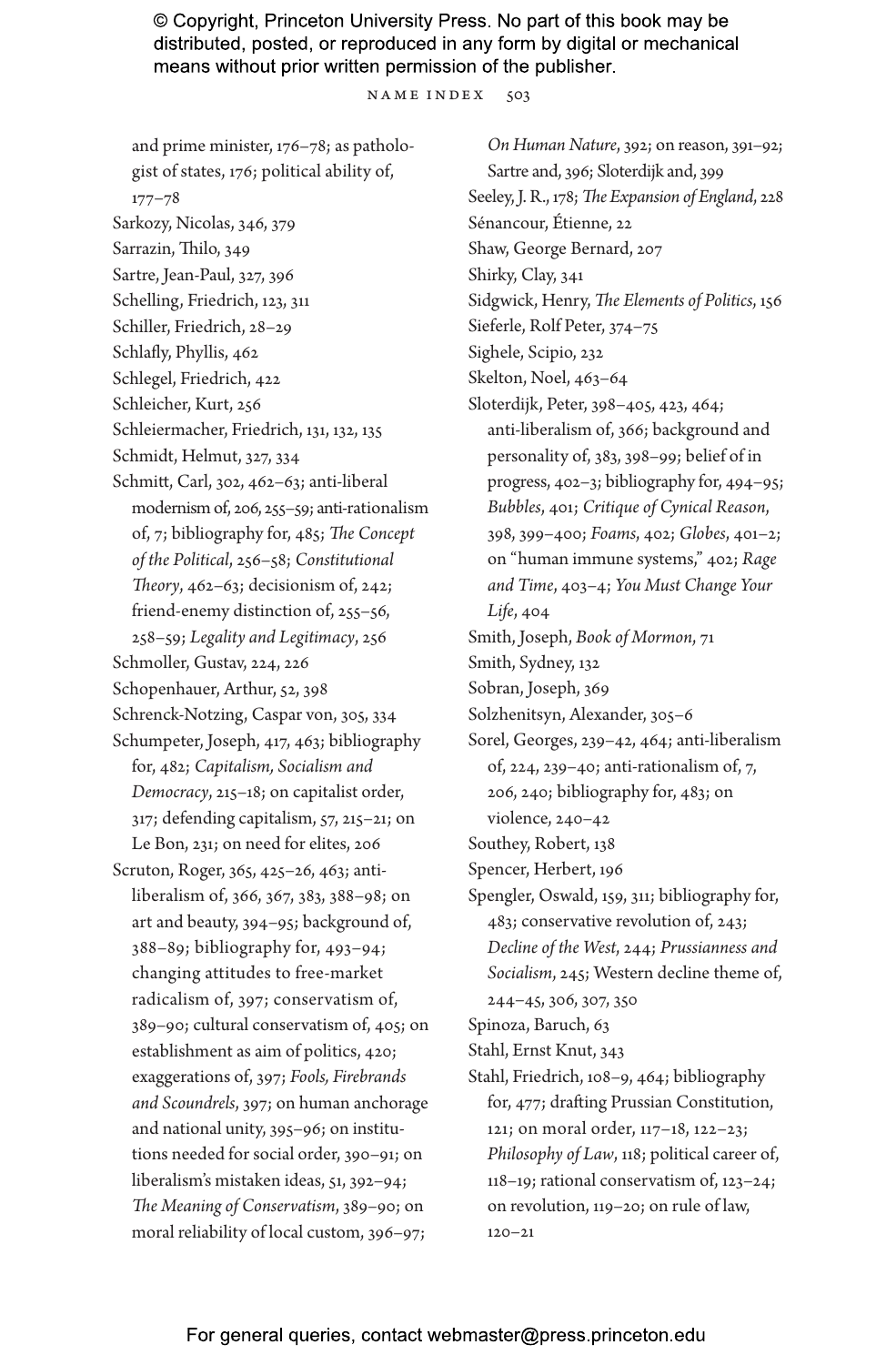#### NAME INDEX 503

and prime minister, 176–78; as pathologist of states, 176; political ability of, 177–78 Sarkozy, Nicolas, 346, 379 Sarrazin, Thilo, 349 Sartre, Jean-Paul, 327, 396 Schelling, Friedrich, 123, 311 Schiller, Friedrich, 28–29 Schlafly, Phyllis, 462 Schlegel, Friedrich, 422 Schleicher, Kurt, 256 Schleiermacher, Friedrich, 131, 132, 135 Schmidt, Helmut, 327, 334 Schmitt, Carl, 302, 462–63; anti-liberal modernism of, 206, 255–59; anti-rationalism of, 7; bibliography for, 485; *The Concept of the Political*, 256–58; *Constitutional Theory*, 462–63; decisionism of, 242; friend-enemy distinction of, 255–56, 258–59; *Legality and Legitimacy*, 256 Schmoller, Gustav, 224, 226 Schopenhauer, Arthur, 52, 398 Schrenck-Notzing, Caspar von, 305, 334 Schumpeter, Joseph, 417, 463; bibliography for, 482; *Capitalism, Socialism and Democracy*, 215–18; on capitalist order, 317; defending capitalism, 57, 215–21; on Le Bon, 231; on need for elites, 206 Scruton, Roger, 365, 425–26, 463; antiliberalism of, 366, 367, 383, 388–98; on art and beauty, 394–95; background of, 388–89; bibliography for, 493–94; changing attitudes to free-market radicalism of, 397; conservatism of, 389–90; cultural conservatism of, 405; on establishment as aim of politics, 420; exaggerations of, 397; *Fools, Firebrands and Scoundrels*, 397; on human anchorage and national unity, 395–96; on institutions needed for social order, 390–91; on liberalism's mistaken ideas, 51, 392–94; *The Meaning of Conservatism*, 389–90; on moral reliability of local custom, 396–97;

*On Human Nature*, 392; on reason, 391–92; Sartre and, 396; Sloterdijk and, 399 Seeley, J. R., 178; *The Expansion of England*, 228 Sénancour, Étienne, 22 Shaw, George Bernard, 207 Shirky, Clay, 341 Sidgwick, Henry, *The Elements of Politics*, 156 Sieferle, Rolf Peter, 374–75 Sighele, Scipio, 232 Skelton, Noel, 463–64 Sloterdijk, Peter, 398–405, 423, 464; anti-liberalism of, 366; background and personality of, 383, 398–99; belief of in progress, 402–3; bibliography for, 494–95; *Bubbles*, 401; *Critique of Cynical Reason*, 398, 399–400; *Foams*, 402; *Globes*, 401–2; on "human immune systems," 402; *Rage and Time*, 403–4; *You Must Change Your Life*, 404 Smith, Joseph, *Book of Mormon*, 71 Smith, Sydney, 132 Sobran, Joseph, 369 Solzhenitsyn, Alexander, 305–6 Sorel, Georges, 239–42, 464; anti-liberalism of, 224, 239–40; anti-rationalism of, 7, 206, 240; bibliography for, 483; on violence, 240–42 Southey, Robert, 138 Spencer, Herbert, 196 Spengler, Oswald, 159, 311; bibliography for, 483; conservative revolution of, 243; *Decline of the West*, 244; *Prussianness and Socialism*, 245; Western decline theme of, 244–45, 306, 307, 350 Spinoza, Baruch, 63 Stahl, Ernst Knut, 343 Stahl, Friedrich, 108–9, 464; bibliography for, 477; drafting Prussian Constitution, 121; on moral order, 117–18, 122–23; *Philosophy of Law*, 118; political career of, 118–19; rational conservatism of, 123–24; on revolution, 119–20; on rule of law, 120–21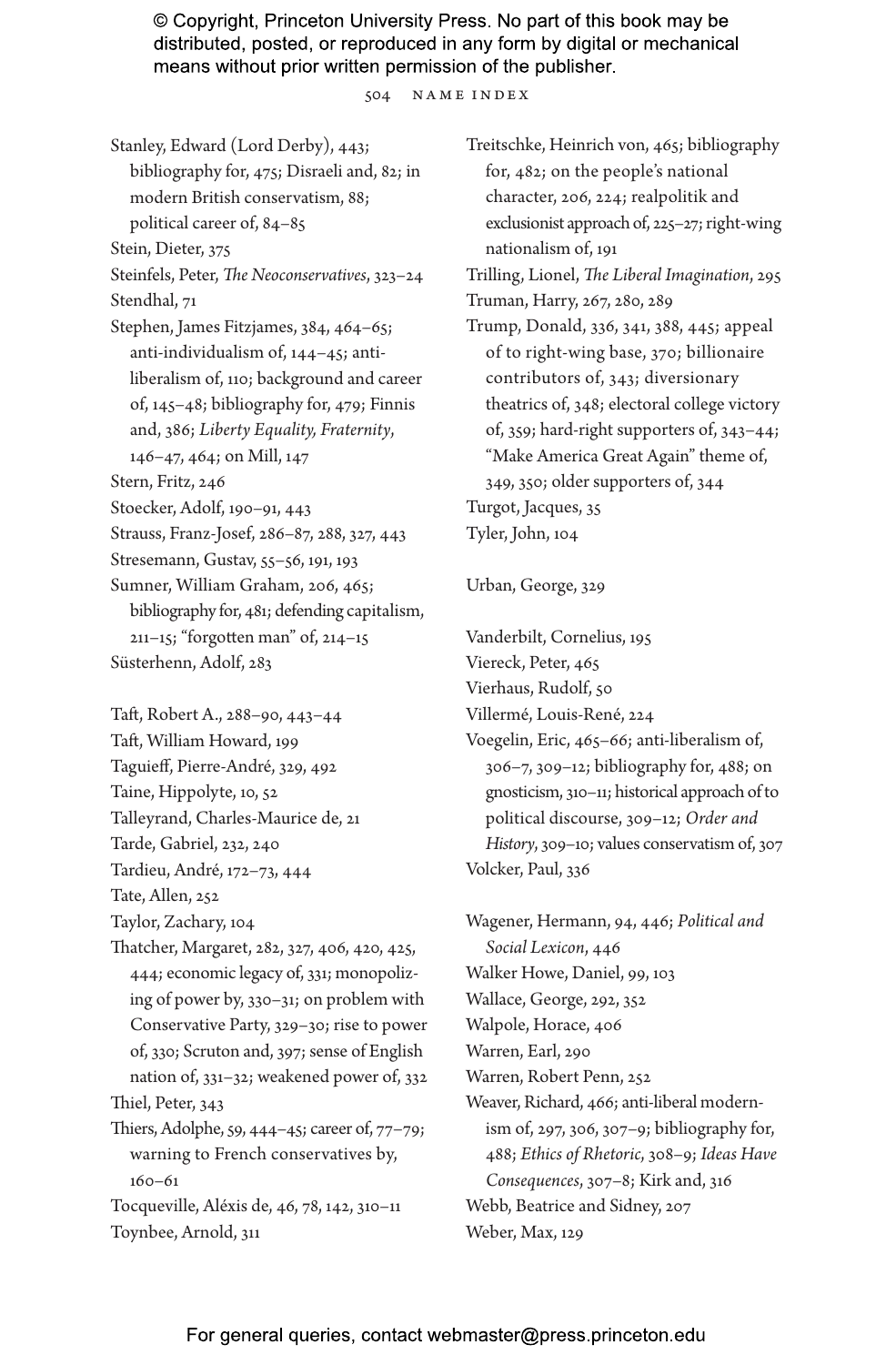#### 504 Name Index

Stanley, Edward (Lord Derby), 443; bibliography for, 475; Disraeli and, 82; in modern British conservatism, 88; political career of, 84–85 Stein, Dieter, 375 Steinfels, Peter, *The Neoconservatives*, 323–24 Stendhal, 71 Stephen, James Fitzjames, 384, 464–65; anti-individualism of, 144–45; antiliberalism of, 110; background and career of, 145–48; bibliography for, 479; Finnis and, 386; *Liberty Equality, Fraternity*, 146–47, 464; on Mill, 147 Stern, Fritz, 246 Stoecker, Adolf, 190–91, 443 Strauss, Franz-Josef, 286–87, 288, 327, 443 Stresemann, Gustav, 55–56, 191, 193 Sumner, William Graham, 206, 465; bibliography for, 481; defending capitalism, 211–15; "forgotten man" of, 214–15 Süsterhenn, Adolf, 283

Taft, Robert A., 288–90, 443–44 Taft, William Howard, 199 Taguieff, Pierre-André, 329, 492 Taine, Hippolyte, 10, 52 Talleyrand, Charles-Maurice de, 21 Tarde, Gabriel, 232, 240 Tardieu, André, 172–73, 444 Tate, Allen, 252 Taylor, Zachary, 104 Thatcher, Margaret, 282, 327, 406, 420, 425, 444; economic legacy of, 331; monopolizing of power by, 330–31; on problem with Conservative Party, 329–30; rise to power of, 330; Scruton and, 397; sense of English nation of, 331–32; weakened power of, 332 Thiel, Peter, 343 Thiers, Adolphe, 59, 444–45; career of, 77–79; warning to French conservatives by, 160–61 Tocqueville, Aléxis de, 46, 78, 142, 310–11 Toynbee, Arnold, 311

Treitschke, Heinrich von, 465; bibliography for, 482; on the people's national character, 206, 224; realpolitik and exclusionist approach of, 225–27; right-wing nationalism of, 191 Trilling, Lionel, *The Liberal Imagination*, 295 Truman, Harry, 267, 280, 289 Trump, Donald, 336, 341, 388, 445; appeal of to right-wing base, 370; billionaire contributors of, 343; diversionary theatrics of, 348; electoral college victory of, 359; hard-right supporters of, 343–44; "Make America Great Again" theme of, 349, 350; older supporters of, 344 Turgot, Jacques, 35 Tyler, John, 104

#### Urban, George, 329

Vanderbilt, Cornelius, 195 Viereck, Peter, 465 Vierhaus, Rudolf, 50 Villermé, Louis-René, 224 Voegelin, Eric, 465–66; anti-liberalism of, 306–7, 309–12; bibliography for, 488; on gnosticism, 310–11; historical approach of to political discourse, 309–12; *Order and History*, 309–10; values conservatism of, 307 Volcker, Paul, 336

Wagener, Hermann, 94, 446; *Political and Social Lexicon*, 446 Walker Howe, Daniel, 99, 103 Wallace, George, 292, 352 Walpole, Horace, 406 Warren, Earl, 290 Warren, Robert Penn, 252 Weaver, Richard, 466; anti-liberal modernism of, 297, 306, 307–9; bibliography for, 488; *Ethics of Rhetoric*, 308–9; *Ideas Have Consequences*, 307–8; Kirk and, 316 Webb, Beatrice and Sidney, 207 Weber, Max, 129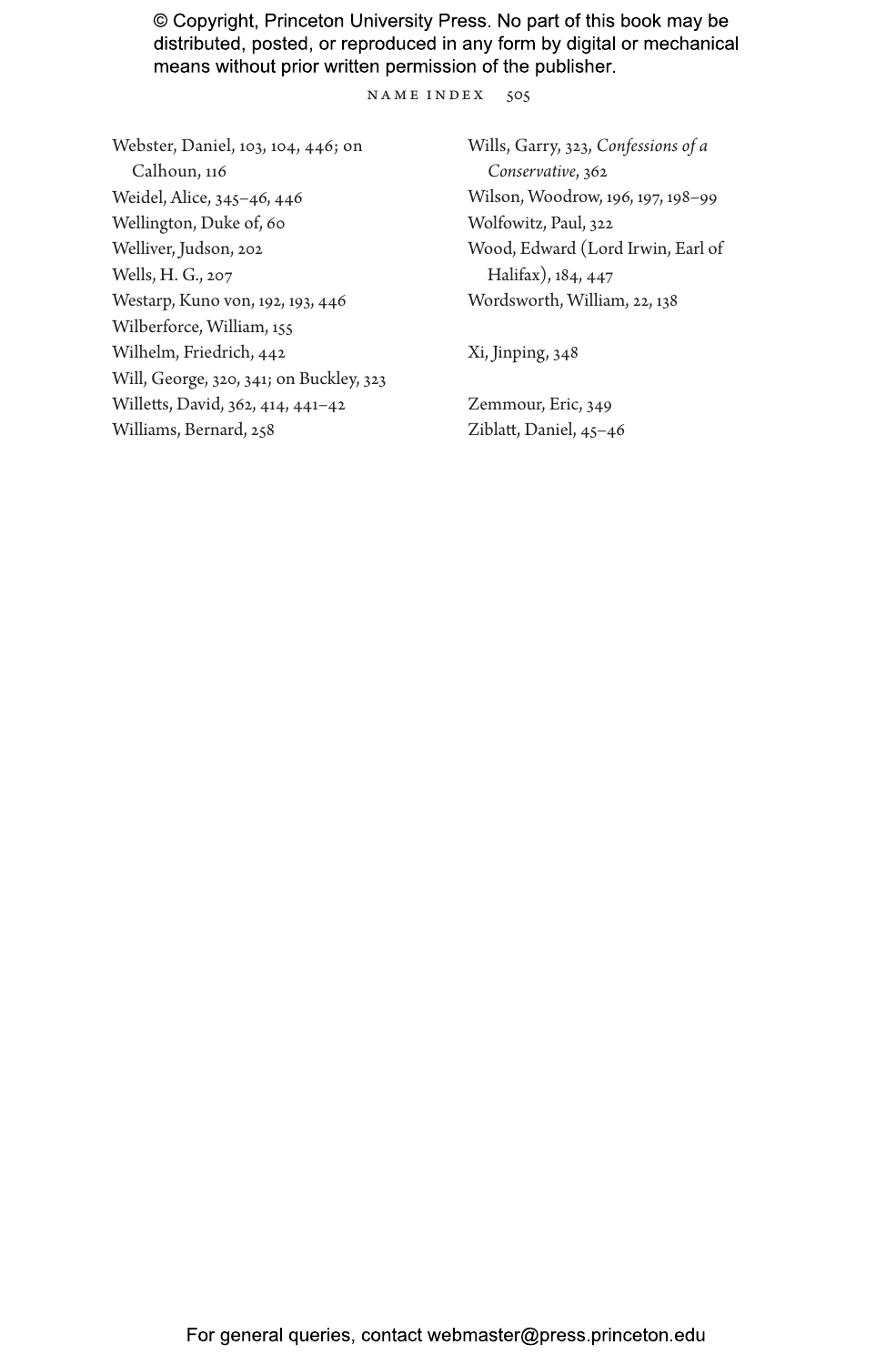Name Index 505

Webster, Daniel, 103, 104, 446; on Calhoun, 116 Weidel, Alice, 345–46, 446 Wellington, Duke of, 60 Welliver, Judson, 202 Wells, H. G., 207 Westarp, Kuno von, 192, 193, 446 Wilberforce, William, 155 Wilhelm, Friedrich, 442 Will, George, 320, 341; on Buckley, 323 Willetts, David, 362, 414, 441–42 Williams, Bernard, 258

Wills, Garry, 323, *Confessions of a Conservative*, 362 Wilson, Woodrow, 196, 197, 198–99 Wolfowitz, Paul, 322 Wood, Edward (Lord Irwin, Earl of Halifax), 184, 447 Wordsworth, William, 22, 138

Xi, Jinping, 348

Zemmour, Eric, 349 Ziblatt, Daniel, 45–46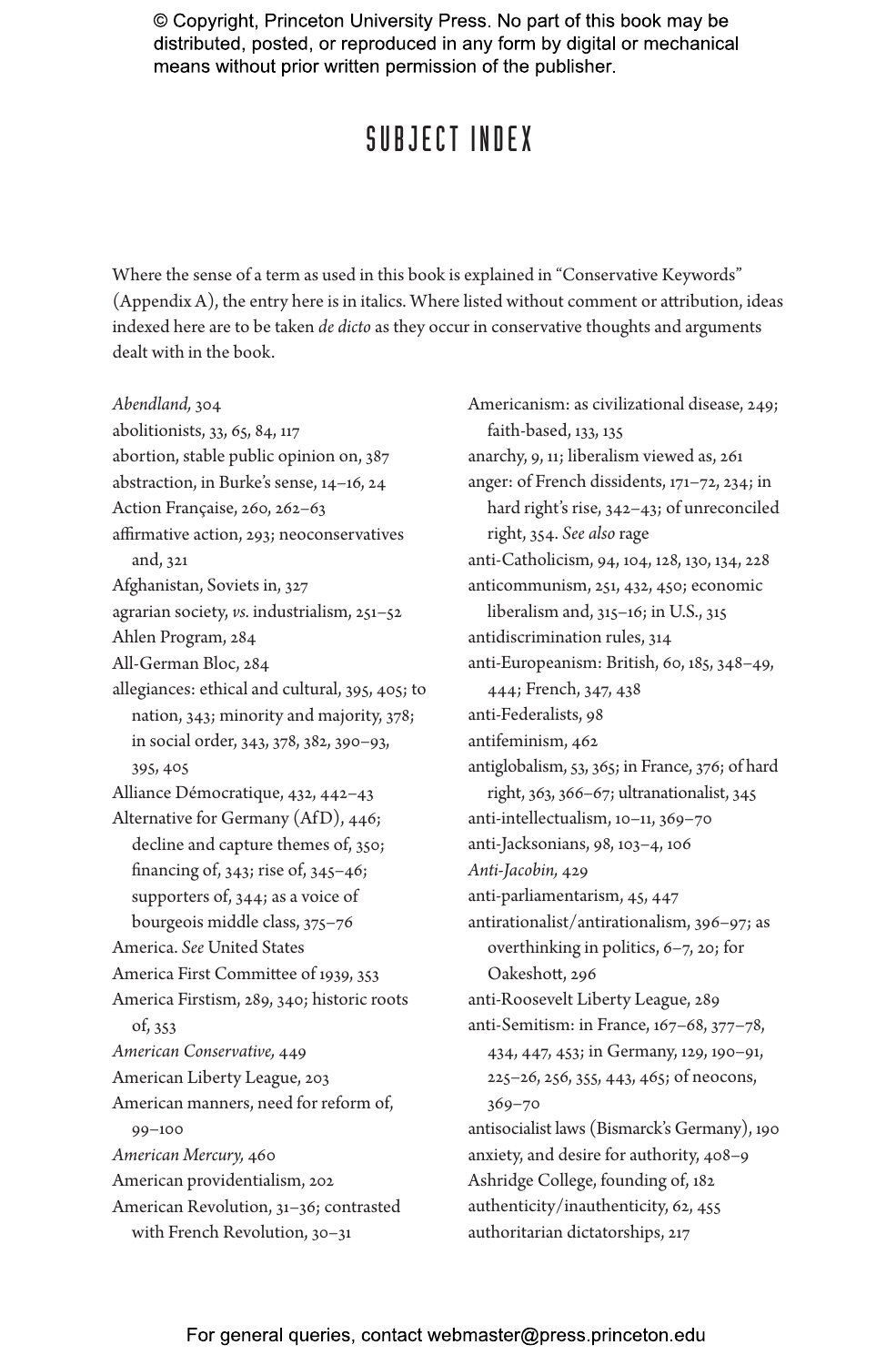# SUBJECT INDEX

Where the sense of a term as used in this book is explained in "Conservative Keywords" (Appendix A), the entry here is in italics. Where listed without comment or attribution, ideas indexed here are to be taken *de dicto* as they occur in conservative thoughts and arguments dealt with in the book.

*Abendland,* 304 abolitionists, 33, 65, 84, 117 abortion, stable public opinion on, 387 abstraction, in Burke's sense, 14–16, 24 Action Française, 260, 262–63 affirmative action, 293; neoconservatives and, 321 Afghanistan, Soviets in, 327 agrarian society, *vs.* industrialism, 251–52 Ahlen Program, 284 All-German Bloc, 284 allegiances: ethical and cultural, 395, 405; to nation, 343; minority and majority, 378; in social order, 343, 378, 382, 390–93, 395, 405 Alliance Démocratique, 432, 442–43 Alternative for Germany (AfD), 446; decline and capture themes of, 350; financing of, 343; rise of, 345–46; supporters of, 344; as a voice of bourgeois middle class, 375–76 America. *See* United States America First Committee of 1939, 353 America Firstism, 289, 340; historic roots of, 353 *American Conservative,* 449 American Liberty League, 203 American manners, need for reform of, 99–100 *American Mercury,* 460 American providentialism, 202 American Revolution, 31–36; contrasted with French Revolution, 30–31

Americanism: as civilizational disease, 249; faith-based, 133, 135 anarchy, 9, 11; liberalism viewed as, 261 anger: of French dissidents, 171–72, 234; in hard right's rise, 342–43; of unreconciled right, 354. *See also* rage anti-Catholicism, 94, 104, 128, 130, 134, 228 anticommunism, 251, 432, 450; economic liberalism and, 315–16; in U.S., 315 antidiscrimination rules, 314 anti-Europeanism: British, 60, 185, 348–49, 444; French, 347, 438 anti-Federalists, 98 antifeminism, 462 antiglobalism, 53, 365; in France, 376; of hard right, 363, 366–67; ultranationalist, 345 anti-intellectualism, 10–11, 369–70 anti-Jacksonians, 98, 103–4, 106 *Anti-Jacobin,* 429 anti-parliamentarism, 45, 447 antirationalist/antirationalism, 396–97; as overthinking in politics, 6–7, 20; for Oakeshott, 296 anti-Roosevelt Liberty League, 289 anti-Semitism: in France, 167–68, 377–78, 434, 447, 453; in Germany, 129, 190–91, 225–26, 256, 355, 443, 465; of neocons, 369–70 antisocialist laws (Bismarck's Germany), 190 anxiety, and desire for authority, 408–9 Ashridge College, founding of, 182 authenticity/inauthenticity, 62, 455 authoritarian dictatorships, 217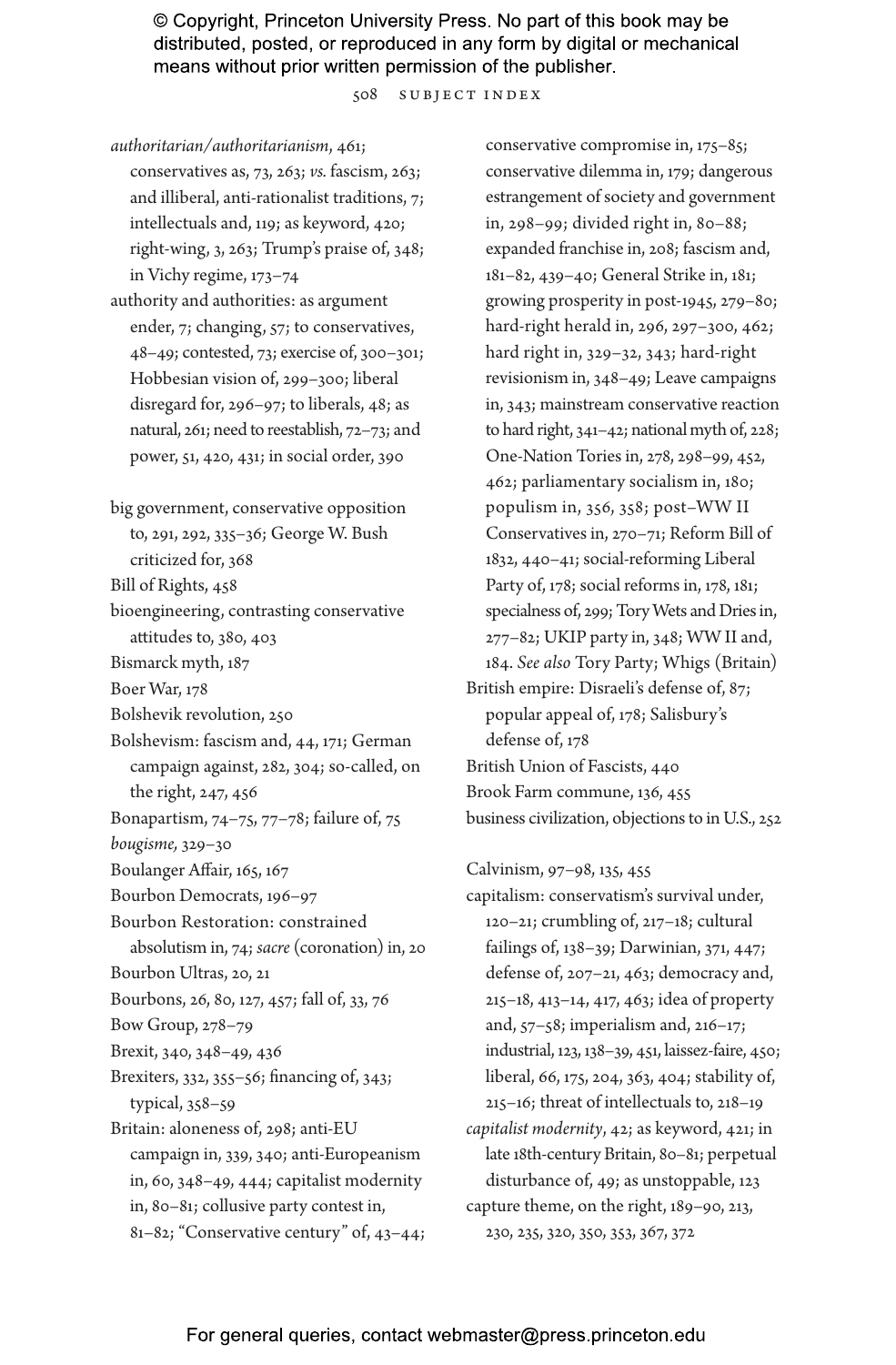#### 508 Subject Index

*authoritarian/authoritarianism*, 461; conservatives as, 73, 263; *vs.* fascism, 263; and illiberal, anti-rationalist traditions, 7; intellectuals and, 119; as keyword, 420; right-wing, 3, 263; Trump's praise of, 348; in Vichy regime, 173–74

authority and authorities: as argument ender, 7; changing, 57; to conservatives, 48–49; contested, 73; exercise of, 300–301; Hobbesian vision of, 299–300; liberal disregard for, 296–97; to liberals, 48; as natural, 261; need to reestablish, 72–73; and power, 51, 420, 431; in social order, 390

big government, conservative opposition to, 291, 292, 335–36; George W. Bush criticized for, 368

Bill of Rights, 458

bioengineering, contrasting conservative attitudes to, 380, 403

Bismarck myth, 187

Boer War, 178

Bolshevik revolution, 250

Bolshevism: fascism and, 44, 171; German campaign against, 282, 304; so-called, on the right, 247, 456

Bonapartism, 74–75, 77–78; failure of, 75

*bougisme,* 329–30

Boulanger Affair, 165, 167

Bourbon Democrats, 196–97

Bourbon Restoration: constrained absolutism in, 74; *sacre* (coronation) in, 20

Bourbon Ultras, 20, 21

Bourbons, 26, 80, 127, 457; fall of, 33, 76

Bow Group, 278–79

Brexit, 340, 348–49, 436

Brexiters, 332, 355–56; financing of, 343; typical, 358–59

Britain: aloneness of, 298; anti-EU campaign in, 339, 340; anti-Europeanism in, 60, 348–49, 444; capitalist modernity in, 80–81; collusive party contest in, 81–82; "Conservative century" of, 43–44;

conservative compromise in, 175–85; conservative dilemma in, 179; dangerous estrangement of society and government in, 298–99; divided right in, 80–88; expanded franchise in, 208; fascism and, 181–82, 439–40; General Strike in, 181; growing prosperity in post-1945, 279–80; hard-right herald in, 296, 297–300, 462; hard right in, 329–32, 343; hard-right revisionism in, 348–49; Leave campaigns in, 343; mainstream conservative reaction to hard right, 341–42; national myth of, 228; One-Nation Tories in, 278, 298–99, 452, 462; parliamentary socialism in, 180; populism in, 356, 358; post–WW II Conservatives in, 270–71; Reform Bill of 1832, 440–41; social-reforming Liberal Party of, 178; social reforms in, 178, 181; specialness of, 299; Tory Wets and Dries in, 277–82; UKIP party in, 348; WW II and, 184. *See also* Tory Party; Whigs (Britain) British empire: Disraeli's defense of, 87; popular appeal of, 178; Salisbury's defense of, 178 British Union of Fascists, 440 Brook Farm commune, 136, 455 business civilization, objections to in U.S., 252

Calvinism, 97–98, 135, 455

capitalism: conservatism's survival under, 120–21; crumbling of, 217–18; cultural failings of, 138–39; Darwinian, 371, 447; defense of, 207–21, 463; democracy and, 215–18, 413–14, 417, 463; idea of property and, 57–58; imperialism and, 216–17; industrial, 123, 138–39, 451, laissez-faire, 450; liberal, 66, 175, 204, 363, 404; stability of, 215–16; threat of intellectuals to, 218–19 *capitalist modernity*, 42; as keyword, 421; in late 18th-century Britain, 80–81; perpetual disturbance of, 49; as unstoppable, 123 capture theme, on the right, 189–90, 213, 230, 235, 320, 350, 353, 367, 372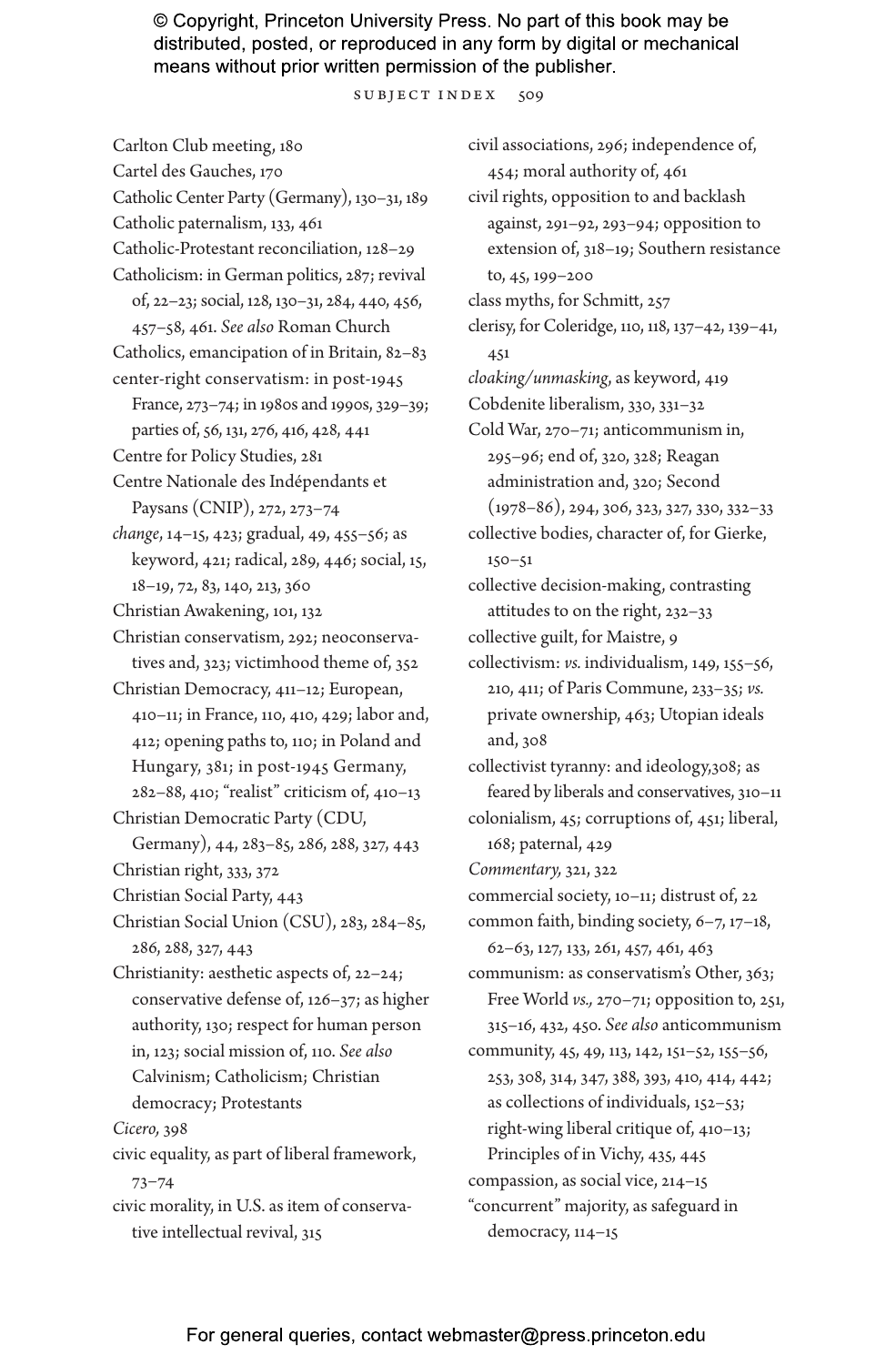#### SUBJECT INDEX 509

Carlton Club meeting, 180 Cartel des Gauches, 170 Catholic Center Party (Germany), 130–31, 189 Catholic paternalism, 133, 461 Catholic-Protestant reconciliation, 128–29 Catholicism: in German politics, 287; revival of, 22–23; social, 128, 130–31, 284, 440, 456, 457–58, 461. *See also* Roman Church Catholics, emancipation of in Britain, 82–83 center-right conservatism: in post-1945 France, 273–74; in 1980s and 1990s, 329–39; parties of, 56, 131, 276, 416, 428, 441 Centre for Policy Studies, 281 Centre Nationale des Indépendants et Paysans (CNIP), 272, 273–74 *change*, 14–15, 423; gradual, 49, 455–56; as keyword, 421; radical, 289, 446; social, 15, 18–19, 72, 83, 140, 213, 360 Christian Awakening, 101, 132 Christian conservatism, 292; neoconservatives and, 323; victimhood theme of, 352 Christian Democracy, 411–12; European, 410–11; in France, 110, 410, 429; labor and, 412; opening paths to, 110; in Poland and Hungary, 381; in post-1945 Germany, 282–88, 410; "realist" criticism of, 410–13 Christian Democratic Party (CDU, Germany), 44, 283–85, 286, 288, 327, 443 Christian right, 333, 372 Christian Social Party, 443 Christian Social Union (CSU), 283, 284–85, 286, 288, 327, 443 Christianity: aesthetic aspects of, 22–24; conservative defense of, 126–37; as higher authority, 130; respect for human person in, 123; social mission of, 110. *See also* Calvinism; Catholicism; Christian democracy; Protestants *Cicero,* 398 civic equality, as part of liberal framework, 73–74 civic morality, in U.S. as item of conservative intellectual revival, 315

civil associations, 296; independence of, 454; moral authority of, 461 civil rights, opposition to and backlash against, 291–92, 293–94; opposition to extension of, 318–19; Southern resistance to, 45, 199–200 class myths, for Schmitt, 257 clerisy, for Coleridge, 110, 118, 137–42, 139–41, 451 *cloaking/unmasking*, as keyword, 419 Cobdenite liberalism, 330, 331–32 Cold War, 270–71; anticommunism in, 295–96; end of, 320, 328; Reagan administration and, 320; Second (1978–86), 294, 306, 323, 327, 330, 332–33 collective bodies, character of, for Gierke, 150–51 collective decision-making, contrasting attitudes to on the right, 232–33 collective guilt, for Maistre, 9 collectivism: *vs.* individualism, 149, 155–56, 210, 411; of Paris Commune, 233–35; *vs.* private ownership, 463; Utopian ideals and, 308 collectivist tyranny: and ideology,308; as feared by liberals and conservatives, 310–11 colonialism, 45; corruptions of, 451; liberal, 168; paternal, 429 *Commentary,* 321, 322 commercial society, 10–11; distrust of, 22 common faith, binding society, 6–7, 17–18, 62–63, 127, 133, 261, 457, 461, 463 communism: as conservatism's Other, 363; Free World *vs.,* 270–71; opposition to, 251, 315–16, 432, 450. *See also* anticommunism community, 45, 49, 113, 142, 151–52, 155–56, 253, 308, 314, 347, 388, 393, 410, 414, 442; as collections of individuals, 152–53; right-wing liberal critique of, 410–13; Principles of in Vichy, 435, 445 compassion, as social vice, 214–15 "concurrent" majority, as safeguard in democracy, 114–15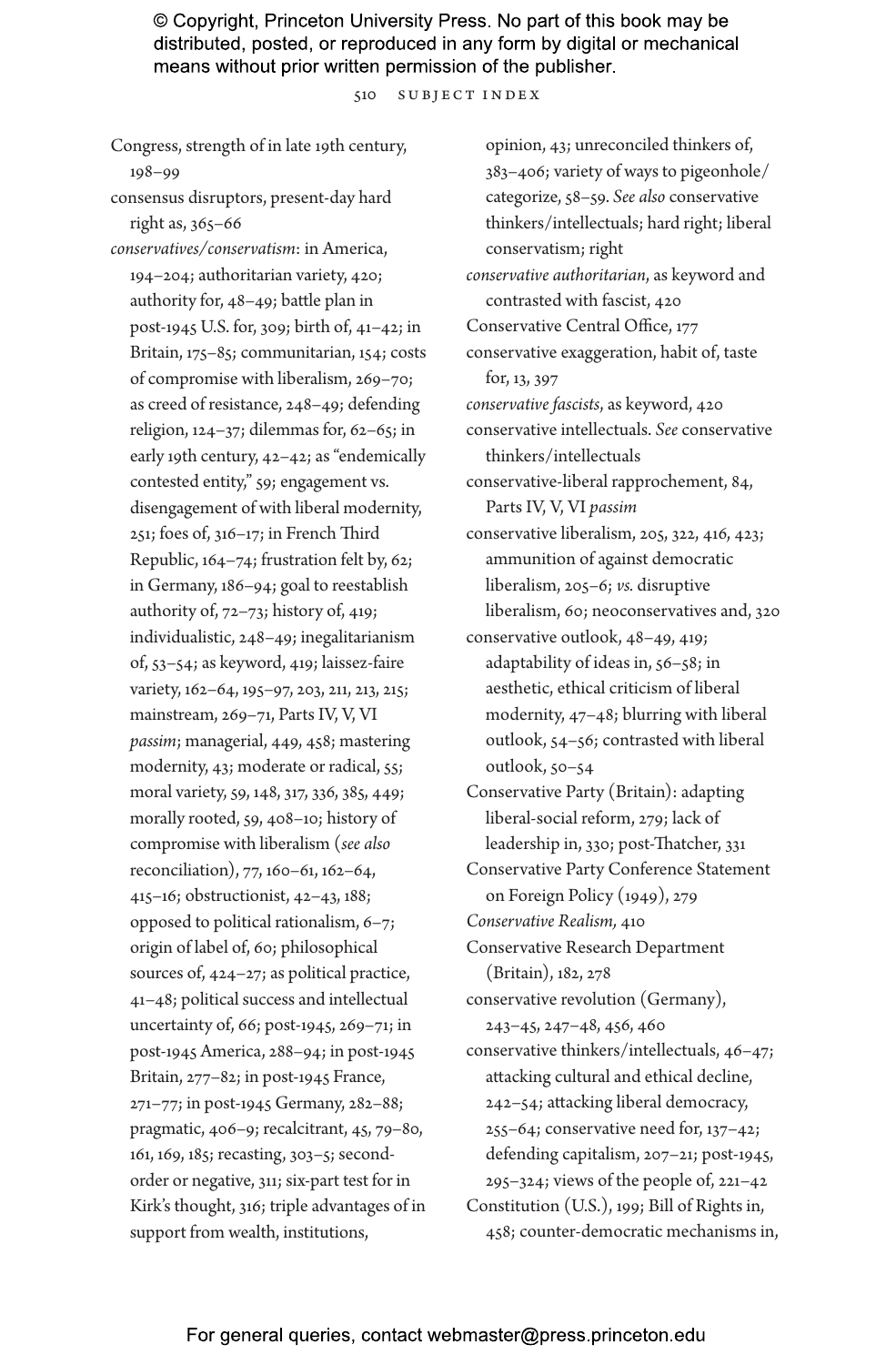#### 510 Subject Index

Congress, strength of in late 19th century, 198–99 consensus disruptors, present-day hard

right as, 365–66

*conservatives/conservatism*: in America, 194–204; authoritarian variety, 420; authority for, 48–49; battle plan in post-1945 U.S. for, 309; birth of, 41–42; in Britain, 175–85; communitarian, 154; costs of compromise with liberalism, 269–70; as creed of resistance, 248–49; defending religion, 124–37; dilemmas for, 62–65; in early 19th century, 42–42; as "endemically contested entity," 59; engagement vs. disengagement of with liberal modernity, 251; foes of, 316–17; in French Third Republic, 164–74; frustration felt by, 62; in Germany, 186–94; goal to reestablish authority of, 72–73; history of, 419; individualistic, 248–49; inegalitarianism of, 53–54; as keyword, 419; laissez-faire variety, 162–64, 195–97, 203, 211, 213, 215; mainstream, 269–71, Parts IV, V, VI *passim*; managerial, 449, 458; mastering modernity, 43; moderate or radical, 55; moral variety, 59, 148, 317, 336, 385, 449; morally rooted, 59, 408–10; history of compromise with liberalism (*see also* reconciliation), 77, 160–61, 162–64, 415–16; obstructionist, 42–43, 188; opposed to political rationalism, 6–7; origin of label of, 60; philosophical sources of, 424–27; as political practice, 41–48; political success and intellectual uncertainty of, 66; post-1945, 269–71; in post-1945 America, 288–94; in post-1945 Britain, 277–82; in post-1945 France, 271–77; in post-1945 Germany, 282–88; pragmatic, 406–9; recalcitrant, 45, 79–80, 161, 169, 185; recasting, 303–5; secondorder or negative, 311; six-part test for in Kirk's thought, 316; triple advantages of in support from wealth, institutions,

opinion, 43; unreconciled thinkers of, 383–406; variety of ways to pigeonhole/ categorize, 58–59. *See also* conservative thinkers/intellectuals; hard right; liberal conservatism; right *conservative authoritarian*, as keyword and contrasted with fascist, 420 Conservative Central Office, 177 conservative exaggeration, habit of, taste for, 13, 397 *conservative fascists*, as keyword, 420 conservative intellectuals. *See* conservative thinkers/intellectuals conservative-liberal rapprochement, 84, Parts IV, V, VI *passim* conservative liberalism, 205, 322, 416, 423; ammunition of against democratic liberalism, 205–6; *vs.* disruptive liberalism, 60; neoconservatives and, 320 conservative outlook, 48–49, 419; adaptability of ideas in, 56–58; in aesthetic, ethical criticism of liberal modernity, 47–48; blurring with liberal outlook, 54–56; contrasted with liberal outlook, 50–54 Conservative Party (Britain): adapting liberal-social reform, 279; lack of leadership in, 330; post-Thatcher, 331 Conservative Party Conference Statement on Foreign Policy (1949), 279 *Conservative Realism,* 410 Conservative Research Department (Britain), 182, 278 conservative revolution (Germany), 243–45, 247–48, 456, 460 conservative thinkers/intellectuals, 46–47; attacking cultural and ethical decline, 242–54; attacking liberal democracy, 255–64; conservative need for, 137–42; defending capitalism, 207–21; post-1945, 295–324; views of the people of, 221–42 Constitution (U.S.), 199; Bill of Rights in, 458; counter-democratic mechanisms in,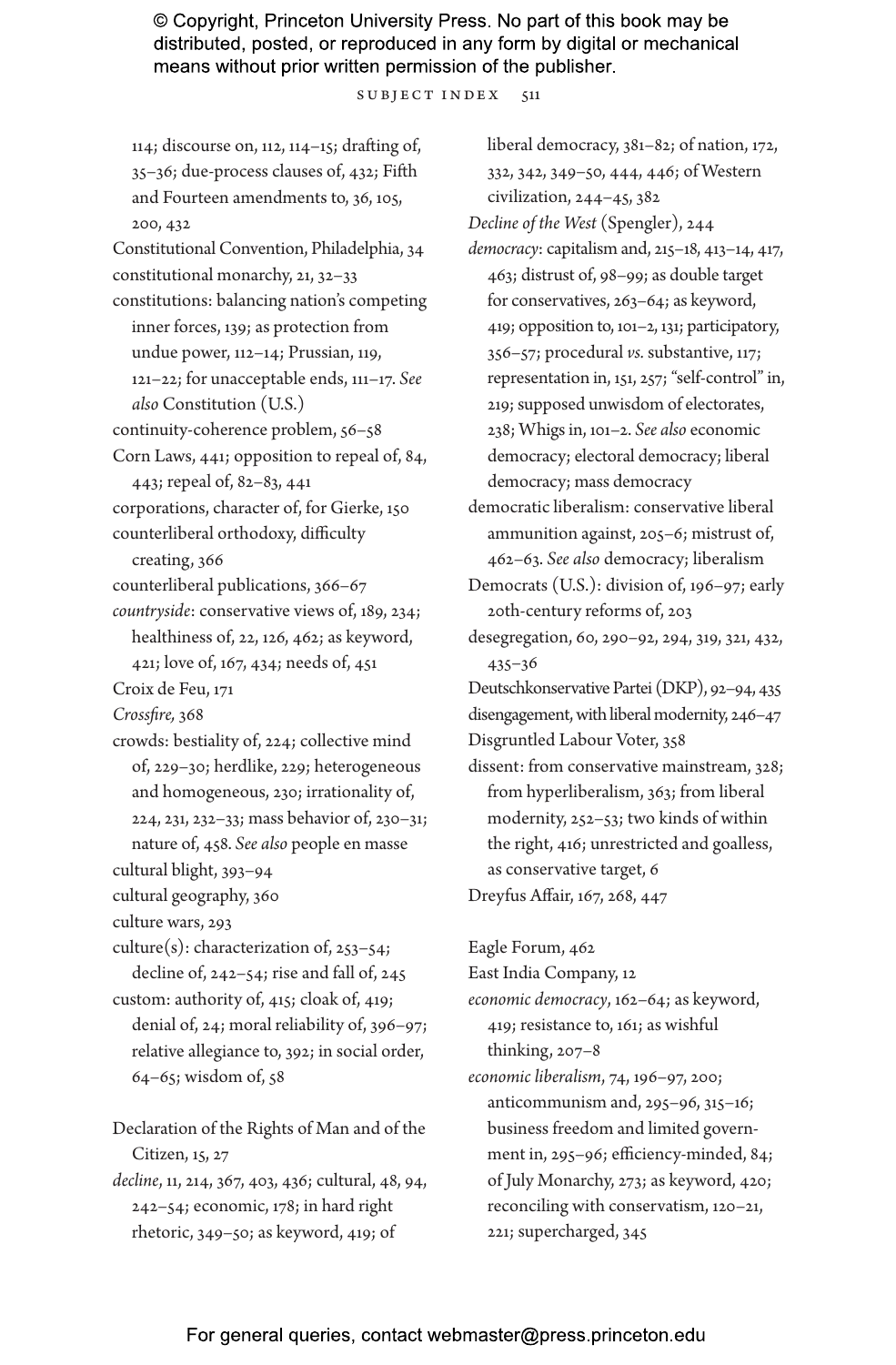#### SUBJECT INDEX 511

114; discourse on, 112, 114–15; drafting of, 35–36; due-process clauses of, 432; Fifth and Fourteen amendments to, 36, 105, 200, 432 Constitutional Convention, Philadelphia, 34 constitutional monarchy, 21, 32–33 constitutions: balancing nation's competing inner forces, 139; as protection from undue power, 112–14; Prussian, 119, 121–22; for unacceptable ends, 111–17. *See also* Constitution (U.S.) continuity-coherence problem, 56–58 Corn Laws, 441; opposition to repeal of, 84, 443; repeal of, 82–83, 441 corporations, character of, for Gierke, 150 counterliberal orthodoxy, difficulty creating, 366 counterliberal publications, 366–67 *countryside*: conservative views of, 189, 234; healthiness of, 22, 126, 462; as keyword, 421; love of, 167, 434; needs of, 451 Croix de Feu, 171 *Crossfire,* 368 crowds: bestiality of, 224; collective mind of, 229–30; herdlike, 229; heterogeneous and homogeneous, 230; irrationality of, 224, 231, 232–33; mass behavior of, 230–31; nature of, 458. *See also* people en masse cultural blight, 393–94 cultural geography, 360 culture wars, 293 culture(s): characterization of, 253–54; decline of, 242–54; rise and fall of, 245 custom: authority of, 415; cloak of, 419; denial of, 24; moral reliability of, 396–97; relative allegiance to, 392; in social order, 64–65; wisdom of, 58 Declaration of the Rights of Man and of the

Citizen, 15, 27

*decline*, 11, 214, 367, 403, 436; cultural, 48, 94, 242–54; economic, 178; in hard right rhetoric, 349–50; as keyword, 419; of

liberal democracy, 381–82; of nation, 172, 332, 342, 349–50, 444, 446; of Western civilization, 244–45, 382 *Decline of the West* (Spengler), 244 *democracy*: capitalism and, 215–18, 413–14, 417, 463; distrust of, 98–99; as double target for conservatives, 263–64; as keyword, 419; opposition to, 101–2, 131; participatory, 356–57; procedural *vs.* substantive, 117; representation in, 151, 257; "self-control" in, 219; supposed unwisdom of electorates, 238; Whigs in, 101–2. *See also* economic democracy; electoral democracy; liberal democracy; mass democracy democratic liberalism: conservative liberal ammunition against, 205–6; mistrust of, 462–63. *See also* democracy; liberalism Democrats (U.S.): division of, 196–97; early 20th-century reforms of, 203 desegregation, 60, 290–92, 294, 319, 321, 432, 435–36 Deutschkonservative Partei (DKP), 92–94, 435 disengagement, with liberal modernity, 246–47 Disgruntled Labour Voter, 358

dissent: from conservative mainstream, 328; from hyperliberalism, 363; from liberal modernity, 252–53; two kinds of within the right, 416; unrestricted and goalless, as conservative target, 6 Dreyfus Affair, 167, 268, 447

Eagle Forum, 462

East India Company, 12

*economic democracy*, 162–64; as keyword, 419; resistance to, 161; as wishful thinking, 207–8 *economic liberalism*, 74, 196–97, 200;

anticommunism and, 295–96, 315–16; business freedom and limited government in, 295–96; efficiency-minded, 84; of July Monarchy, 273; as keyword, 420; reconciling with conservatism, 120–21, 221; supercharged, 345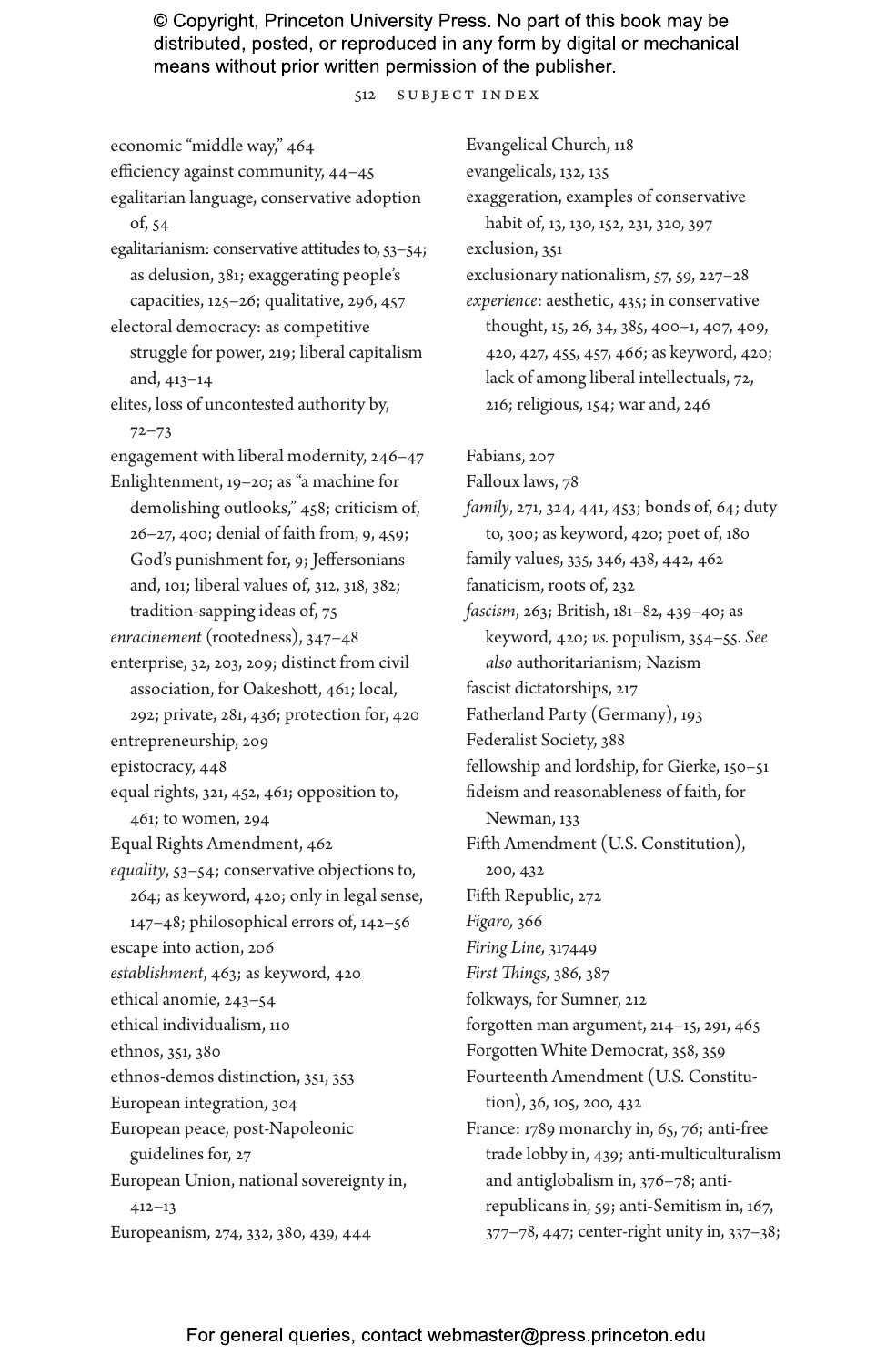#### 512 Subject Index

economic "middle way," 464 efficiency against community, 44–45 egalitarian language, conservative adoption of, 54 egalitarianism: conservative attitudes to, 53–54; as delusion, 381; exaggerating people's capacities, 125–26; qualitative, 296, 457 electoral democracy: as competitive struggle for power, 219; liberal capitalism and, 413–14 elites, loss of uncontested authority by, 72–73 engagement with liberal modernity, 246–47 Enlightenment, 19–20; as "a machine for demolishing outlooks," 458; criticism of, 26–27, 400; denial of faith from, 9, 459; God's punishment for, 9; Jeffersonians and, 101; liberal values of, 312, 318, 382; tradition-sapping ideas of, 75 *enracinement* (rootedness), 347–48 enterprise, 32, 203, 209; distinct from civil association, for Oakeshott, 461; local, 292; private, 281, 436; protection for, 420 entrepreneurship, 209 epistocracy, 448 equal rights, 321, 452, 461; opposition to, 461; to women, 294 Equal Rights Amendment, 462 *equality*, 53–54; conservative objections to, 264; as keyword, 420; only in legal sense, 147–48; philosophical errors of, 142–56 escape into action, 206 *establishment*, 463; as keyword, 420 ethical anomie, 243–54 ethical individualism, 110 ethnos, 351, 380 ethnos-demos distinction, 351, 353 European integration, 304 European peace, post-Napoleonic guidelines for, 27 European Union, national sovereignty in, 412–13 Europeanism, 274, 332, 380, 439, 444

Evangelical Church, 118 evangelicals, 132, 135 exaggeration, examples of conservative habit of, 13, 130, 152, 231, 320, 397 exclusion, 351 exclusionary nationalism, 57, 59, 227–28 *experience*: aesthetic, 435; in conservative thought, 15, 26, 34, 385, 400–1, 407, 409, 420, 427, 455, 457, 466; as keyword, 420; lack of among liberal intellectuals, 72, 216; religious, 154; war and, 246 Fabians, 207 Falloux laws, 78 *family*, 271, 324, 441, 453; bonds of, 64; duty

to, 300; as keyword, 420; poet of, 180 family values, 335, 346, 438, 442, 462 fanaticism, roots of, 232 *fascism*, 263; British, 181–82, 439–40; as keyword, 420; *vs.* populism, 354–55. *See also* authoritarianism; Nazism fascist dictatorships, 217 Fatherland Party (Germany), 193 Federalist Society, 388 fellowship and lordship, for Gierke, 150–51 fideism and reasonableness of faith, for Newman, 133 Fifth Amendment (U.S. Constitution), 200, 432 Fifth Republic, 272 *Figaro,* 366 *Firing Line,* 317449 *First Things,* 386, 387 folkways, for Sumner, 212 forgotten man argument, 214–15, 291, 465 Forgotten White Democrat, 358, 359 Fourteenth Amendment (U.S. Constitution), 36, 105, 200, 432 France: 1789 monarchy in, 65, 76; anti-free trade lobby in, 439; anti-multiculturalism and antiglobalism in, 376–78; antirepublicans in, 59; anti-Semitism in, 167, 377–78, 447; center-right unity in, 337–38;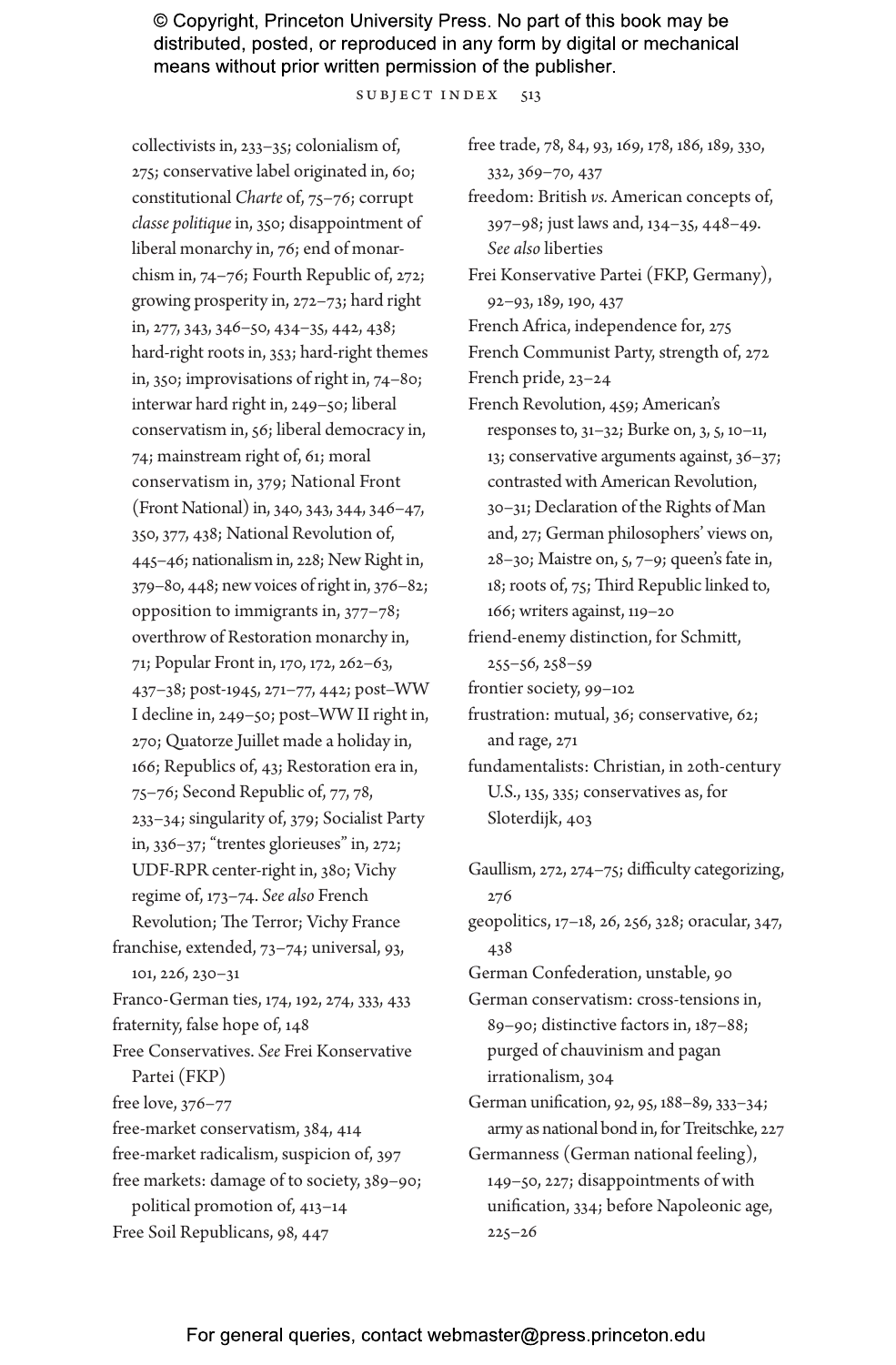SUBJECT INDEX 513

collectivists in, 233–35; colonialism of, 275; conservative label originated in, 60; constitutional *Charte* of, 75–76; corrupt *classe politique* in, 350; disappointment of liberal monarchy in, 76; end of monarchism in, 74–76; Fourth Republic of, 272; growing prosperity in, 272–73; hard right in, 277, 343, 346–50, 434–35, 442, 438; hard-right roots in, 353; hard-right themes in, 350; improvisations of right in, 74–80; interwar hard right in, 249–50; liberal conservatism in, 56; liberal democracy in, 74; mainstream right of, 61; moral conservatism in, 379; National Front (Front National) in, 340, 343, 344, 346–47, 350, 377, 438; National Revolution of, 445–46; nationalism in, 228; New Right in, 379–80, 448; new voices of right in, 376–82; opposition to immigrants in, 377–78; overthrow of Restoration monarchy in, 71; Popular Front in, 170, 172, 262–63, 437–38; post-1945, 271–77, 442; post–WW I decline in, 249–50; post–WW II right in, 270; Quatorze Juillet made a holiday in, 166; Republics of, 43; Restoration era in, 75–76; Second Republic of, 77, 78, 233–34; singularity of, 379; Socialist Party in, 336–37; "trentes glorieuses" in, 272; UDF-RPR center-right in, 380; Vichy regime of, 173–74. *See also* French Revolution; The Terror; Vichy France franchise, extended, 73–74; universal, 93, 101, 226, 230–31 Franco-German ties, 174, 192, 274, 333, 433 fraternity, false hope of, 148 Free Conservatives. *See* Frei Konservative Partei (FKP) free love, 376–77 free-market conservatism, 384, 414 free-market radicalism, suspicion of, 397 free markets: damage of to society, 389–90; political promotion of, 413–14 Free Soil Republicans, 98, 447

free trade, 78, 84, 93, 169, 178, 186, 189, 330, 332, 369–70, 437 freedom: British *vs.* American concepts of, 397–98; just laws and, 134–35, 448–49. *See also* liberties Frei Konservative Partei (FKP, Germany), 92–93, 189, 190, 437 French Africa, independence for, 275 French Communist Party, strength of, 272 French pride, 23–24 French Revolution, 459; American's responses to, 31–32; Burke on, 3, 5, 10–11, 13; conservative arguments against, 36–37; contrasted with American Revolution, 30–31; Declaration of the Rights of Man and, 27; German philosophers' views on, 28–30; Maistre on, 5, 7–9; queen's fate in, 18; roots of, 75; Third Republic linked to, 166; writers against, 119–20 friend-enemy distinction, for Schmitt, 255–56, 258–59 frontier society, 99–102 frustration: mutual, 36; conservative, 62; and rage, 271 fundamentalists: Christian, in 20th-century U.S., 135, 335; conservatives as, for Sloterdijk, 403 Gaullism, 272, 274–75; difficulty categorizing, 276 geopolitics, 17–18, 26, 256, 328; oracular, 347, 438 German Confederation, unstable, 90 German conservatism: cross-tensions in, 89–90; distinctive factors in, 187–88; purged of chauvinism and pagan irrationalism, 304 German unification, 92, 95, 188–89, 333–34; army as national bond in, for Treitschke, 227

Germanness (German national feeling), 149–50, 227; disappointments of with unification, 334; before Napoleonic age, 225–26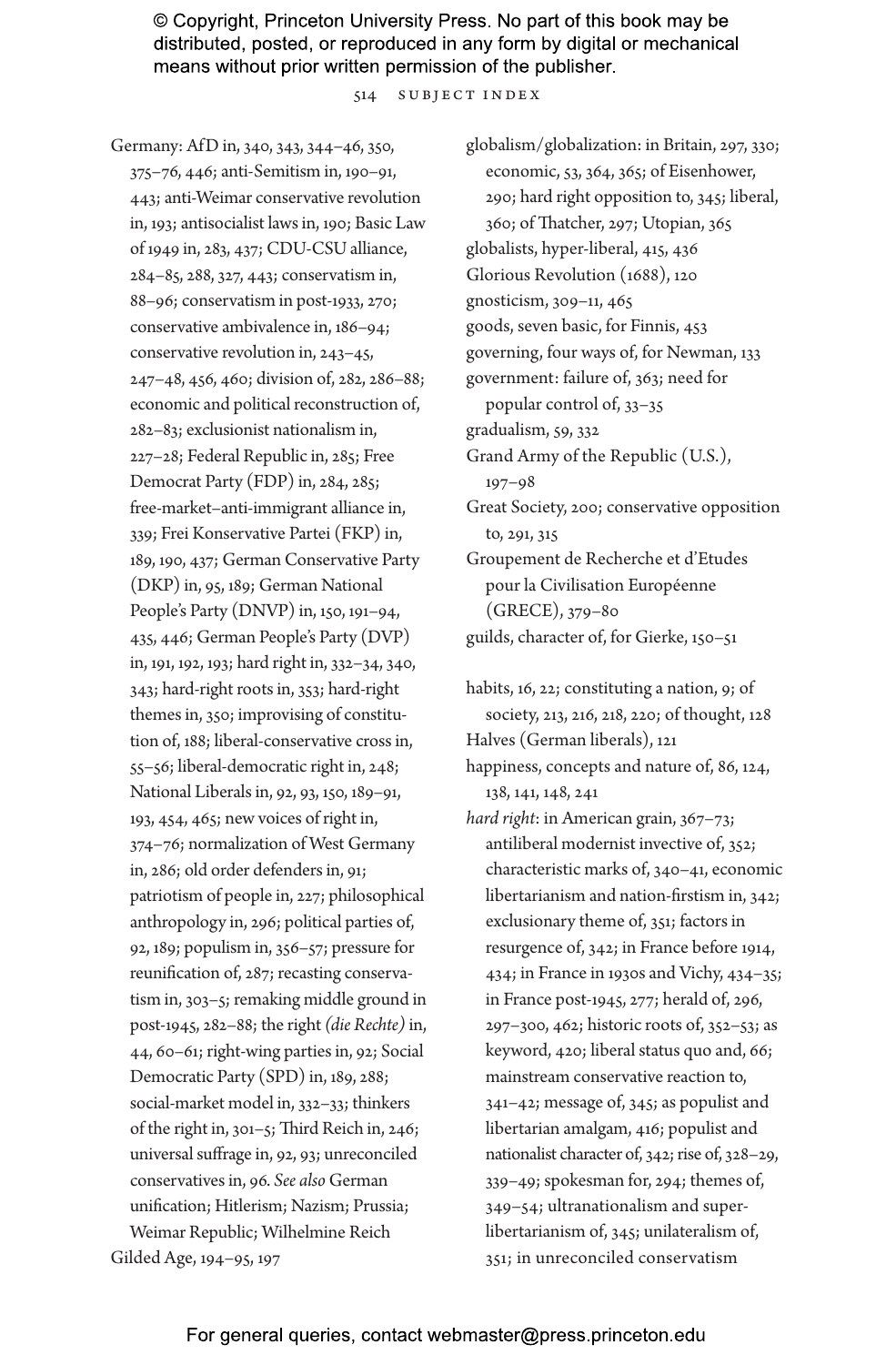#### 514 Subject Index

Germany: Af D in, 340, 343, 344–46, 350, 375–76, 446; anti-Semitism in, 190–91, 443; anti-Weimar conservative revolution in, 193; antisocialist laws in, 190; Basic Law of 1949 in, 283, 437; CDU-CSU alliance, 284–85, 288, 327, 443; conservatism in, 88–96; conservatism in post-1933, 270; conservative ambivalence in, 186–94; conservative revolution in, 243–45, 247–48, 456, 460; division of, 282, 286–88; economic and political reconstruction of, 282–83; exclusionist nationalism in, 227–28; Federal Republic in, 285; Free Democrat Party (FDP) in, 284, 285; free-market–anti-immigrant alliance in, 339; Frei Konservative Partei (FKP) in, 189, 190, 437; German Conservative Party (DKP) in, 95, 189; German National People's Party (DNVP) in, 150, 191–94, 435, 446; German People's Party (DVP) in, 191, 192, 193; hard right in, 332–34, 340, 343; hard-right roots in, 353; hard-right themes in, 350; improvising of constitution of, 188; liberal-conservative cross in, 55–56; liberal-democratic right in, 248; National Liberals in, 92, 93, 150, 189–91, 193, 454, 465; new voices of right in, 374–76; normalization of West Germany in, 286; old order defenders in, 91; patriotism of people in, 227; philosophical anthropology in, 296; political parties of, 92, 189; populism in, 356–57; pressure for reunification of, 287; recasting conservatism in, 303–5; remaking middle ground in post-1945, 282–88; the right *(die Rechte)* in, 44, 60–61; right-wing parties in, 92; Social Democratic Party (SPD) in, 189, 288; social-market model in, 332–33; thinkers of the right in, 301–5; Third Reich in, 246; universal suffrage in, 92, 93; unreconciled conservatives in, 96. *See also* German unification; Hitlerism; Nazism; Prussia; Weimar Republic; Wilhelmine Reich Gilded Age, 194–95, 197

globalism/globalization: in Britain, 297, 330; economic, 53, 364, 365; of Eisenhower, 290; hard right opposition to, 345; liberal, 360; of Thatcher, 297; Utopian, 365 globalists, hyper-liberal, 415, 436 Glorious Revolution (1688), 120 gnosticism, 309–11, 465 goods, seven basic, for Finnis, 453 governing, four ways of, for Newman, 133 government: failure of, 363; need for popular control of, 33–35 gradualism, 59, 332 Grand Army of the Republic (U.S.), 197–98 Great Society, 200; conservative opposition to, 291, 315 Groupement de Recherche et d'Etudes pour la Civilisation Européenne (GRECE), 379–80 guilds, character of, for Gierke, 150–51

habits, 16, 22; constituting a nation, 9; of society, 213, 216, 218, 220; of thought, 128 Halves (German liberals), 121 happiness, concepts and nature of, 86, 124, 138, 141, 148, 241

*hard right*: in American grain, 367-73; antiliberal modernist invective of, 352; characteristic marks of, 340–41, economic libertarianism and nation-firstism in, 342; exclusionary theme of, 351; factors in resurgence of, 342; in France before 1914, 434; in France in 1930s and Vichy, 434–35; in France post-1945, 277; herald of, 296, 297–300, 462; historic roots of, 352–53; as keyword, 420; liberal status quo and, 66; mainstream conservative reaction to, 341–42; message of, 345; as populist and libertarian amalgam, 416; populist and nationalist character of, 342; rise of, 328–29, 339–49; spokesman for, 294; themes of, 349–54; ultranationalism and superlibertarianism of, 345; unilateralism of, 351; in unreconciled conservatism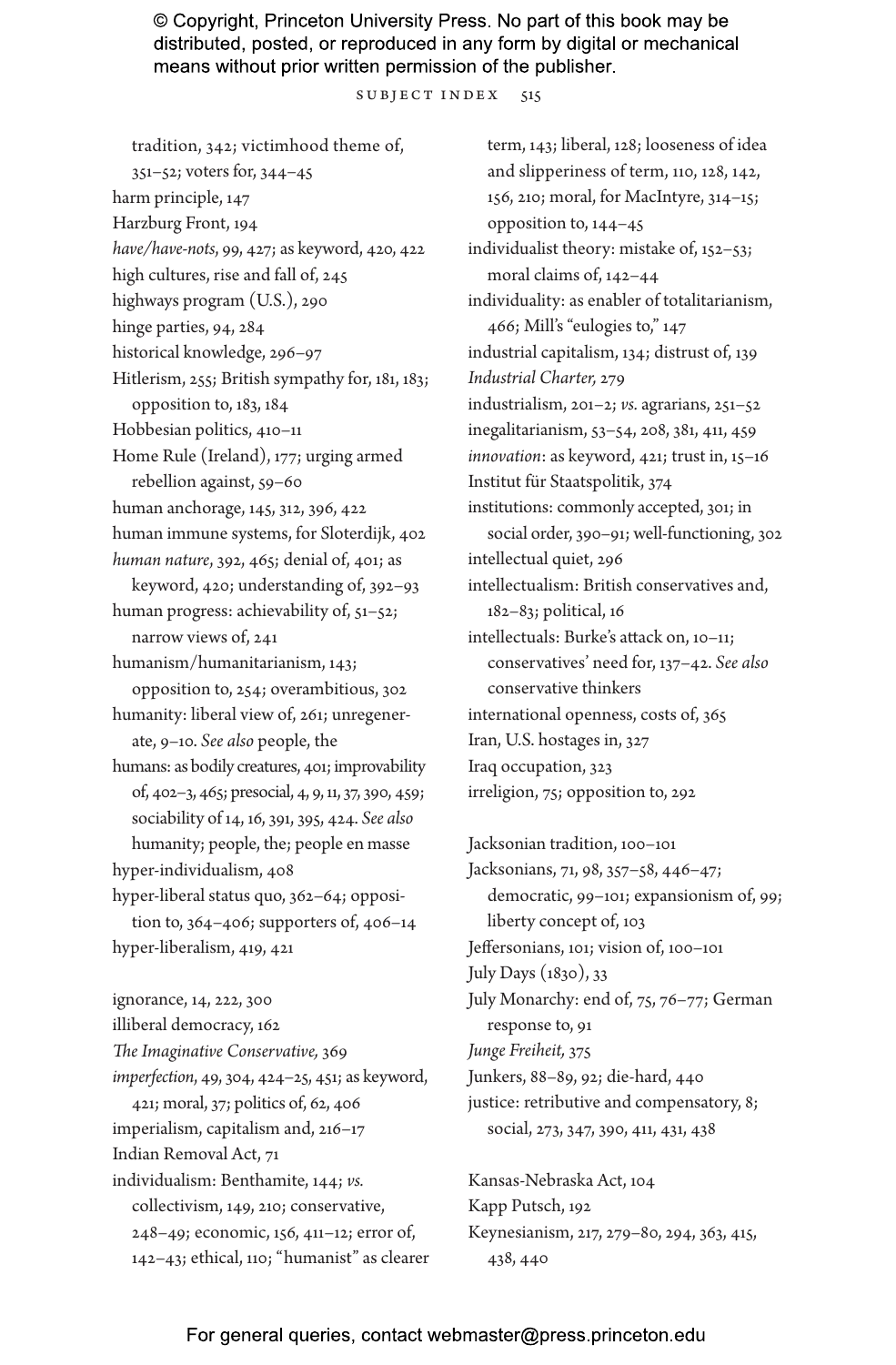#### SUBJECT INDEX 515

tradition, 342; victimhood theme of, 351–52; voters for, 344–45 harm principle, 147 Harzburg Front, 194 *have/have-nots*, 99, 427; as keyword, 420, 422 high cultures, rise and fall of, 245 highways program (U.S.), 290 hinge parties, 94, 284 historical knowledge, 296–97 Hitlerism, 255; British sympathy for, 181, 183; opposition to, 183, 184 Hobbesian politics, 410–11 Home Rule (Ireland), 177; urging armed rebellion against, 59–60 human anchorage, 145, 312, 396, 422 human immune systems, for Sloterdijk, 402 *human nature*, 392, 465; denial of, 401; as keyword, 420; understanding of, 392–93 human progress: achievability of, 51–52; narrow views of, 241 humanism/humanitarianism, 143; opposition to, 254; overambitious, 302 humanity: liberal view of, 261; unregenerate, 9–10. *See also* people, the humans: as bodily creatures, 401; improvability of, 402–3, 465; presocial, 4, 9, 11, 37, 390, 459; sociability of 14, 16, 391, 395, 424. *See also* humanity; people, the; people en masse hyper-individualism, 408 hyper-liberal status quo, 362–64; opposition to, 364–406; supporters of, 406–14 hyper-liberalism, 419, 421 ignorance, 14, 222, 300 illiberal democracy, 162 *The Imaginative Conservative,* 369 *imperfection*, 49, 304, 424–25, 451; as keyword, 421; moral, 37; politics of, 62, 406 imperialism, capitalism and, 216–17 Indian Removal Act, 71 individualism: Benthamite, 144; *vs.* collectivism, 149, 210; conservative, 248–49; economic, 156, 411–12; error of,

142–43; ethical, 110; "humanist" as clearer

term, 143; liberal, 128; looseness of idea and slipperiness of term, 110, 128, 142, 156, 210; moral, for MacIntyre, 314–15; opposition to, 144–45 individualist theory: mistake of, 152–53; moral claims of, 142–44 individuality: as enabler of totalitarianism, 466; Mill's "eulogies to," 147 industrial capitalism, 134; distrust of, 139 *Industrial Charter,* 279 industrialism, 201–2; *vs.* agrarians, 251–52 inegalitarianism, 53–54, 208, 381, 411, 459 *innovation*: as keyword, 421; trust in, 15–16 Institut für Staatspolitik, 374 institutions: commonly accepted, 301; in social order, 390–91; well-functioning, 302 intellectual quiet, 296 intellectualism: British conservatives and, 182–83; political, 16 intellectuals: Burke's attack on, 10–11; conservatives' need for, 137–42. *See also* conservative thinkers international openness, costs of, 365 Iran, U.S. hostages in, 327 Iraq occupation, 323 irreligion, 75; opposition to, 292

Jacksonian tradition, 100–101 Jacksonians, 71, 98, 357–58, 446–47; democratic, 99–101; expansionism of, 99; liberty concept of, 103 Jeffersonians, 101; vision of, 100–101 July Days (1830), 33 July Monarchy: end of, 75, 76–77; German response to, 91 *Junge Freiheit,* 375 Junkers, 88–89, 92; die-hard, 440 justice: retributive and compensatory, 8; social, 273, 347, 390, 411, 431, 438

Kansas-Nebraska Act, 104 Kapp Putsch, 192 Keynesianism, 217, 279–80, 294, 363, 415, 438, 440

#### For general queries, contact webmaster@press.princeton.edu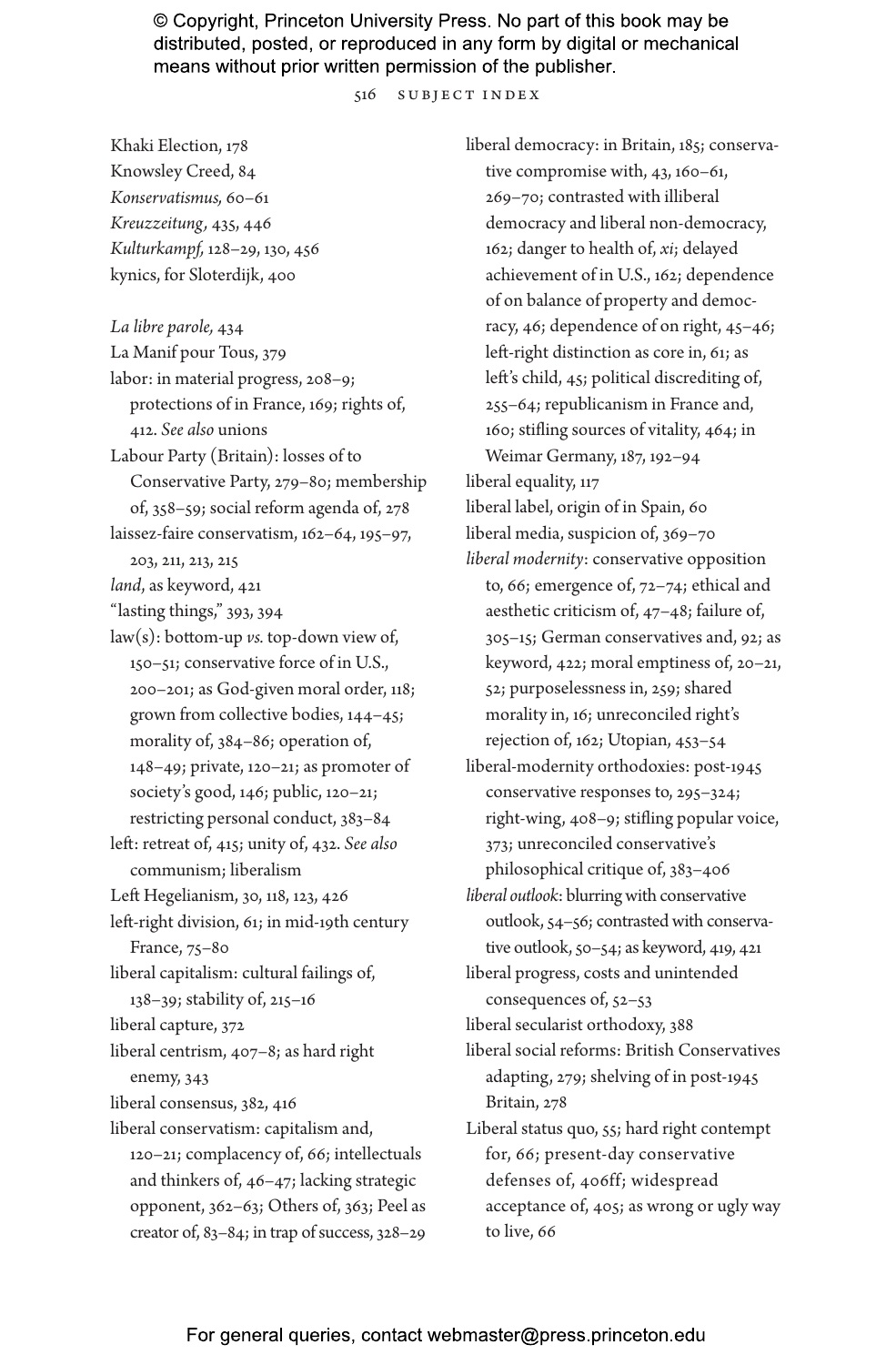#### 516 Subject Index

Khaki Election, 178 Knowsley Creed, 84 *Konservatismus,* 60–61 *Kreuzzeitung,* 435, 446 *Kulturkampf,* 128–29, 130, 456 kynics, for Sloterdijk, 400

*La libre parole,* 434 La Manif pour Tous, 379 labor: in material progress, 208–9; protections of in France, 169; rights of, 412. *See also* unions Labour Party (Britain): losses of to Conservative Party, 279–80; membership of, 358–59; social reform agenda of, 278 laissez-faire conservatism, 162–64, 195–97, 203, 211, 213, 215 *land*, as keyword, 421 "lasting things," 393, 394 law(s): bottom-up *vs.* top-down view of, 150–51; conservative force of in U.S., 200–201; as God-given moral order, 118; grown from collective bodies, 144–45; morality of, 384–86; operation of, 148–49; private, 120–21; as promoter of society's good, 146; public, 120–21; restricting personal conduct, 383–84 left: retreat of, 415; unity of, 432. *See also* communism; liberalism Left Hegelianism, 30, 118, 123, 426 left-right division, 61; in mid-19th century France, 75–80 liberal capitalism: cultural failings of, 138–39; stability of, 215–16 liberal capture, 372 liberal centrism, 407–8; as hard right enemy, 343 liberal consensus, 382, 416 liberal conservatism: capitalism and, 120–21; complacency of, 66; intellectuals and thinkers of, 46–47; lacking strategic opponent, 362–63; Others of, 363; Peel as

creator of, 83–84; in trap of success, 328–29

liberal democracy: in Britain, 185; conservative compromise with, 43, 160–61, 269–70; contrasted with illiberal democracy and liberal non-democracy, 162; danger to health of, *xi*; delayed achievement of in U.S., 162; dependence of on balance of property and democracy, 46; dependence of on right, 45–46; left-right distinction as core in, 61; as left's child, 45; political discrediting of, 255–64; republicanism in France and, 160; stifling sources of vitality, 464; in Weimar Germany, 187, 192–94 liberal equality, 117 liberal label, origin of in Spain, 60 liberal media, suspicion of, 369–70 *liberal modernity*: conservative opposition to, 66; emergence of, 72–74; ethical and aesthetic criticism of, 47–48; failure of, 305–15; German conservatives and, 92; as keyword, 422; moral emptiness of, 20–21, 52; purposelessness in, 259; shared morality in, 16; unreconciled right's rejection of, 162; Utopian, 453–54 liberal-modernity orthodoxies: post-1945 conservative responses to, 295–324; right-wing, 408–9; stifling popular voice, 373; unreconciled conservative's philosophical critique of, 383–406 *liberal outlook*: blurring with conservative outlook, 54–56; contrasted with conservative outlook, 50–54; as keyword, 419, 421 liberal progress, costs and unintended consequences of, 52–53 liberal secularist orthodoxy, 388 liberal social reforms: British Conservatives adapting, 279; shelving of in post-1945 Britain, 278 Liberal status quo, 55; hard right contempt for, 66; present-day conservative defenses of, 406ff; widespread acceptance of, 405; as wrong or ugly way

to live, 66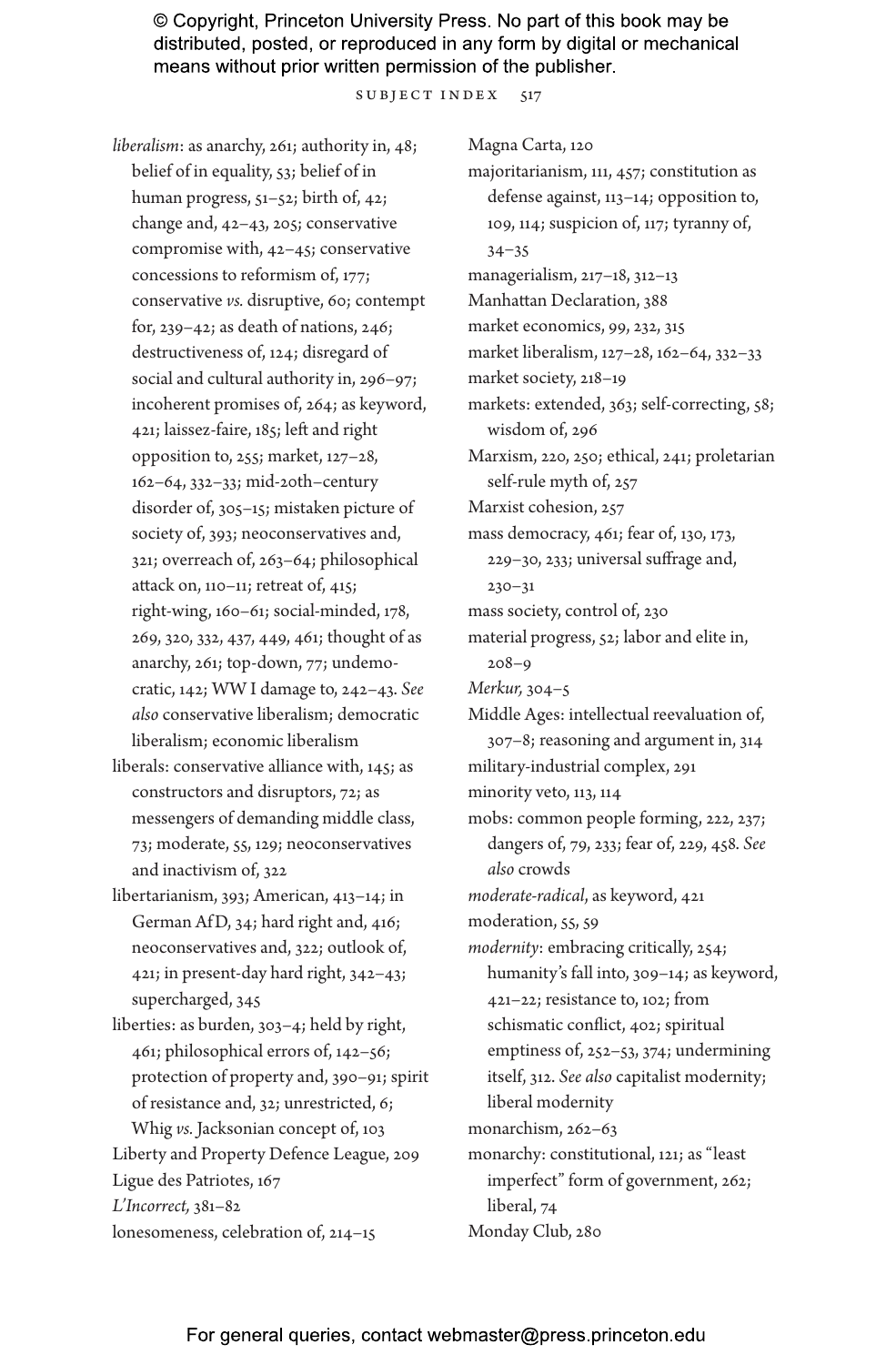#### SUBJECT INDEX 517

*liberalism*: as anarchy, 261; authority in, 48; belief of in equality, 53; belief of in human progress, 51–52; birth of, 42; change and, 42–43, 205; conservative compromise with, 42–45; conservative concessions to reformism of, 177; conservative *vs.* disruptive, 60; contempt for, 239–42; as death of nations, 246; destructiveness of, 124; disregard of social and cultural authority in, 296–97; incoherent promises of, 264; as keyword, 421; laissez-faire, 185; left and right opposition to, 255; market, 127–28, 162–64, 332–33; mid-20th–century disorder of, 305–15; mistaken picture of society of, 393; neoconservatives and, 321; overreach of, 263–64; philosophical attack on, 110–11; retreat of, 415; right-wing, 160–61; social-minded, 178, 269, 320, 332, 437, 449, 461; thought of as anarchy, 261; top-down, 77; undemocratic, 142; WW I damage to, 242–43. *See also* conservative liberalism; democratic liberalism; economic liberalism liberals: conservative alliance with, 145; as

constructors and disruptors, 72; as messengers of demanding middle class, 73; moderate, 55, 129; neoconservatives and inactivism of, 322

libertarianism, 393; American, 413–14; in German Af D, 34; hard right and, 416; neoconservatives and, 322; outlook of, 421; in present-day hard right, 342–43; supercharged, 345

liberties: as burden, 303–4; held by right, 461; philosophical errors of, 142–56; protection of property and, 390–91; spirit of resistance and, 32; unrestricted, 6; Whig *vs.* Jacksonian concept of, 103

Liberty and Property Defence League, 209 Ligue des Patriotes, 167

*L'Incorrect,* 381–82

lonesomeness, celebration of, 214–15

Magna Carta, 120 majoritarianism, 111, 457; constitution as defense against, 113–14; opposition to, 109, 114; suspicion of, 117; tyranny of, 34–35 managerialism, 217–18, 312–13 Manhattan Declaration, 388 market economics, 99, 232, 315 market liberalism, 127–28, 162–64, 332–33 market society, 218–19 markets: extended, 363; self-correcting, 58; wisdom of, 296 Marxism, 220, 250; ethical, 241; proletarian self-rule myth of, 257 Marxist cohesion, 257 mass democracy, 461; fear of, 130, 173, 229–30, 233; universal suffrage and, 230–31 mass society, control of, 230 material progress, 52; labor and elite in, 208–9 *Merkur,* 304–5 Middle Ages: intellectual reevaluation of, 307–8; reasoning and argument in, 314 military-industrial complex, 291 minority veto, 113, 114 mobs: common people forming, 222, 237; dangers of, 79, 233; fear of, 229, 458. *See also* crowds *moderate-radical*, as keyword, 421 moderation, 55, 59 *modernity*: embracing critically, 254; humanity's fall into, 309–14; as keyword, 421–22; resistance to, 102; from schismatic conflict, 402; spiritual emptiness of, 252–53, 374; undermining itself, 312. *See also* capitalist modernity; liberal modernity monarchism, 262-63 monarchy: constitutional, 121; as "least imperfect" form of government, 262; liberal, 74 Monday Club, 280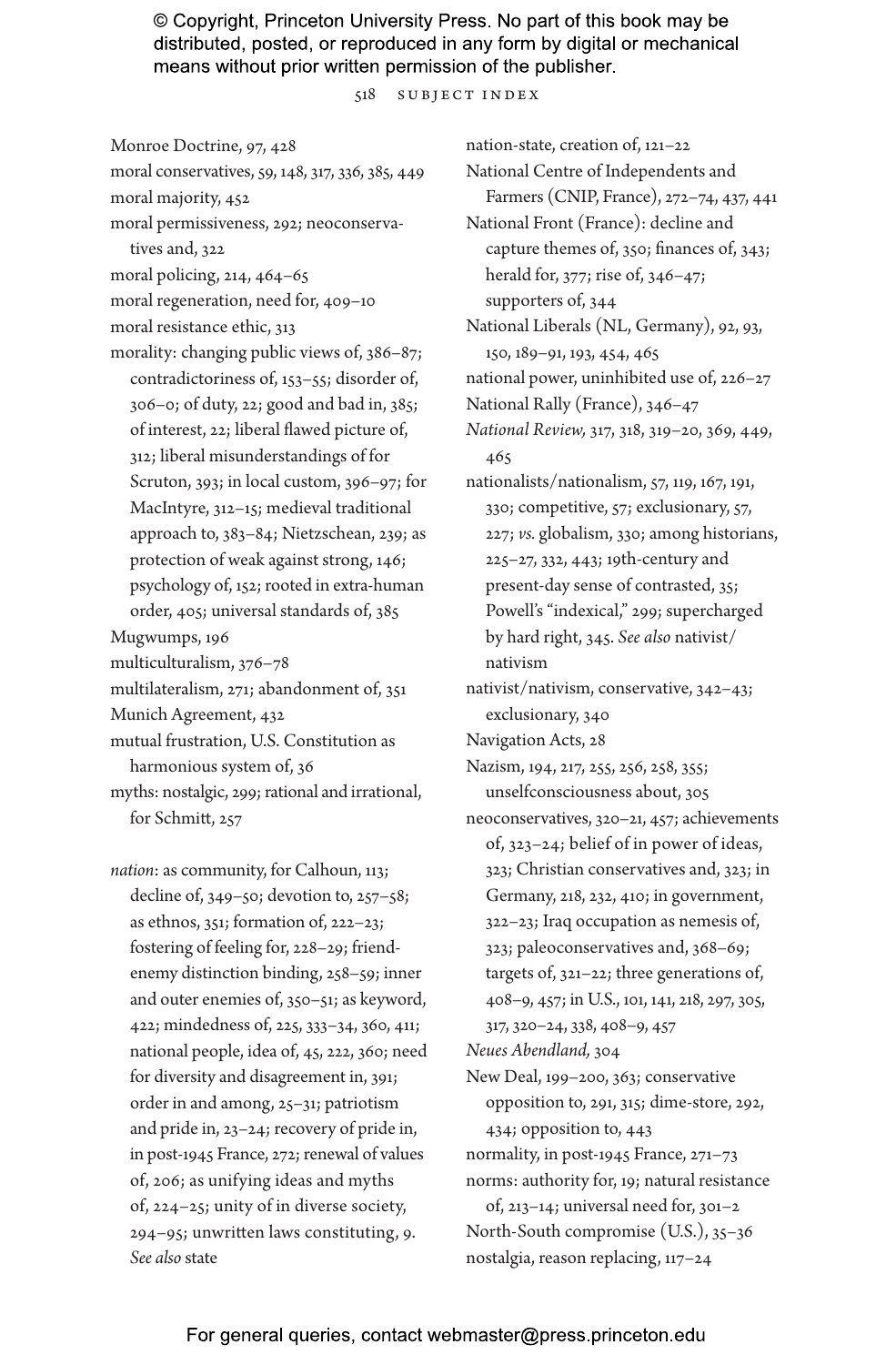#### 518 Subject Index

Monroe Doctrine, 97, 428

- moral conservatives, 59, 148, 317, 336, 385, 449 moral majority, 452
- 
- moral permissiveness, 292; neoconservatives and, 322

moral policing, 214, 464–65

- moral regeneration, need for, 409–10
- moral resistance ethic, 313
- morality: changing public views of, 386–87; contradictoriness of, 153–55; disorder of, 306–0; of duty, 22; good and bad in, 385; of interest, 22; liberal flawed picture of, 312; liberal misunderstandings of for Scruton, 393; in local custom, 396–97; for MacIntyre, 312–15; medieval traditional approach to, 383–84; Nietzschean, 239; as protection of weak against strong, 146; psychology of, 152; rooted in extra-human order, 405; universal standards of, 385
- Mugwumps, 196
- multiculturalism, 376–78
- multilateralism, 271; abandonment of, 351
- Munich Agreement, 432
- mutual frustration, U.S. Constitution as harmonious system of, 36
- myths: nostalgic, 299; rational and irrational, for Schmitt, 257

*nation*: as community, for Calhoun, 113; decline of, 349–50; devotion to, 257–58; as ethnos, 351; formation of, 222–23; fostering of feeling for, 228–29; friendenemy distinction binding, 258–59; inner and outer enemies of, 350–51; as keyword, 422; mindedness of, 225, 333–34, 360, 411; national people, idea of, 45, 222, 360; need for diversity and disagreement in, 391; order in and among, 25–31; patriotism and pride in, 23–24; recovery of pride in, in post-1945 France, 272; renewal of values of, 206; as unifying ideas and myths of, 224–25; unity of in diverse society, 294–95; unwritten laws constituting, 9. *See also* state

nation-state, creation of, 121–22 National Centre of Independents and Farmers (CNIP, France), 272–74, 437, 441 National Front (France): decline and capture themes of, 350; finances of, 343; herald for, 377; rise of, 346–47; supporters of, 344 National Liberals (NL, Germany), 92, 93, 150, 189–91, 193, 454, 465 national power, uninhibited use of, 226–27 National Rally (France), 346–47 *National Review,* 317, 318, 319–20, 369, 449, 465 nationalists/nationalism, 57, 119, 167, 191, 330; competitive, 57; exclusionary, 57, 227; *vs.* globalism, 330; among historians, 225–27, 332, 443; 19th-century and present-day sense of contrasted, 35; Powell's "indexical," 299; supercharged by hard right, 345. *See also* nativist/ nativism nativist/nativism, conservative, 342–43; exclusionary, 340 Navigation Acts, 28 Nazism, 194, 217, 255, 256, 258, 355; unselfconsciousness about, 305 neoconservatives, 320–21, 457; achievements of, 323–24; belief of in power of ideas, 323; Christian conservatives and, 323; in Germany, 218, 232, 410; in government, 322–23; Iraq occupation as nemesis of, 323; paleoconservatives and, 368–69; targets of, 321–22; three generations of, 408–9, 457; in U.S., 101, 141, 218, 297, 305, 317, 320–24, 338, 408–9, 457 *Neues Abendland,* 304 New Deal, 199–200, 363; conservative opposition to, 291, 315; dime-store, 292, 434; opposition to, 443 normality, in post-1945 France, 271–73 norms: authority for, 19; natural resistance of, 213–14; universal need for, 301–2 North-South compromise (U.S.), 35–36 nostalgia, reason replacing, 117–24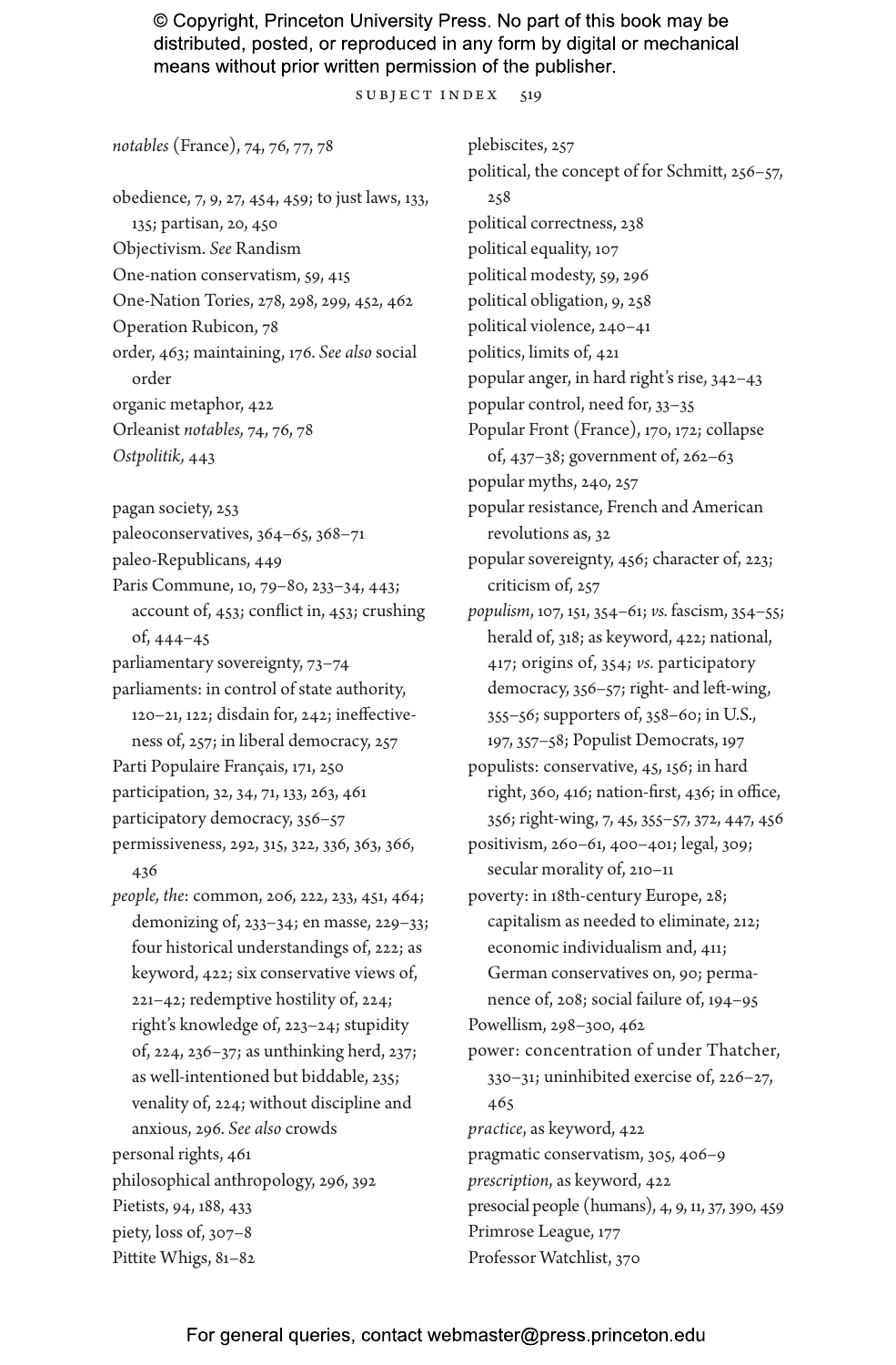#### SUBJECT INDEX 519

obedience, 7, 9, 27, 454, 459; to just laws, 133, 135; partisan, 20, 450 Objectivism. *See* Randism One-nation conservatism, 59, 415 One-Nation Tories, 278, 298, 299, 452, 462 Operation Rubicon, 78 order, 463; maintaining, 176. *See also* social order organic metaphor, 422 Orleanist *notables,* 74, 76, 78 *Ostpolitik,* 443 pagan society, 253 paleoconservatives, 364–65, 368–71 paleo-Republicans, 449 Paris Commune, 10, 79–80, 233–34, 443; account of, 453; conflict in, 453; crushing of, 444–45 parliamentary sovereignty, 73–74 parliaments: in control of state authority, 120–21, 122; disdain for, 242; ineffectiveness of, 257; in liberal democracy, 257 Parti Populaire Français, 171, 250 participation, 32, 34, 71, 133, 263, 461 participatory democracy, 356–57 permissiveness, 292, 315, 322, 336, 363, 366, 436 *people, the*: common, 206, 222, 233, 451, 464; demonizing of, 233–34; en masse, 229–33; four historical understandings of, 222; as keyword, 422; six conservative views of, 221–42; redemptive hostility of, 224; right's knowledge of, 223–24; stupidity of, 224, 236–37; as unthinking herd, 237; as well-intentioned but biddable, 235; venality of, 224; without discipline and anxious, 296. *See also* crowds personal rights, 461 philosophical anthropology, 296, 392 Pietists, 94, 188, 433 piety, loss of, 307–8 Pittite Whigs, 81–82

*notables* (France), 74, 76, 77, 78

plebiscites, 257 political, the concept of for Schmitt, 256–57, 258 political correctness, 238 political equality, 107 political modesty, 59, 296 political obligation, 9, 258 political violence, 240–41 politics, limits of, 421 popular anger, in hard right's rise, 342–43 popular control, need for, 33–35 Popular Front (France), 170, 172; collapse of, 437–38; government of, 262–63 popular myths, 240, 257 popular resistance, French and American revolutions as, 32 popular sovereignty, 456; character of, 223; criticism of, 257 *populism*, 107, 151, 354–61; *vs.* fascism, 354–55; herald of, 318; as keyword, 422; national, 417; origins of, 354; *vs.* participatory democracy, 356–57; right- and left-wing, 355–56; supporters of, 358–60; in U.S., 197, 357–58; Populist Democrats, 197 populists: conservative, 45, 156; in hard right, 360, 416; nation-first, 436; in office, 356; right-wing, 7, 45, 355–57, 372, 447, 456 positivism, 260–61, 400–401; legal, 309; secular morality of, 210–11 poverty: in 18th-century Europe, 28; capitalism as needed to eliminate, 212; economic individualism and, 411; German conservatives on, 90; permanence of, 208; social failure of, 194–95 Powellism, 298–300, 462 power: concentration of under Thatcher, 330–31; uninhibited exercise of, 226–27, 465 *practice*, as keyword, 422 pragmatic conservatism, 305, 406–9 *prescription*, as keyword, 422 presocial people (humans), 4, 9, 11, 37, 390, 459 Primrose League, 177 Professor Watchlist, 370

#### For general queries, contact webmaster@press.princeton.edu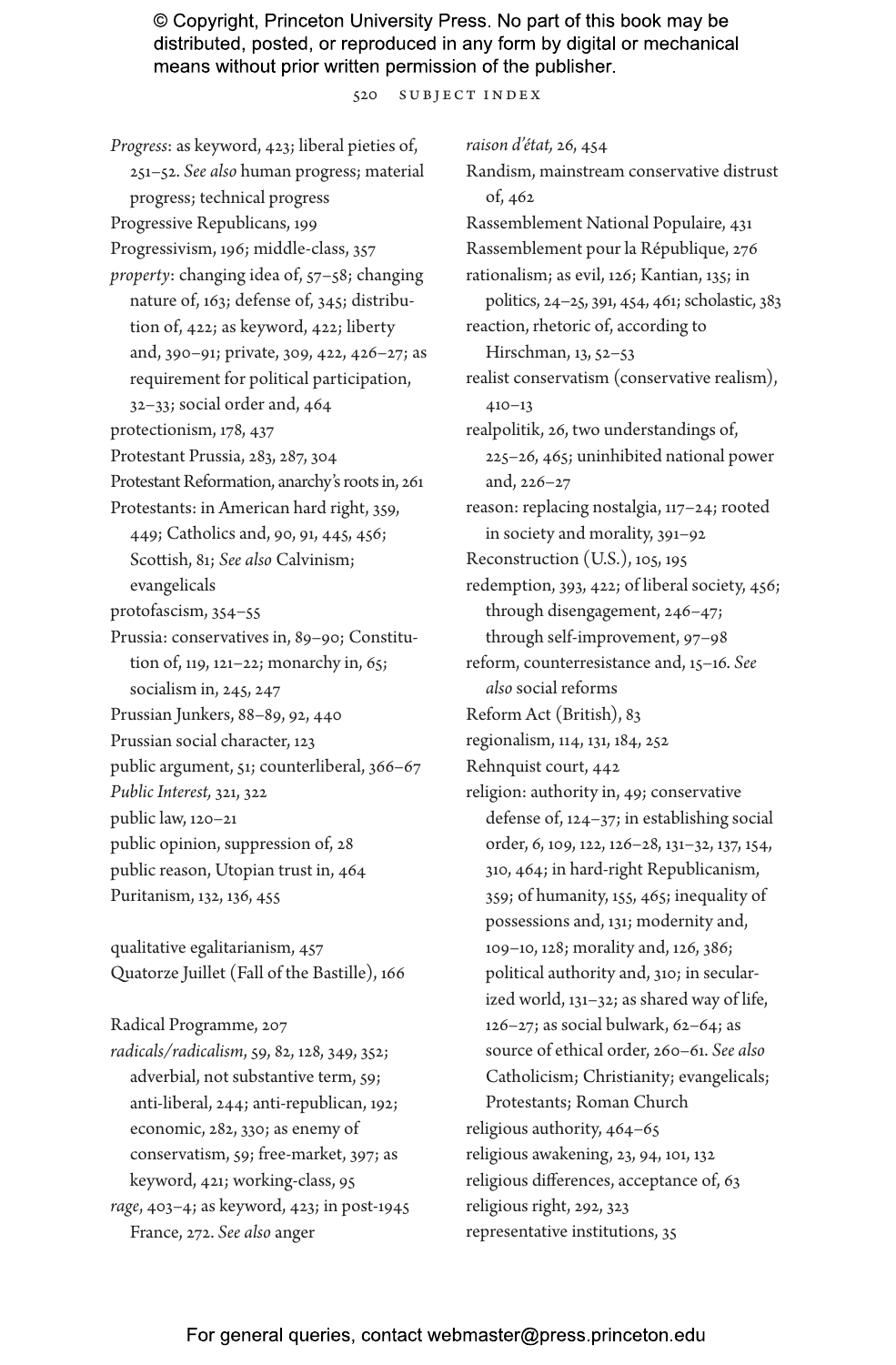#### 520 Subject Index

*Progress*: as keyword, 423; liberal pieties of, 251–52. *See also* human progress; material progress; technical progress Progressive Republicans, 199 Progressivism, 196; middle-class, 357 *property*: changing idea of, 57–58; changing nature of, 163; defense of, 345; distribution of, 422; as keyword, 422; liberty and, 390–91; private, 309, 422, 426–27; as requirement for political participation, 32–33; social order and, 464 protectionism, 178, 437 Protestant Prussia, 283, 287, 304 Protestant Reformation, anarchy's roots in, 261 Protestants: in American hard right, 359, 449; Catholics and, 90, 91, 445, 456; Scottish, 81; *See also* Calvinism; evangelicals protofascism, 354–55 Prussia: conservatives in, 89–90; Constitution of, 119, 121–22; monarchy in, 65; socialism in, 245, 247 Prussian Junkers, 88–89, 92, 440 Prussian social character, 123 public argument, 51; counterliberal, 366–67 *Public Interest,* 321, 322 public law, 120–21 public opinion, suppression of, 28 public reason, Utopian trust in, 464 Puritanism, 132, 136, 455 qualitative egalitarianism, 457

Quatorze Juillet (Fall of the Bastille), 166

Radical Programme, 207

*radicals/radicalism*, 59, 82, 128, 349, 352; adverbial, not substantive term, 59; anti-liberal, 244; anti-republican, 192; economic, 282, 330; as enemy of conservatism, 59; free-market, 397; as keyword, 421; working-class, 95 *rage*, 403–4; as keyword, 423; in post-1945

France, 272. *See also* anger

*raison d'état,* 26, 454 Randism, mainstream conservative distrust of, 462 Rassemblement National Populaire, 431 Rassemblement pour la République, 276 rationalism; as evil, 126; Kantian, 135; in politics, 24–25, 391, 454, 461; scholastic, 383 reaction, rhetoric of, according to Hirschman, 13, 52–53 realist conservatism (conservative realism), 410–13 realpolitik, 26, two understandings of, 225–26, 465; uninhibited national power and, 226–27 reason: replacing nostalgia, 117–24; rooted in society and morality, 391–92 Reconstruction (U.S.), 105, 195 redemption, 393, 422; of liberal society, 456; through disengagement, 246–47; through self-improvement, 97–98 reform, counterresistance and, 15–16. *See also* social reforms Reform Act (British), 83 regionalism, 114, 131, 184, 252 Rehnquist court, 442 religion: authority in, 49; conservative defense of, 124–37; in establishing social order, 6, 109, 122, 126–28, 131–32, 137, 154, 310, 464; in hard-right Republicanism, 359; of humanity, 155, 465; inequality of possessions and, 131; modernity and, 109–10, 128; morality and, 126, 386; political authority and, 310; in secularized world, 131–32; as shared way of life, 126–27; as social bulwark, 62–64; as source of ethical order, 260–61. *See also* Catholicism; Christianity; evangelicals; Protestants; Roman Church religious authority, 464–65 religious awakening, 23, 94, 101, 132 religious differences, acceptance of, 63 religious right, 292, 323 representative institutions, 35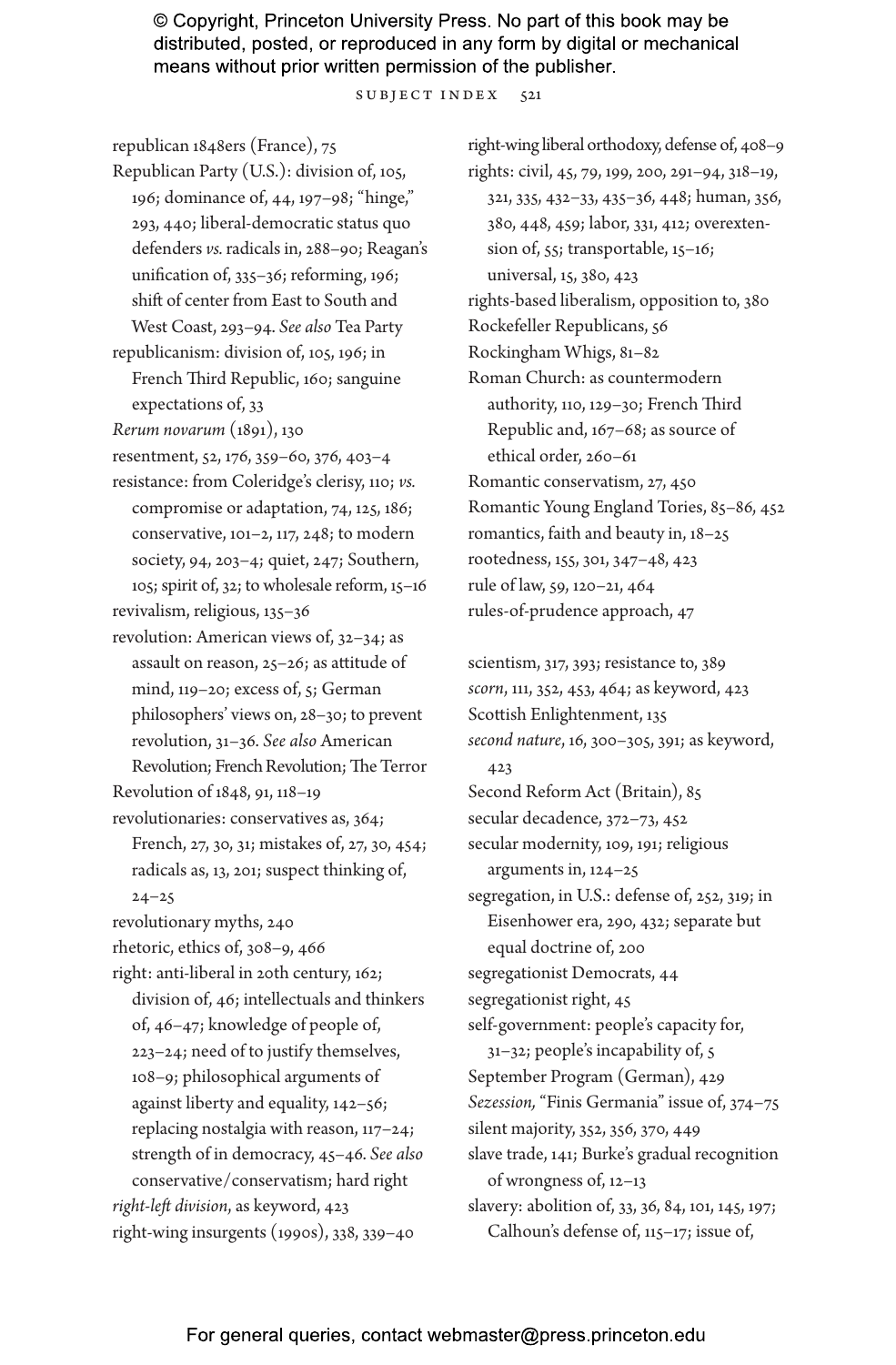#### SUBJECT INDEX 521

republican 1848ers (France), 75 Republican Party (U.S.): division of, 105, 196; dominance of, 44, 197–98; "hinge," 293, 440; liberal-democratic status quo defenders *vs.* radicals in, 288–90; Reagan's unification of, 335–36; reforming, 196; shift of center from East to South and West Coast, 293–94. *See also* Tea Party republicanism: division of, 105, 196; in French Third Republic, 160; sanguine expectations of, 33 *Rerum novarum* (1891), 130 resentment, 52, 176, 359–60, 376, 403–4 resistance: from Coleridge's clerisy, 110; *vs.* compromise or adaptation, 74, 125, 186; conservative, 101–2, 117, 248; to modern society, 94, 203–4; quiet, 247; Southern, 105; spirit of, 32; to wholesale reform, 15–16 revivalism, religious, 135–36 revolution: American views of, 32–34; as assault on reason, 25–26; as attitude of mind, 119–20; excess of, 5; German philosophers' views on, 28–30; to prevent revolution, 31–36. *See also* American Revolution; French Revolution; The Terror Revolution of 1848, 91, 118–19 revolutionaries: conservatives as, 364; French, 27, 30, 31; mistakes of, 27, 30, 454; radicals as, 13, 201; suspect thinking of,  $24 - 25$ revolutionary myths, 240 rhetoric, ethics of, 308–9, 466 right: anti-liberal in 20th century, 162; division of, 46; intellectuals and thinkers of, 46–47; knowledge of people of, 223–24; need of to justify themselves, 108–9; philosophical arguments of against liberty and equality, 142–56; replacing nostalgia with reason, 117–24; strength of in democracy, 45–46. *See also* conservative/conservatism; hard right *right-left division*, as keyword, 423 right-wing insurgents (1990s), 338, 339–40

right-wing liberal orthodoxy, defense of, 408–9 rights: civil, 45, 79, 199, 200, 291–94, 318–19, 321, 335, 432–33, 435–36, 448; human, 356, 380, 448, 459; labor, 331, 412; overextension of, 55; transportable, 15–16; universal, 15, 380, 423 rights-based liberalism, opposition to, 380 Rockefeller Republicans, 56 Rockingham Whigs, 81–82 Roman Church: as countermodern authority, 110, 129–30; French Third Republic and, 167–68; as source of ethical order, 260–61 Romantic conservatism, 27, 450 Romantic Young England Tories, 85–86, 452 romantics, faith and beauty in, 18–25 rootedness, 155, 301, 347–48, 423 rule of law, 59, 120–21, 464 rules-of-prudence approach, 47

scientism, 317, 393; resistance to, 389 *scorn*, 111, 352, 453, 464; as keyword, 423 Scottish Enlightenment, 135 *second nature*, 16, 300–305, 391; as keyword, 423 Second Reform Act (Britain), 85 secular decadence, 372–73, 452 secular modernity, 109, 191; religious arguments in, 124–25 segregation, in U.S.: defense of, 252, 319; in Eisenhower era, 290, 432; separate but equal doctrine of, 200 segregationist Democrats, 44 segregationist right, 45 self-government: people's capacity for, 31–32; people's incapability of, 5 September Program (German), 429 *Sezession,* "Finis Germania" issue of, 374–75 silent majority, 352, 356, 370, 449 slave trade, 141; Burke's gradual recognition of wrongness of, 12–13 slavery: abolition of, 33, 36, 84, 101, 145, 197; Calhoun's defense of, 115–17; issue of,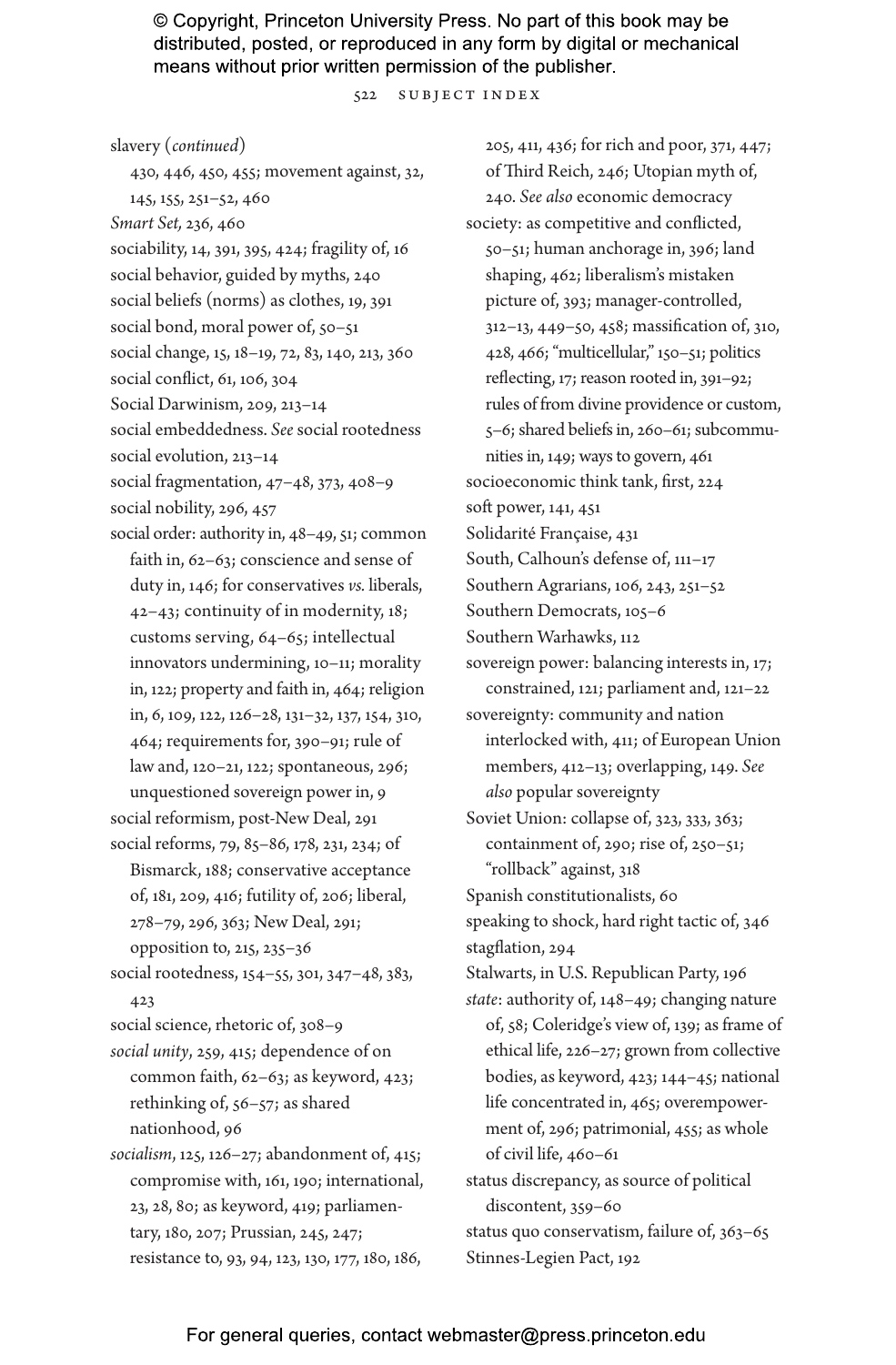#### 522 Subject Index

slavery (*continued*)

430, 446, 450, 455; movement against, 32, 145, 155, 251–52, 460 *Smart Set,* 236, 460 sociability, 14, 391, 395, 424; fragility of, 16 social behavior, guided by myths, 240 social beliefs (norms) as clothes, 19, 391 social bond, moral power of, 50–51 social change, 15, 18–19, 72, 83, 140, 213, 360 social conflict, 61, 106, 304 Social Darwinism, 209, 213–14 social embeddedness. *See* social rootedness social evolution, 213–14 social fragmentation, 47–48, 373, 408–9 social nobility, 296, 457 social order: authority in, 48–49, 51; common faith in, 62–63; conscience and sense of duty in, 146; for conservatives *vs.* liberals, 42–43; continuity of in modernity, 18; customs serving, 64–65; intellectual innovators undermining, 10–11; morality in, 122; property and faith in, 464; religion in, 6, 109, 122, 126–28, 131–32, 137, 154, 310, 464; requirements for, 390–91; rule of law and, 120–21, 122; spontaneous, 296;

unquestioned sovereign power in, 9 social reformism, post-New Deal, 291 social reforms, 79, 85–86, 178, 231, 234; of Bismarck, 188; conservative acceptance

of, 181, 209, 416; futility of, 206; liberal, 278–79, 296, 363; New Deal, 291; opposition to, 215, 235–36

social rootedness, 154–55, 301, 347–48, 383, 423

social science, rhetoric of, 308–9

*social unity*, 259, 415; dependence of on common faith, 62–63; as keyword, 423; rethinking of, 56–57; as shared nationhood, 96

*socialism*, 125, 126–27; abandonment of, 415; compromise with, 161, 190; international, 23, 28, 80; as keyword, 419; parliamentary, 180, 207; Prussian, 245, 247; resistance to, 93, 94, 123, 130, 177, 180, 186,

205, 411, 436; for rich and poor, 371, 447; of Third Reich, 246; Utopian myth of, 240. *See also* economic democracy society: as competitive and conflicted, 50–51; human anchorage in, 396; land shaping, 462; liberalism's mistaken picture of, 393; manager-controlled, 312–13, 449–50, 458; massification of, 310, 428, 466; "multicellular," 150–51; politics reflecting, 17; reason rooted in, 391–92; rules of from divine providence or custom, 5–6; shared beliefs in, 260–61; subcommunities in, 149; ways to govern, 461 socioeconomic think tank, first, 224 soft power, 141, 451 Solidarité Française, 431 South, Calhoun's defense of, 111–17 Southern Agrarians, 106, 243, 251–52 Southern Democrats, 105–6 Southern Warhawks, 112 sovereign power: balancing interests in, 17; constrained, 121; parliament and, 121–22 sovereignty: community and nation interlocked with, 411; of European Union members, 412–13; overlapping, 149. *See also* popular sovereignty Soviet Union: collapse of, 323, 333, 363; containment of, 290; rise of, 250–51; "rollback" against, 318 Spanish constitutionalists, 60 speaking to shock, hard right tactic of, 346 stagflation, 294 Stalwarts, in U.S. Republican Party, 196 *state*: authority of, 148–49; changing nature of, 58; Coleridge's view of, 139; as frame of ethical life, 226–27; grown from collective bodies, as keyword, 423; 144–45; national life concentrated in, 465; overempowerment of, 296; patrimonial, 455; as whole of civil life, 460–61 status discrepancy, as source of political discontent, 359–60 status quo conservatism, failure of, 363–65 Stinnes-Legien Pact, 192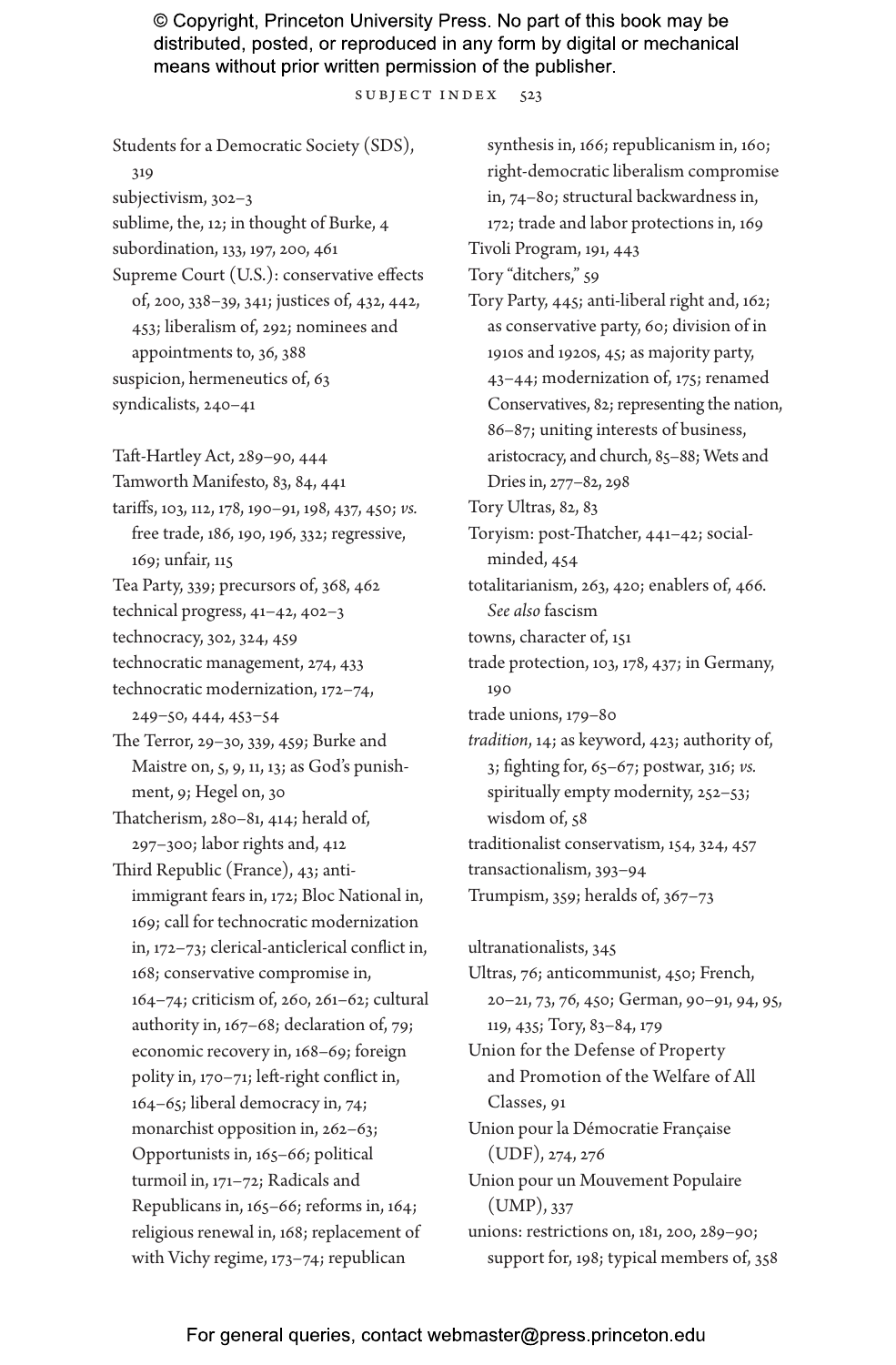#### SUBJECT INDEX 523

Students for a Democratic Society (SDS), 319 subjectivism, 302–3 sublime, the, 12; in thought of Burke, 4 subordination, 133, 197, 200, 461 Supreme Court (U.S.): conservative effects of, 200, 338–39, 341; justices of, 432, 442, 453; liberalism of, 292; nominees and appointments to, 36, 388 suspicion, hermeneutics of, 63 syndicalists, 240–41 Taft-Hartley Act, 289–90, 444 Tamworth Manifesto, 83, 84, 441 tariffs, 103, 112, 178, 190–91, 198, 437, 450; *vs.* free trade, 186, 190, 196, 332; regressive, 169; unfair, 115 Tea Party, 339; precursors of, 368, 462 technical progress, 41–42, 402–3 technocracy, 302, 324, 459 technocratic management, 274, 433 technocratic modernization, 172–74, 249–50, 444, 453–54 The Terror, 29–30, 339, 459; Burke and Maistre on, 5, 9, 11, 13; as God's punishment, 9; Hegel on, 30 Thatcherism, 280–81, 414; herald of, 297–300; labor rights and, 412 Third Republic (France), 43; antiimmigrant fears in, 172; Bloc National in, 169; call for technocratic modernization in, 172–73; clerical-anticlerical conflict in, 168; conservative compromise in, 164–74; criticism of, 260, 261–62; cultural authority in, 167–68; declaration of, 79; economic recovery in, 168–69; foreign polity in, 170–71; left-right conflict in, 164–65; liberal democracy in, 74; monarchist opposition in, 262–63; Opportunists in, 165–66; political turmoil in, 171–72; Radicals and

Republicans in, 165–66; reforms in, 164; religious renewal in, 168; replacement of with Vichy regime, 173–74; republican

synthesis in, 166; republicanism in, 160; right-democratic liberalism compromise in, 74–80; structural backwardness in, 172; trade and labor protections in, 169 Tivoli Program, 191, 443 Tory "ditchers," 59 Tory Party, 445; anti-liberal right and, 162; as conservative party, 60; division of in 1910s and 1920s, 45; as majority party, 43–44; modernization of, 175; renamed Conservatives, 82; representing the nation, 86–87; uniting interests of business, aristocracy, and church, 85–88; Wets and Dries in, 277–82, 298 Tory Ultras, 82, 83 Toryism: post-Thatcher, 441–42; socialminded, 454 totalitarianism, 263, 420; enablers of, 466. *See also* fascism towns, character of, 151 trade protection, 103, 178, 437; in Germany, 190 trade unions, 179–80 *tradition*, 14; as keyword, 423; authority of, 3; fighting for, 65–67; postwar, 316; *vs.* spiritually empty modernity, 252–53; wisdom of, 58 traditionalist conservatism, 154, 324, 457 transactionalism, 393–94 Trumpism, 359; heralds of, 367–73 ultranationalists, 345 Ultras, 76; anticommunist, 450; French, 20–21, 73, 76, 450; German, 90–91, 94, 95, 119, 435; Tory, 83–84, 179 Union for the Defense of Property and Promotion of the Welfare of All Classes, 91 Union pour la Démocratie Française (UDF), 274, 276 Union pour un Mouvement Populaire

(UMP), 337 unions: restrictions on, 181, 200, 289–90; support for, 198; typical members of, 358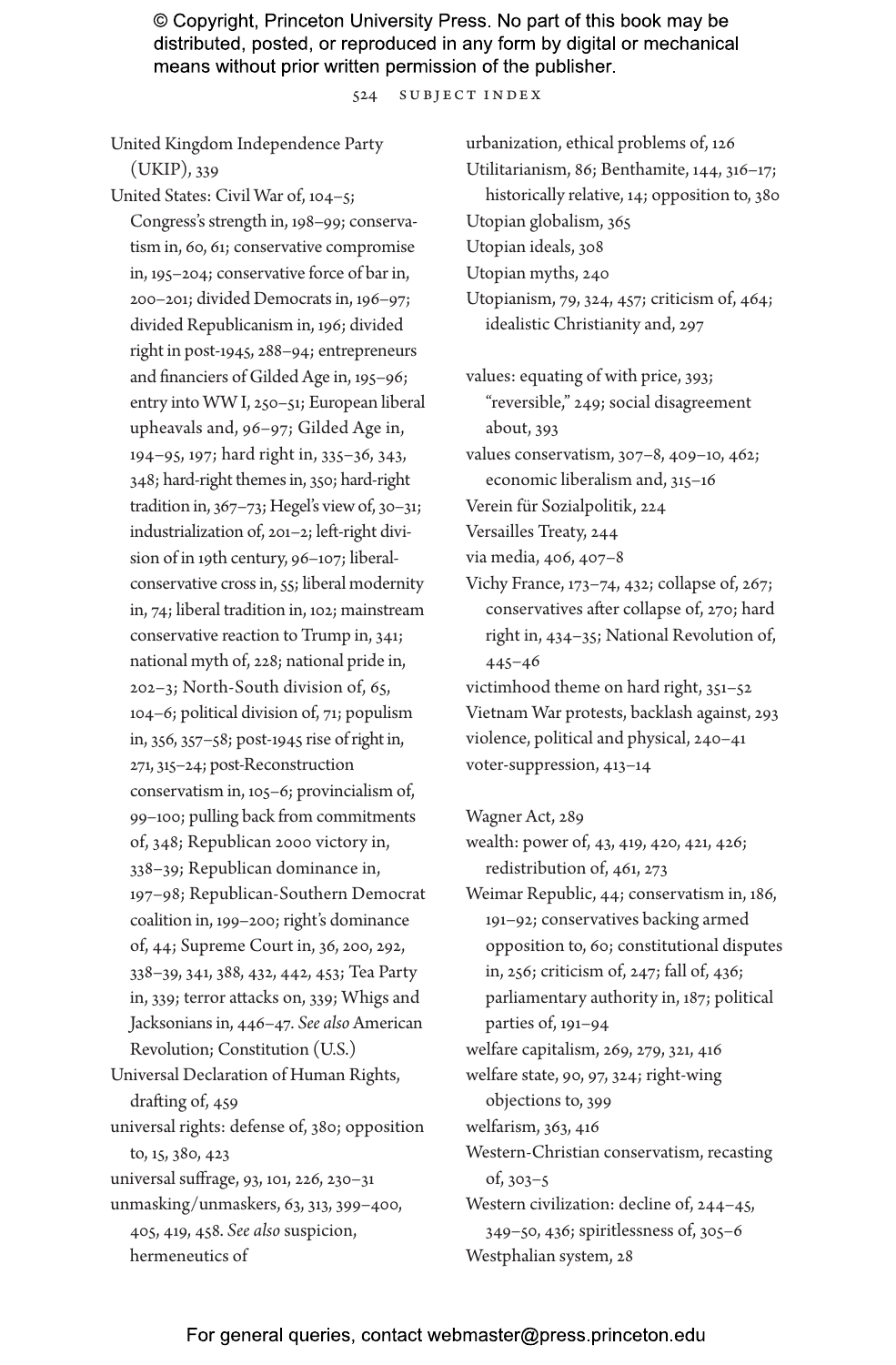#### 524 Subject Index

United Kingdom Independence Party (UKIP), 339

United States: Civil War of, 104–5; Congress's strength in, 198–99; conservatism in, 60, 61; conservative compromise in, 195–204; conservative force of bar in, 200–201; divided Democrats in, 196–97; divided Republicanism in, 196; divided right in post-1945, 288–94; entrepreneurs and financiers of Gilded Age in, 195–96; entry into WW I, 250–51; European liberal upheavals and, 96–97; Gilded Age in, 194–95, 197; hard right in, 335–36, 343, 348; hard-right themes in, 350; hard-right tradition in, 367–73; Hegel's view of, 30–31; industrialization of, 201–2; left-right division of in 19th century, 96–107; liberalconservative cross in, 55; liberal modernity in, 74; liberal tradition in, 102; mainstream conservative reaction to Trump in, 341; national myth of, 228; national pride in, 202–3; North-South division of, 65, 104–6; political division of, 71; populism in, 356, 357–58; post-1945 rise of right in, 271, 315–24; post-Reconstruction conservatism in, 105–6; provincialism of, 99–100; pulling back from commitments of, 348; Republican 2000 victory in, 338–39; Republican dominance in, 197–98; Republican-Southern Democrat coalition in, 199–200; right's dominance of, 44; Supreme Court in, 36, 200, 292, 338–39, 341, 388, 432, 442, 453; Tea Party in, 339; terror attacks on, 339; Whigs and Jacksonians in, 446–47*. See also* American Revolution; Constitution (U.S.) Universal Declaration of Human Rights, drafting of, 459 universal rights: defense of, 380; opposition to, 15, 380, 423 universal suffrage, 93, 101, 226, 230–31

unmasking/unmaskers, 63, 313, 399–400, 405, 419, 458. *See also* suspicion, hermeneutics of

urbanization, ethical problems of, 126 Utilitarianism, 86; Benthamite, 144, 316–17; historically relative, 14; opposition to, 380 Utopian globalism, 365 Utopian ideals, 308 Utopian myths, 240 Utopianism, 79, 324, 457; criticism of, 464; idealistic Christianity and, 297 values: equating of with price, 393; "reversible," 249; social disagreement about, 393 values conservatism, 307–8, 409–10, 462; economic liberalism and, 315–16 Verein für Sozialpolitik, 224 Versailles Treaty, 244 via media, 406, 407–8 Vichy France, 173–74, 432; collapse of, 267; conservatives after collapse of, 270; hard right in, 434–35; National Revolution of, 445–46 victimhood theme on hard right, 351–52 Vietnam War protests, backlash against, 293 violence, political and physical, 240–41 voter-suppression, 413–14

Wagner Act, 289

wealth: power of, 43, 419, 420, 421, 426; redistribution of, 461, 273 Weimar Republic, 44; conservatism in, 186, 191–92; conservatives backing armed opposition to, 60; constitutional disputes in, 256; criticism of, 247; fall of, 436; parliamentary authority in, 187; political parties of, 191–94 welfare capitalism, 269, 279, 321, 416 welfare state, 90, 97, 324; right-wing objections to, 399 welfarism, 363, 416 Western-Christian conservatism, recasting of, 303–5 Western civilization: decline of, 244–45, 349–50, 436; spiritlessness of, 305–6 Westphalian system, 28